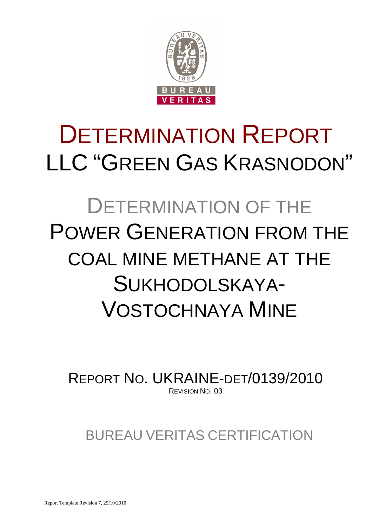

# DETERMINATION REPORT LLC "GREEN GAS KRASNODON"

# DETERMINATION OF THE POWER GENERATION FROM THE COAL MINE METHANE AT THE SUKHODOLSKAYA-VOSTOCHNAYA MINE

REPORT NO. UKRAINE-DET/0139/2010 REVISION NO. 03

BUREAU VERITAS CERTIFICATION

Report Template Revision 7, 29/10/2010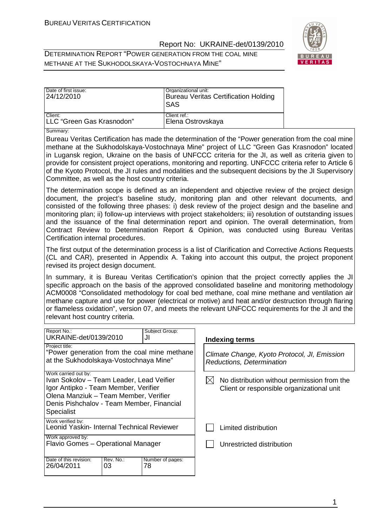DETERMINATION REPORT "POWER GENERATION FROM THE COAL MINE METHANE AT THE SUKHODOLSKAYA-VOSTOCHNAYA MINE"



| Date of first issue:<br>24/12/2010 | Organizational unit:<br><b>Bureau Veritas Certification Holding</b><br>ISAS |
|------------------------------------|-----------------------------------------------------------------------------|
| Client:                            | Client ref.:                                                                |
| LLC "Green Gas Krasnodon"          | Elena Ostrovskaya                                                           |

Summary:

Bureau Veritas Certification has made the determination of the "Power generation from the coal mine methane at the Sukhodolskaya-Vostochnaya Mine" project of LLC "Green Gas Krasnodon" located in Lugansk region, Ukraine on the basis of UNFCCC criteria for the JI, as well as criteria given to provide for consistent project operations, monitoring and reporting. UNFCCC criteria refer to Article 6 of the Kyoto Protocol, the JI rules and modalities and the subsequent decisions by the JI Supervisory Committee, as well as the host country criteria.

The determination scope is defined as an independent and objective review of the project design document, the project's baseline study, monitoring plan and other relevant documents, and consisted of the following three phases: i) desk review of the project design and the baseline and monitoring plan; ii) follow-up interviews with project stakeholders; iii) resolution of outstanding issues and the issuance of the final determination report and opinion. The overall determination, from Contract Review to Determination Report & Opinion, was conducted using Bureau Veritas Certification internal procedures.

The first output of the determination process is a list of Clarification and Corrective Actions Requests (CL and CAR), presented in Appendix A. Taking into account this output, the project proponent revised its project design document.

In summary, it is Bureau Veritas Certification's opinion that the project correctly applies the JI specific approach on the basis of the approved consolidated baseline and monitoring methodology ACM0008 "Consolidated methodology for coal bed methane, coal mine methane and ventilation air methane capture and use for power (electrical or motive) and heat and/or destruction through flaring or flameless oxidation", version 07, and meets the relevant UNFCCC requirements for the JI and the relevant host country criteria.

| Report No.:<br>UKRAINE-det/0139/2010                                                                                                                                                                                |                 | Subject Group:<br>JI   | Indexing terms                                                                           |
|---------------------------------------------------------------------------------------------------------------------------------------------------------------------------------------------------------------------|-----------------|------------------------|------------------------------------------------------------------------------------------|
| Project title:<br>"Power generation from the coal mine methane<br>at the Sukhodolskaya-Vostochnaya Mine"                                                                                                            |                 |                        | Climate Change, Kyoto Protocol, JI, Emission<br>Reductions, Determination                |
| Work carried out by:<br>Ivan Sokolov – Team Leader, Lead Veifier<br>Igor Antipko - Team Member, Verifier<br>Olena Manziuk – Team Member, Verifier<br>Denis Pishchalov - Team Member, Financial<br><b>Specialist</b> |                 |                        | No distribution without permission from the<br>Client or responsible organizational unit |
| Work verified by:<br>Leonid Yaskin- Internal Technical Reviewer                                                                                                                                                     |                 |                        | Limited distribution                                                                     |
| Work approved by:<br>Flavio Gomes - Operational Manager                                                                                                                                                             |                 |                        | Unrestricted distribution                                                                |
| Date of this revision:<br>26/04/2011                                                                                                                                                                                | Rev. No.:<br>03 | Number of pages:<br>78 |                                                                                          |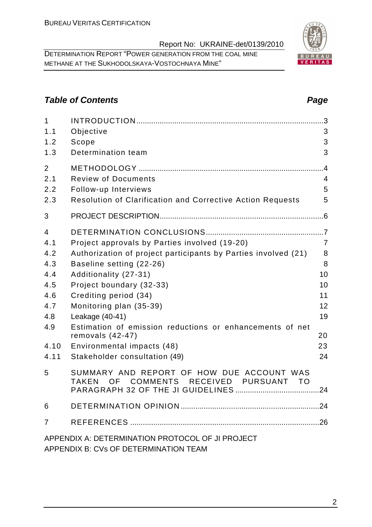DETERMINATION REPORT "POWER GENERATION FROM THE COAL MINE METHANE AT THE SUKHODOLSKAYA-VOSTOCHNAYA MINE"

# **Table of Contents Page 2014**

| 1<br>1.1       | Objective                                                                                                                        | .3<br>3        |
|----------------|----------------------------------------------------------------------------------------------------------------------------------|----------------|
| 1.2            | Scope                                                                                                                            | 3              |
| 1.3            | Determination team                                                                                                               | 3              |
| $\overline{2}$ |                                                                                                                                  | $\overline{A}$ |
| 2.1            | <b>Review of Documents</b>                                                                                                       | $\overline{4}$ |
| 2.2            | Follow-up Interviews                                                                                                             | 5              |
| 2.3            | Resolution of Clarification and Corrective Action Requests                                                                       | 5              |
| 3              |                                                                                                                                  |                |
| 4              |                                                                                                                                  |                |
| 4.1            | Project approvals by Parties involved (19-20)                                                                                    | $\overline{7}$ |
| 4.2            | Authorization of project participants by Parties involved (21)                                                                   | 8              |
| 4.3            | Baseline setting (22-26)                                                                                                         | 8              |
| 4.4            | Additionality (27-31)                                                                                                            | 10             |
| 4.5            | Project boundary (32-33)                                                                                                         | 10             |
| 4.6            | Crediting period (34)                                                                                                            | 11             |
| 4.7            | Monitoring plan (35-39)                                                                                                          | 12             |
| 4.8            | Leakage (40-41)                                                                                                                  | 19             |
| 4.9            | Estimation of emission reductions or enhancements of net<br>removals $(42-47)$                                                   | 20             |
| 4.10           | Environmental impacts (48)                                                                                                       | 23             |
| 4.11           | Stakeholder consultation (49)                                                                                                    | 24             |
| 5              | SUMMARY AND REPORT OF HOW DUE ACCOUNT WAS<br><b>COMMENTS</b><br><b>RECEIVED</b><br><b>PURSUANT</b><br><b>TAKEN</b><br>OF<br>- TO | .24            |
|                |                                                                                                                                  |                |
| 6              |                                                                                                                                  | .24            |
| 7              |                                                                                                                                  |                |
|                | APPENDIX A: DETERMINATION PROTOCOL OF JI PROJECT                                                                                 |                |

APPENDIX B: CVs OF DETERMINATION TEAM

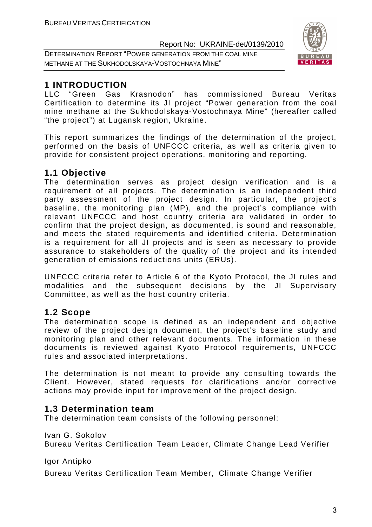DETERMINATION REPORT "POWER GENERATION FROM THE COAL MINE METHANE AT THE SUKHODOLSKAYA-VOSTOCHNAYA MINE"



# **1 INTRODUCTION**

LLC "Green Gas Krasnodon" has commissioned Bureau Veritas Certification to determine its JI project "Power generation from the coal mine methane at the Sukhodolskaya-Vostochnaya Mine" (hereafter called "the project") at Lugansk region, Ukraine.

This report summarizes the findings of the determination of the project, performed on the basis of UNFCCC criteria, as well as criteria given to provide for consistent project operations, monitoring and reporting.

# **1.1 Objective**

The determination serves as project design verification and is a requirement of all projects. The determination is an independent third party assessment of the project design. In particular, the project's baseline, the monitoring plan (MP), and the project's compliance with relevant UNFCCC and host country criteria are validated in order to confirm that the project design, as documented, is sound and reasonable, and meets the stated requirements and identified criteria. Determination is a requirement for all JI projects and is seen as necessary to provide assurance to stakeholders of the quality of the project and its intended generation of emissions reductions units (ERUs).

UNFCCC criteria refer to Article 6 of the Kyoto Protocol, the JI rules and modalities and the subsequent decisions by the JI Supervisory Committee, as well as the host country criteria.

# **1.2 Scope**

The determination scope is defined as an independent and objective review of the project design document, the project's baseline study and monitoring plan and other relevant documents. The information in these documents is reviewed against Kyoto Protocol requirements, UNFCCC rules and associated interpretations.

The determination is not meant to provide any consulting towards the Client. However, stated requests for clarifications and/or corrective actions may provide input for improvement of the project design.

# **1.3 Determination team**

The determination team consists of the following personnel:

Ivan G. Sokolov

Bureau Veritas Certification Team Leader, Climate Change Lead Verifier

Igor Antipko

Bureau Veritas Certification Team Member, Climate Change Verifier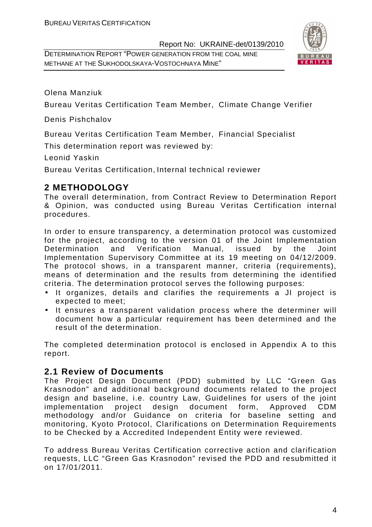DETERMINATION REPORT "POWER GENERATION FROM THE COAL MINE METHANE AT THE SUKHODOLSKAYA-VOSTOCHNAYA MINE"



Olena Manziuk

Bureau Veritas Certification Team Member, Climate Change Verifier

Denis Pishchalov

Bureau Veritas Certification Team Member, Financial Specialist

This determination report was reviewed by:

Leonid Yaskin

Bureau Veritas Certification, Internal technical reviewer

# **2 METHODOLOGY**

The overall determination, from Contract Review to Determination Report & Opinion, was conducted using Bureau Veritas Certification internal procedures.

In order to ensure transparency, a determination protocol was customized for the project, according to the version 01 of the Joint Implementation Determination and Verification Manual, issued by the Joint Implementation Supervisory Committee at its 19 meeting on 04/12/2009. The protocol shows, in a transparent manner, criteria (requirements), means of determination and the results from determining the identified criteria. The determination protocol serves the following purposes:

- It organizes, details and clarifies the requirements a JI project is expected to meet;
- It ensures a transparent validation process where the determiner will document how a particular requirement has been determined and the result of the determination.

The completed determination protocol is enclosed in Appendix A to this report.

# **2.1 Review of Documents**

The Project Design Document (PDD) submitted by LLC "Green Gas Krasnodon" and additional background documents related to the project design and baseline, i.e. country Law, Guidelines for users of the joint implementation project design document form, Approved CDM methodology and/or Guidance on criteria for baseline setting and monitoring, Kyoto Protocol, Clarifications on Determination Requirements to be Checked by a Accredited Independent Entity were reviewed.

To address Bureau Veritas Certification corrective action and clarification requests, LLC "Green Gas Krasnodon" revised the PDD and resubmitted it on 17/01/2011.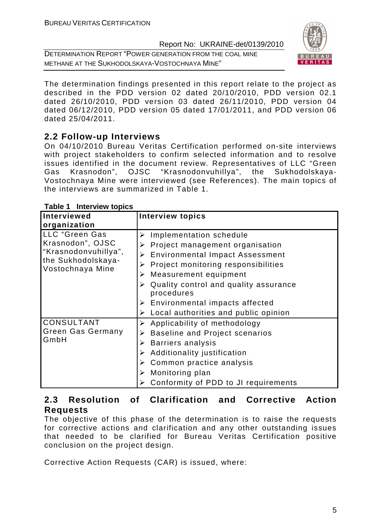DETERMINATION REPORT "POWER GENERATION FROM THE COAL MINE METHANE AT THE SUKHODOLSKAYA-VOSTOCHNAYA MINE"



The determination findings presented in this report relate to the project as described in the PDD version 02 dated 20/10/2010, PDD version 02.1 dated 26/10/2010, PDD version 03 dated 26/11/2010, PDD version 04 dated 06/12/2010, PDD version 05 dated 17/01/2011, and PDD version 06 dated 25/04/2011.

# **2.2 Follow-up Interviews**

On 04/10/2010 Bureau Veritas Certification performed on-site interviews with project stakeholders to confirm selected information and to resolve issues identified in the document review. Representatives of LLC "Green Gas Krasnodon", OJSC "Krasnodonvuhillya", the Sukhodolskaya-Vostochnaya Mine were interviewed (see References). The main topics of the interviews are summarized in Table 1.

| Interviewed                                                                                          | <b>Interview topics</b>                                                                                                                                                                                                                                    |
|------------------------------------------------------------------------------------------------------|------------------------------------------------------------------------------------------------------------------------------------------------------------------------------------------------------------------------------------------------------------|
| organization                                                                                         |                                                                                                                                                                                                                                                            |
| LLC "Green Gas<br>Krasnodon", OJSC<br>"Krasnodonvuhillya",<br>the Sukhodolskaya-<br>Vostochnaya Mine | Implementation schedule<br>➤<br>Project management organisation<br>➤<br>> Environmental Impact Assessment<br>Project monitoring responsibilities<br>Measurement equipment<br>➤<br>Quality control and quality assurance<br>procedures                      |
|                                                                                                      | $\triangleright$ Environmental impacts affected<br>$\triangleright$ Local authorities and public opinion                                                                                                                                                   |
| <b>CONSULTANT</b><br><b>Green Gas Germany</b><br>GmbH                                                | Applicability of methodology<br>➤<br>$\triangleright$ Baseline and Project scenarios<br>$\triangleright$ Barriers analysis<br>Additionality justification<br>➤<br>Common practice analysis<br>Monitoring plan<br>➤<br>Conformity of PDD to JI requirements |

**Table 1 Interview topics** 

# **2.3 Resolution of Clarification and Corrective Action Requests**

The objective of this phase of the determination is to raise the requests for corrective actions and clarification and any other outstanding issues that needed to be clarified for Bureau Veritas Certification positive conclusion on the project design.

Corrective Action Requests (CAR) is issued, where: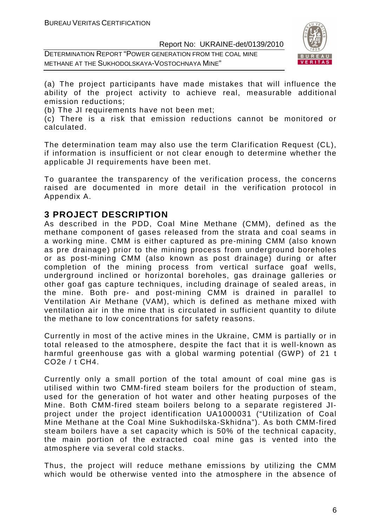DETERMINATION REPORT "POWER GENERATION FROM THE COAL MINE METHANE AT THE SUKHODOLSKAYA-VOSTOCHNAYA MINE"



(a) The project participants have made mistakes that will influence the ability of the project activity to achieve real, measurable additional emission reductions;

(b) The JI requirements have not been met;

(c) There is a risk that emission reductions cannot be monitored or calculated.

The determination team may also use the term Clarification Request (CL), if information is insufficient or not clear enough to determine whether the applicable JI requirements have been met.

To guarantee the transparency of the verification process, the concerns raised are documented in more detail in the verification protocol in Appendix A.

# **3 PROJECT DESCRIPTION**

As described in the PDD, Coal Mine Methane (CMM), defined as the methane component of gases released from the strata and coal seams in a working mine. CMM is either captured as pre-mining CMM (also known as pre drainage) prior to the mining process from underground boreholes or as post-mining CMM (also known as post drainage) during or after completion of the mining process from vertical surface goaf wells, underground inclined or horizontal boreholes, gas drainage galleries or other goaf gas capture techniques, including drainage of sealed areas, in the mine. Both pre- and post-mining CMM is drained in parallel to Ventilation Air Methane (VAM), which is defined as methane mixed with ventilation air in the mine that is circulated in sufficient quantity to dilute the methane to low concentrations for safety reasons.

Currently in most of the active mines in the Ukraine, CMM is partially or in total released to the atmosphere, despite the fact that it is well-known as harmful greenhouse gas with a global warming potential (GWP) of 21 t CO2e / t CH4.

Currently only a small portion of the total amount of coal mine gas is utilised within two CMM-fired steam boilers for the production of steam, used for the generation of hot water and other heating purposes of the Mine. Both CMM-fired steam boilers belong to a separate registered JIproject under the project identification UA1000031 ("Utilization of Coal Mine Methane at the Coal Mine Sukhodilska-Skhidna"). As both CMM-fired steam boilers have a set capacity which is 50% of the technical capacity, the main portion of the extracted coal mine gas is vented into the atmosphere via several cold stacks.

Thus, the project will reduce methane emissions by utilizing the CMM which would be otherwise vented into the atmosphere in the absence of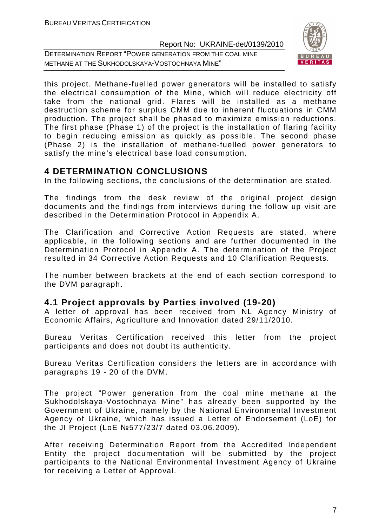DETERMINATION REPORT "POWER GENERATION FROM THE COAL MINE METHANE AT THE SUKHODOLSKAYA-VOSTOCHNAYA MINE"



this project. Methane-fuelled power generators will be installed to satisfy the electrical consumption of the Mine, which will reduce electricity off take from the national grid. Flares will be installed as a methane destruction scheme for surplus CMM due to inherent fluctuations in CMM production. The project shall be phased to maximize emission reductions. The first phase (Phase 1) of the project is the installation of flaring facility to begin reducing emission as quickly as possible. The second phase (Phase 2) is the installation of methane-fuelled power generators to satisfy the mine's electrical base load consumption.

# **4 DETERMINATION CONCLUSIONS**

In the following sections, the conclusions of the determination are stated.

The findings from the desk review of the original project design documents and the findings from interviews during the follow up visit are described in the Determination Protocol in Appendix A.

The Clarification and Corrective Action Requests are stated, where applicable, in the following sections and are further documented in the Determination Protocol in Appendix A. The determination of the Project resulted in 34 Corrective Action Requests and 10 Clarification Requests.

The number between brackets at the end of each section correspond to the DVM paragraph.

#### **4.1 Project approvals by Parties involved (19-20)**

A letter of approval has been received from NL Agency Ministry of Economic Affairs, Agriculture and Innovation dated 29/11/2010.

Bureau Veritas Certification received this letter from the project participants and does not doubt its authenticity.

Bureau Veritas Certification considers the letters are in accordance with paragraphs 19 - 20 of the DVM.

The project "Power generation from the coal mine methane at the Sukhodolskaya-Vostochnaya Mine" has already been supported by the Government of Ukraine, namely by the National Environmental Investment Agency of Ukraine, which has issued a Letter of Endorsement (LoE) for the JI Project (LoE №577/23/7 dated 03.06.2009).

After receiving Determination Report from the Accredited Independent Entity the project documentation will be submitted by the project participants to the National Environmental Investment Agency of Ukraine for receiving a Letter of Approval.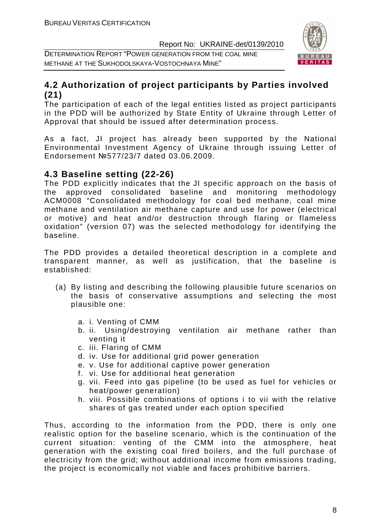DETERMINATION REPORT "POWER GENERATION FROM THE COAL MINE METHANE AT THE SUKHODOLSKAYA-VOSTOCHNAYA MINE"



# **4.2 Authorization of project participants by Parties involved (21)**

The participation of each of the legal entities listed as project participants in the PDD will be authorized by State Entity of Ukraine through Letter of Approval that should be issued after determination process.

As a fact, JI project has already been supported by the National Environmental Investment Agency of Ukraine through issuing Letter of Endorsement №577/23/7 dated 03.06.2009.

# **4.3 Baseline setting (22-26)**

The PDD explicitly indicates that the JI specific approach on the basis of the approved consolidated baseline and monitoring methodology ACM0008 "Consolidated methodology for coal bed methane, coal mine methane and ventilation air methane capture and use for power (electrical or motive) and heat and/or destruction through flaring or flameless oxidation" (version 07) was the selected methodology for identifying the baseline.

The PDD provides a detailed theoretical description in a complete and transparent manner, as well as justification, that the baseline is established:

- (a) By listing and describing the following plausible future scenarios on the basis of conservative assumptions and selecting the most plausible one:
	- a. i. Venting of CMM
	- b. ii. Using/destroying ventilation air methane rather than venting it
	- c. iii. Flaring of CMM
	- d. iv. Use for additional grid power generation
	- e. v. Use for additional captive power generation
	- f. vi. Use for additional heat generation
	- g. vii. Feed into gas pipeline (to be used as fuel for vehicles or heat/power generation)
	- h. viii. Possible combinations of options i to vii with the relative shares of gas treated under each option specified

Thus, according to the information from the PDD, there is only one realistic option for the baseline scenario, which is the continuation of the current situation: venting of the CMM into the atmosphere, heat generation with the existing coal fired boilers, and the full purchase of electricity from the grid; without additional income from emissions trading, the project is economically not viable and faces prohibitive barriers.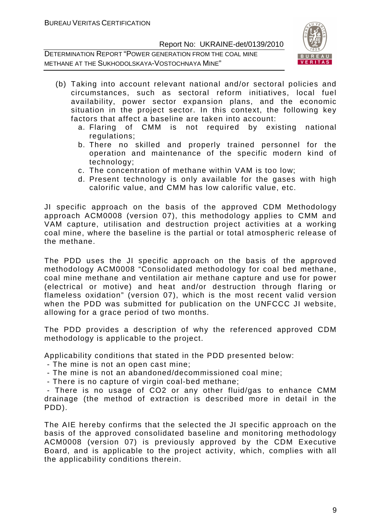DETERMINATION REPORT "POWER GENERATION FROM THE COAL MINE METHANE AT THE SUKHODOLSKAYA-VOSTOCHNAYA MINE"



- (b) Taking into account relevant national and/or sectoral policies and circumstances, such as sectoral reform initiatives, local fuel availability, power sector expansion plans, and the economic situation in the project sector. In this context, the following key factors that affect a baseline are taken into account:
	- a. Flaring of CMM is not required by existing national regulations:
	- b. There no skilled and properly trained personnel for the operation and maintenance of the specific modern kind of technology;
	- c. The concentration of methane within VAM is too low;
	- d. Present technology is only available for the gases with high calorific value, and CMM has low calorific value, etc.

JI specific approach on the basis of the approved CDM Methodology approach ACM0008 (version 07), this methodology applies to CMM and VAM capture, utilisation and destruction project activities at a working coal mine, where the baseline is the partial or total atmospheric release of the methane.

The PDD uses the JI specific approach on the basis of the approved methodology ACM0008 "Consolidated methodology for coal bed methane, coal mine methane and ventilation air methane capture and use for power (electrical or motive) and heat and/or destruction through flaring or flameless oxidation" (version 07), which is the most recent valid version when the PDD was submitted for publication on the UNFCCC JI website, allowing for a grace period of two months.

The PDD provides a description of why the referenced approved CDM methodology is applicable to the project.

Applicability conditions that stated in the PDD presented below:

- The mine is not an open cast mine;
- The mine is not an abandoned/decommissioned coal mine;
- There is no capture of virgin coal-bed methane;

 - There is no usage of CO2 or any other fluid/gas to enhance CMM drainage (the method of extraction is described more in detail in the PDD).

The AIE hereby confirms that the selected the JI specific approach on the basis of the approved consolidated baseline and monitoring methodology ACM0008 (version 07) is previously approved by the CDM Executive Board, and is applicable to the project activity, which, complies with all the applicability conditions therein.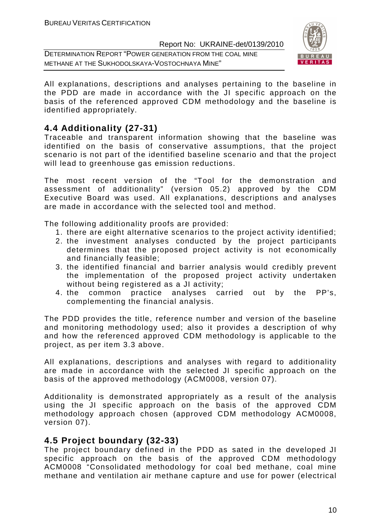DETERMINATION REPORT "POWER GENERATION FROM THE COAL MINE METHANE AT THE SUKHODOLSKAYA-VOSTOCHNAYA MINE"



All explanations, descriptions and analyses pertaining to the baseline in the PDD are made in accordance with the JI specific approach on the basis of the referenced approved CDM methodology and the baseline is identified appropriately.

# **4.4 Additionality (27-31)**

Traceable and transparent information showing that the baseline was identified on the basis of conservative assumptions, that the project scenario is not part of the identified baseline scenario and that the project will lead to greenhouse gas emission reductions.

The most recent version of the "Tool for the demonstration and assessment of additionality" (version 05.2) approved by the CDM Executive Board was used. All explanations, descriptions and analyses are made in accordance with the selected tool and method.

The following additionality proofs are provided:

- 1. there are eight alternative scenarios to the project activity identified;
- 2. the investment analyses conducted by the project participants determines that the proposed project activity is not economically and financially feasible;
- 3. the identified financial and barrier analysis would credibly prevent the implementation of the proposed project activity undertaken without being registered as a JI activity;
- 4. the common practice analyses carried out by the PP's, complementing the financial analysis.

The PDD provides the title, reference number and version of the baseline and monitoring methodology used; also it provides a description of why and how the referenced approved CDM methodology is applicable to the project, as per item 3.3 above.

All explanations, descriptions and analyses with regard to additionality are made in accordance with the selected JI specific approach on the basis of the approved methodology (ACM0008, version 07).

Additionality is demonstrated appropriately as a result of the analysis using the JI specific approach on the basis of the approved CDM methodology approach chosen (approved CDM methodology ACM0008, version 07).

# **4.5 Project boundary (32-33)**

The project boundary defined in the PDD as sated in the developed JI specific approach on the basis of the approved CDM methodology ACM0008 "Consolidated methodology for coal bed methane, coal mine methane and ventilation air methane capture and use for power (electrical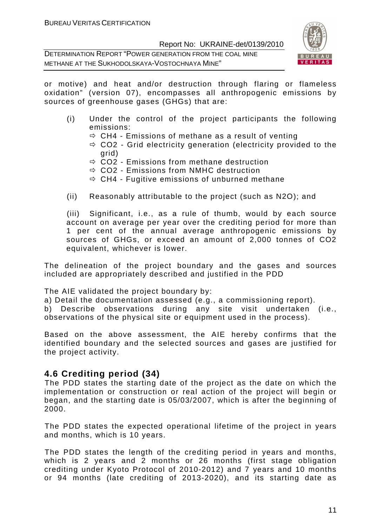DETERMINATION REPORT "POWER GENERATION FROM THE COAL MINE METHANE AT THE SUKHODOLSKAYA-VOSTOCHNAYA MINE"



or motive) and heat and/or destruction through flaring or flameless oxidation" (version 07), encompasses all anthropogenic emissions by sources of greenhouse gases (GHGs) that are:

- (i) Under the control of the project participants the following emissions:
	- $\Leftrightarrow$  CH4 Emissions of methane as a result of venting
	- CO2 Grid electricity generation (electricity provided to the grid)
	- $\Rightarrow$  CO2 Emissions from methane destruction
	- CO2 Emissions from NMHC destruction
	- $\Rightarrow$  CH4 Fugitive emissions of unburned methane
- (ii) Reasonably attributable to the project (such as N2O); and

(iii) Significant, i.e., as a rule of thumb, would by each source account on average per year over the crediting period for more than 1 per cent of the annual average anthropogenic emissions by sources of GHGs, or exceed an amount of 2,000 tonnes of CO2 equivalent, whichever is lower.

The delineation of the project boundary and the gases and sources included are appropriately described and justified in the PDD

The AIE validated the project boundary by:

a) Detail the documentation assessed (e.g., a commissioning report).

b) Describe observations during any site visit undertaken (i.e., observations of the physical site or equipment used in the process).

Based on the above assessment, the AIE hereby confirms that the identified boundary and the selected sources and gases are justified for the project activity.

# **4.6 Crediting period (34)**

The PDD states the starting date of the project as the date on which the implementation or construction or real action of the project will begin or began, and the starting date is 05/03/2007, which is after the beginning of 2000.

The PDD states the expected operational lifetime of the project in years and months, which is 10 years.

The PDD states the length of the crediting period in years and months, which is 2 years and 2 months or 26 months (first stage obligation crediting under Kyoto Protocol of 2010-2012) and 7 years and 10 months or 94 months (late crediting of 2013-2020), and its starting date as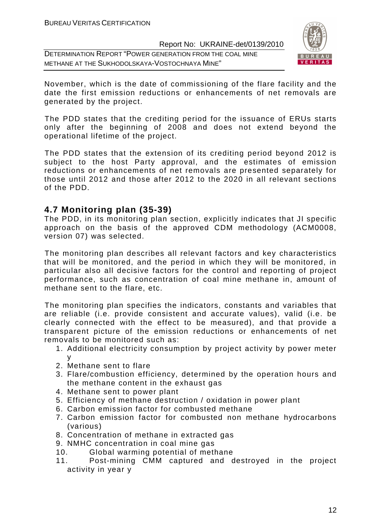DETERMINATION REPORT "POWER GENERATION FROM THE COAL MINE METHANE AT THE SUKHODOLSKAYA-VOSTOCHNAYA MINE"



November, which is the date of commissioning of the flare facility and the date the first emission reductions or enhancements of net removals are generated by the project.

The PDD states that the crediting period for the issuance of ERUs starts only after the beginning of 2008 and does not extend beyond the operational lifetime of the project.

The PDD states that the extension of its crediting period beyond 2012 is subject to the host Party approval, and the estimates of emission reductions or enhancements of net removals are presented separately for those until 2012 and those after 2012 to the 2020 in all relevant sections of the PDD.

# **4.7 Monitoring plan (35-39)**

The PDD, in its monitoring plan section, explicitly indicates that JI specific approach on the basis of the approved CDM methodology (ACM0008, version 07) was selected.

The monitoring plan describes all relevant factors and key characteristics that will be monitored, and the period in which they will be monitored, in particular also all decisive factors for the control and reporting of project performance, such as concentration of coal mine methane in, amount of methane sent to the flare, etc.

The monitoring plan specifies the indicators, constants and variables that are reliable (i.e. provide consistent and accurate values), valid (i.e. be clearly connected with the effect to be measured), and that provide a transparent picture of the emission reductions or enhancements of net removals to be monitored such as:

- 1. Additional electricity consumption by project activity by power meter y
- 2. Methane sent to flare
- 3. Flare/combustion efficiency, determined by the operation hours and the methane content in the exhaust gas
- 4. Methane sent to power plant
- 5. Efficiency of methane destruction / oxidation in power plant
- 6. Carbon emission factor for combusted methane
- 7. Carbon emission factor for combusted non methane hydrocarbons (various)
- 8. Concentration of methane in extracted gas
- 9. NMHC concentration in coal mine gas
- 10. Global warming potential of methane
- 11. Post-mining CMM captured and destroyed in the project activity in year y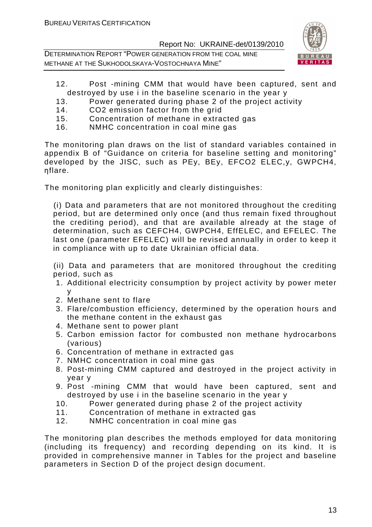DETERMINATION REPORT "POWER GENERATION FROM THE COAL MINE METHANE AT THE SUKHODOLSKAYA-VOSTOCHNAYA MINE"



- 12. Post -mining CMM that would have been captured, sent and destroyed by use i in the baseline scenario in the year y
- 13. Power generated during phase 2 of the project activity
- 14. CO2 emission factor from the grid
- 15. Concentration of methane in extracted gas
- 16. NMHC concentration in coal mine gas

The monitoring plan draws on the list of standard variables contained in appendix B of "Guidance on criteria for baseline setting and monitoring" developed by the JISC, such as PEy, BEy, EFCO2 ELEC,y, GWPCH4, ηflare.

The monitoring plan explicitly and clearly distinguishes:

(i) Data and parameters that are not monitored throughout the crediting period, but are determined only once (and thus remain fixed throughout the crediting period), and that are available already at the stage of determination, such as CEFCH4, GWPCH4, EffELEC, and EFELEC. The last one (parameter EFELEC) will be revised annually in order to keep it in compliance with up to date Ukrainian official data.

(ii) Data and parameters that are monitored throughout the crediting period, such as

- 1. Additional electricity consumption by project activity by power meter y
- 2. Methane sent to flare
- 3. Flare/combustion efficiency, determined by the operation hours and the methane content in the exhaust gas
- 4. Methane sent to power plant
- 5. Carbon emission factor for combusted non methane hydrocarbons (various)
- 6. Concentration of methane in extracted gas
- 7. NMHC concentration in coal mine gas
- 8. Post-mining CMM captured and destroyed in the project activity in year y
- 9. Post -mining CMM that would have been captured, sent and destroyed by use i in the baseline scenario in the year y
- 10. Power generated during phase 2 of the project activity
- 11. Concentration of methane in extracted gas
- 12. NMHC concentration in coal mine gas

The monitoring plan describes the methods employed for data monitoring (including its frequency) and recording depending on its kind. It is provided in comprehensive manner in Tables for the project and baseline parameters in Section D of the project design document.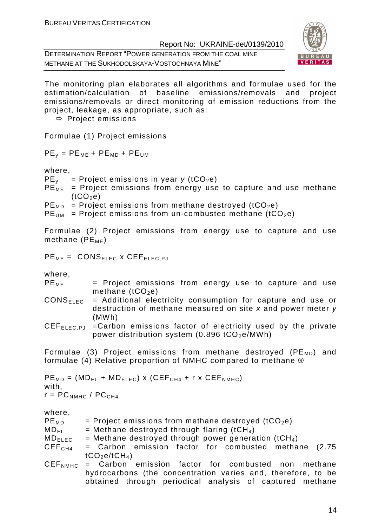DETERMINATION REPORT "POWER GENERATION FROM THE COAL MINE METHANE AT THE SUKHODOLSKAYA-VOSTOCHNAYA MINE"



The monitoring plan elaborates all algorithms and formulae used for the estimation/calculation of baseline emissions/removals and project emissions/removals or direct monitoring of emission reductions from the project, leakage, as appropriate, such as:

 $\Rightarrow$  Project emissions

Formulae (1) Project emissions

 $PE<sub>y</sub> = PE<sub>ME</sub> + PE<sub>MD</sub> + PE<sub>UM</sub>$ 

where,

 $PE<sub>v</sub>$  = Project emissions in year y (tCO<sub>2</sub>e)

 $PE<sub>ME</sub>$  = Project emissions from energy use to capture and use methane  $(tCO<sub>2</sub>e)$ 

 $PE<sub>MD</sub>$  = Project emissions from methane destroyed (tCO<sub>2</sub>e)

 $PE<sub>UM</sub>$  = Project emissions from un-combusted methane (tCO<sub>2</sub>e)

Formulae (2) Project emissions from energy use to capture and use methane ( $PE_{ME}$ )

 $PE_{ME} = CONS_{ELEG} \times CEF_{ELEG.PJ}$ 

where,

- $PE<sub>MF</sub>$  = Project emissions from energy use to capture and use methane  $(tCO<sub>2</sub>e)$
- $CONF_{EEC}$  = Additional electricity consumption for capture and use or destruction of methane measured on site x and power meter y (MWh)
- CEF<sub>FLEC,PJ</sub> =Carbon emissions factor of electricity used by the private power distribution system  $(0.896 \text{ tCO}_2e/MWh)$

Formulae (3) Project emissions from methane destroyed ( $PE<sub>MD</sub>$ ) and formulae (4) Relative proportion of NMHC compared to methane ®

```
PE<sub>MD</sub> = (MD<sub>FL</sub> + MD<sub>ELEC</sub>) x (CEF<sub>CH4</sub> + r x CEF<sub>NMHC</sub>)
with, 
r = PC_{NMHC} / PC_{CH4}
```

| $PE_{MD}$          | = Project emissions from methane destroyed ( $tCO2e$ )           |
|--------------------|------------------------------------------------------------------|
| $MD_{FI}$          | = Methane destroyed through flaring (tCH <sub>4</sub> )          |
| $MD_{ELEC}$        | = Methane destroyed through power generation (tCH <sub>4</sub> ) |
| CEF <sub>CH4</sub> | = Carbon emission factor for combusted methane (2.75             |
|                    | tCO <sub>2</sub> e/tCH <sub>4</sub>                              |
|                    | $DEF_{NME}$ = Carbon emission factor for combusted non methane   |
|                    | hydrocarbons (the concentration varies and, therefore, to be     |
|                    | obtained through periodical analysis of captured methane         |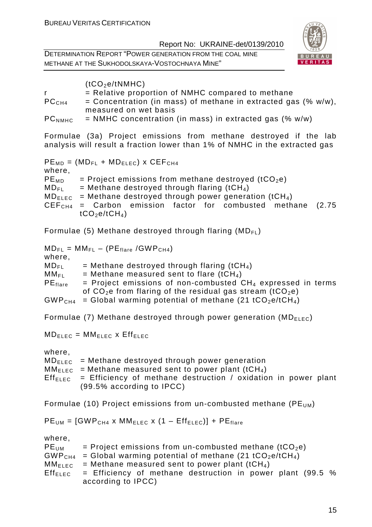DETERMINATION REPORT "POWER GENERATION FROM THE COAL MINE METHANE AT THE SUKHODOLSKAYA-VOSTOCHNAYA MINE"



|                    | (tCO <sub>2</sub> e/tNMHC)                                       |
|--------------------|------------------------------------------------------------------|
|                    | $=$ Relative proportion of NMHC compared to methane              |
| PC <sub>CH4</sub>  | = Concentration (in mass) of methane in extracted gas $% w/w$ ), |
|                    | measured on wet basis                                            |
| PC <sub>NMHC</sub> | $=$ NMHC concentration (in mass) in extracted gas (% w/w)        |

Formulae (3a) Project emissions from methane destroyed if the lab analysis will result a fraction lower than 1% of NMHC in the extracted gas

 $PE<sub>MD</sub> = (MD<sub>FL</sub> + MD<sub>ELEC</sub>)$  x CEF<sub>CH4</sub> where,  $PE<sub>MD</sub>$  = Project emissions from methane destroyed (tCO<sub>2</sub>e)  $MD_{FI}$  = Methane destroyed through flaring (tCH<sub>4</sub>)  $MD_{ELEC}$  = Methane destroyed through power generation (tCH<sub>4</sub>)  $CEF<sub>CH4</sub>$  = Carbon emission factor for combusted methane (2.75  $tCO<sub>2</sub>e/tCH<sub>4</sub>)$ 

Formulae (5) Methane destroyed through flaring  $(MD_{F1})$ 

 $MD_{FL} = MM_{FL} - (PE_{flare} / GWP_{CH4})$ where,  $MD_{FI}$  = Methane destroyed through flaring (tCH<sub>4</sub>)  $MM_{FI}$  = Methane measured sent to flare (tCH<sub>4</sub>)  $PE<sub>flare</sub>$  = Project emissions of non-combusted CH<sub>4</sub> expressed in terms of  $CO<sub>2</sub>e$  from flaring of the residual gas stream (tCO<sub>2</sub>e)  $GWP<sub>CH4</sub> = Global warming potential of methane (21 tCO<sub>2</sub>e/tCH<sub>4</sub>)$ 

Formulae (7) Methane destroyed through power generation ( $MD_{ELEC}$ )

 $MD_{ELEC} = MM_{ELEC} \times Eff_{ELEC}$ 

where,

 $MD_{Flec}$  = Methane destroyed through power generation  $MM_{\text{FIEC}}$  = Methane measured sent to power plant (tCH<sub>4</sub>) Eff<sub>ELEC</sub> = Efficiency of methane destruction / oxidation in power plant (99.5% according to IPCC)

Formulae (10) Project emissions from un-combusted methane (PE $_{U}$ M)

 $PE<sub>UM</sub> = [GWP<sub>CH4</sub> x MM<sub>ELEC</sub> x (1 - Eff<sub>ELEC</sub>)] + PE<sub>flare</sub>$ 

| PE <sub>UM</sub>     | = Project emissions from un-combusted methane (tCO <sub>2</sub> e)              |
|----------------------|---------------------------------------------------------------------------------|
| GWP <sub>CH4</sub>   | = Global warming potential of methane (21 tCO <sub>2</sub> e/tCH <sub>4</sub> ) |
| $MM_{\mathsf{ELEC}}$ | = Methane measured sent to power plant (tCH <sub>4</sub> )                      |
| $Eff_{ELEC}$         | $=$ Efficiency of methane destruction in power plant (99.5 %                    |
|                      | according to IPCC)                                                              |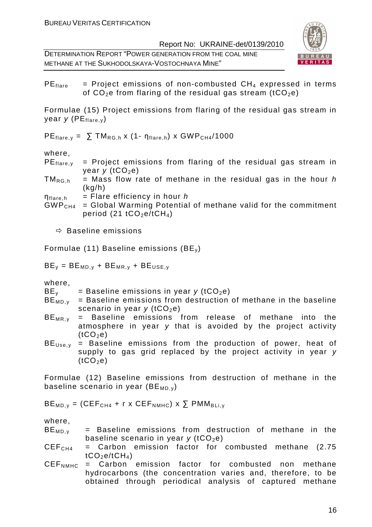DETERMINATION REPORT "POWER GENERATION FROM THE COAL MINE METHANE AT THE SUKHODOLSKAYA-VOSTOCHNAYA MINE"



 $PE_{flare}$  = Project emissions of non-combusted  $CH_4$  expressed in terms of  $CO<sub>2</sub>e$  from flaring of the residual gas stream (tCO<sub>2</sub>e)

Formulae (15) Project emissions from flaring of the residual gas stream in year  $y$  (PE $_{\text{flare}, y}$ )

 $PE_{flare, v} = \sum TM_{RG, h} \times (1 - n_{flare, h}) \times GWP_{CH4}/1000$ 

where,

- $PE_{flare,v}$  = Project emissions from flaring of the residual gas stream in year  $y$  (tCO<sub>2</sub>e)
- $TM_{RGLh}$  = Mass flow rate of methane in the residual gas in the hour h (kg/h)
- $\eta_{\text{flare}, h}$  = Flare efficiency in hour h
- $GWP<sub>CH4</sub> = Global Warming Potential of methane valid for the commitment$ period (21  $tCO<sub>2</sub>e/tCH<sub>4</sub>$ )

- Baseline emissions

Formulae (11) Baseline emissions (BE<sub>v</sub>)

 $BE_v = BE_{MD,v} + BE_{MR,v} + BE_{USE,v}$ 

where,

- $BE<sub>v</sub>$  = Baseline emissions in year y (tCO<sub>2</sub>e)
- $BE<sub>MD,V</sub>$  = Baseline emissions from destruction of methane in the baseline scenario in year  $y$  (tCO<sub>2</sub>e)
- $BE_{MR,v}$  = Baseline emissions from release of methane into the atmosphere in year y that is avoided by the project activity  $(tCO<sub>2</sub>e)$
- $BE<sub>Use</sub> =$  Baseline emissions from the production of power, heat of supply to gas grid replaced by the project activity in year y  $(tCO<sub>2</sub>e)$

Formulae (12) Baseline emissions from destruction of methane in the baseline scenario in year ( $BE_{MD,v}$ )

 $BE_{MD,y} = (CEF_{CH4} + r \times CEF_{NMHC}) \times \sum PMM_{BLi,y}$ 

- $BE_{MD,v}$  = Baseline emissions from destruction of methane in the baseline scenario in year  $y$  (tCO<sub>2</sub>e)
- $CEF<sub>CH4</sub>$  = Carbon emission factor for combusted methane (2.75  $tCO<sub>2</sub>e/tCH<sub>4</sub>)$
- $DEF_{NMHC}$  = Carbon emission factor for combusted non methane hydrocarbons (the concentration varies and, therefore, to be obtained through periodical analysis of captured methane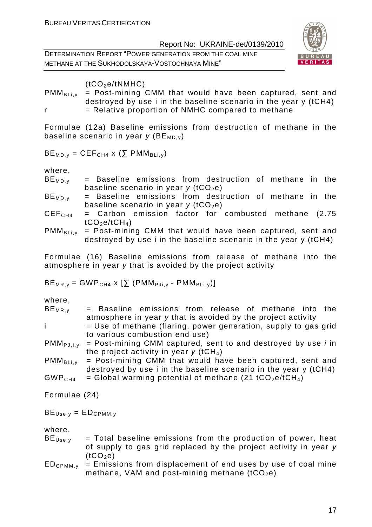DETERMINATION REPORT "POWER GENERATION FROM THE COAL MINE METHANE AT THE SUKHODOLSKAYA-VOSTOCHNAYA MINE"



 $(tCO<sub>2</sub>e/tNMHC)$ 

 $PMM_{Blik}$  = Post-mining CMM that would have been captured, sent and destroyed by use i in the baseline scenario in the year y (tCH4)  $r =$  Relative proportion of NMHC compared to methane

Formulae (12a) Baseline emissions from destruction of methane in the baseline scenario in year  $y$  (BE<sub>MD, v</sub>)

 $BE_{MD,y} = CEF_{CH4}$  x ( $\Sigma$  PMM<sub>BLi,y</sub>)

where,

- $BE_{MD,y}$  = Baseline emissions from destruction of methane in the baseline scenario in year  $y$  (tCO<sub>2</sub>e)
- $BE_{MD,v}$  = Baseline emissions from destruction of methane in the baseline scenario in year  $y$  (tCO<sub>2</sub>e)
- $CEF<sub>CH4</sub>$  = Carbon emission factor for combusted methane (2.75  $tCO<sub>2</sub>e/tCH<sub>4</sub>)$
- $PMM_{BLi,v}$  = Post-mining CMM that would have been captured, sent and destroyed by use i in the baseline scenario in the year y (tCH4)

Formulae (16) Baseline emissions from release of methane into the atmosphere in year y that is avoided by the project activity

 $BE_{MR,v} = GWP_{CH4} \times [\Sigma (PMM_{PJi,v} - PMM_{BLi,v})]$ 

where,

| $BE_{MR,V}$ |  | = Baseline emissions from release of methane into the        |  |  |  |
|-------------|--|--------------------------------------------------------------|--|--|--|
|             |  | atmosphere in year y that is avoided by the project activity |  |  |  |

- $i = U$ se of methane (flaring, power generation, supply to gas grid to various combustion end use)
- $PMM_{PJ,i,v}$  = Post-mining CMM captured, sent to and destroyed by use *i* in the project activity in year  $\gamma$  (tCH<sub>4</sub>)
- $PMM_{BLi,v}$  = Post-mining CMM that would have been captured, sent and destroyed by use i in the baseline scenario in the year y (tCH4)
- $GWP<sub>CH4</sub> = Global warming potential of methane (21  $tCO<sub>2</sub>e/tCH<sub>4</sub>$ )$

Formulae (24)

 $BE<sub>Use.v</sub> = ED<sub>CPMM,y</sub>$ 

- $BE<sub>Use</sub> = Total baseline emissions from the production of power, heat$ of supply to gas grid replaced by the project activity in year y  $(tCO<sub>2</sub>e)$
- $ED_{CPMM,v}$  = Emissions from displacement of end uses by use of coal mine methane, VAM and post-mining methane  $(tCO<sub>2</sub>e)$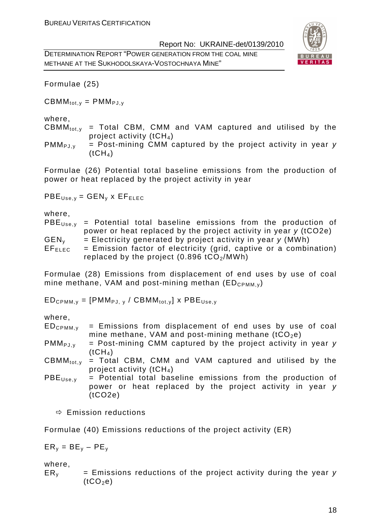DETERMINATION REPORT "POWER GENERATION FROM THE COAL MINE METHANE AT THE SUKHODOLSKAYA-VOSTOCHNAYA MINE"



Formulae (25)

 $CBMM_{tot,v} = PMM_{PJ,v}$ 

#### where,

 $CBMM_{tot, v}$  = Total CBM, CMM and VAM captured and utilised by the project activity  $(tCH<sub>4</sub>)$ 

 $PMM_{PJ.v}$  = Post-mining CMM captured by the project activity in year y  $(tCH<sub>4</sub>)$ 

Formulae (26) Potential total baseline emissions from the production of power or heat replaced by the project activity in year

 $PBE<sub>Use.v</sub> = GEN<sub>v</sub> x EF<sub>ELEC</sub>$ 

where,

 $PBE<sub>Use, y</sub>$  = Potential total baseline emissions from the production of power or heat replaced by the project activity in year y (tCO2e)  $GEN<sub>v</sub>$  = Electricity generated by project activity in year y (MWh)  $EF_{ELEC}$  = Emission factor of electricity (grid, captive or a combination) replaced by the project  $(0.896 \text{ tCO}_2/\text{MWh})$ 

Formulae (28) Emissions from displacement of end uses by use of coal mine methane, VAM and post-mining methan  $(ED_{CPMM,v})$ 

 $ED_{CPMM,v} = [PMM_{PJ,v} / CBMM_{tot,v}]$  x  $PBE_{Use,v}$ 

where,

 $ED_{CPMM,v}$  = Emissions from displacement of end uses by use of coal mine methane, VAM and post-mining methane  $(tCO<sub>2</sub>e)$ 

 $PMM_{PJ,V}$  = Post-mining CMM captured by the project activity in year y  $(tCH<sub>4</sub>)$ 

 $CBMM_{tot,v}$  = Total CBM, CMM and VAM captured and utilised by the project activity  $(tCH<sub>4</sub>)$ 

 $PBE<sub>Use,Y</sub>$  = Potential total baseline emissions from the production of power or heat replaced by the project activity in year y  $(tCO2e)$ 

 $\Rightarrow$  Emission reductions

Formulae (40) Emissions reductions of the project activity (ER)

$$
ER_y = BE_y - PE_y
$$

where,

 $ER<sub>v</sub>$  = Emissions reductions of the project activity during the year y  $(tCO<sub>2</sub>e)$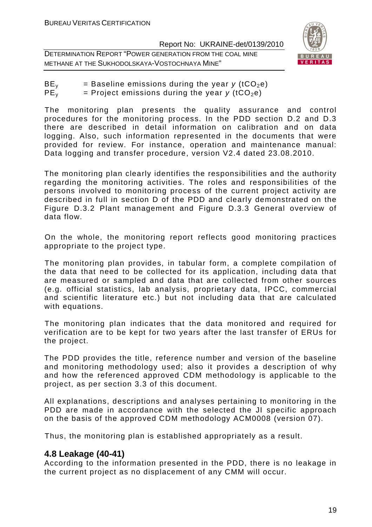DETERMINATION REPORT "POWER GENERATION FROM THE COAL MINE METHANE AT THE SUKHODOLSKAYA-VOSTOCHNAYA MINE"



| BE <sub>v</sub> | = Baseline emissions during the year y (tCO <sub>2</sub> e) |
|-----------------|-------------------------------------------------------------|
| PE <sub>v</sub> | = Project emissions during the year y (tCO <sub>2</sub> e)  |

The monitoring plan presents the quality assurance and control procedures for the monitoring process. In the PDD section D.2 and D.3 there are described in detail information on calibration and on data logging. Also, such information represented in the documents that were provided for review. For instance, operation and maintenance manual: Data logging and transfer procedure, version V2.4 dated 23.08.2010.

The monitoring plan clearly identifies the responsibilities and the authority regarding the monitoring activities. The roles and responsibilities of the persons involved to monitoring process of the current project activity are described in full in section D of the PDD and clearly demonstrated on the Figure D.3.2 Plant management and Figure D.3.3 General overview of data flow.

On the whole, the monitoring report reflects good monitoring practices appropriate to the project type.

The monitoring plan provides, in tabular form, a complete compilation of the data that need to be collected for its application, including data that are measured or sampled and data that are collected from other sources (e.g. official statistics, lab analysis, proprietary data, IPCC, commercial and scientific literature etc.) but not including data that are calculated with equations.

The monitoring plan indicates that the data monitored and required for verification are to be kept for two years after the last transfer of ERUs for the project.

The PDD provides the title, reference number and version of the baseline and monitoring methodology used; also it provides a description of why and how the referenced approved CDM methodology is applicable to the project, as per section 3.3 of this document.

All explanations, descriptions and analyses pertaining to monitoring in the PDD are made in accordance with the selected the JI specific approach on the basis of the approved CDM methodology ACM0008 (version 07).

Thus, the monitoring plan is established appropriately as a result.

# **4.8 Leakage (40-41)**

According to the information presented in the PDD, there is no leakage in the current project as no displacement of any CMM will occur.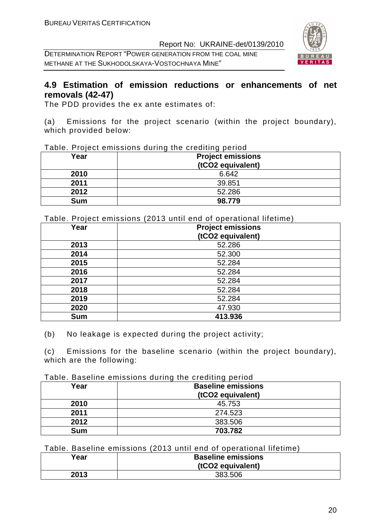DETERMINATION REPORT "POWER GENERATION FROM THE COAL MINE METHANE AT THE SUKHODOLSKAYA-VOSTOCHNAYA MINE"



# **4.9 Estimation of emission reductions or enhancements of net removals (42-47)**

The PDD provides the ex ante estimates of:

(a) Emissions for the project scenario (within the project boundary), which provided below:

| Table. Project emissions during the crediting period |  |
|------------------------------------------------------|--|
|------------------------------------------------------|--|

| Year       | <b>Project emissions</b><br>(tCO2 equivalent) |
|------------|-----------------------------------------------|
| 2010       | 6.642                                         |
| 2011       | 39.851                                        |
| 2012       | 52.286                                        |
| <b>Sum</b> | 98.779                                        |

Table. Project emissions (2013 until end of operational lifetime)

| Year       | <b>Project emissions</b><br>(tCO2 equivalent) |
|------------|-----------------------------------------------|
| 2013       | 52.286                                        |
| 2014       | 52.300                                        |
| 2015       | 52.284                                        |
| 2016       | 52.284                                        |
| 2017       | 52.284                                        |
| 2018       | 52.284                                        |
| 2019       | 52.284                                        |
| 2020       | 47.930                                        |
| <b>Sum</b> | 413.936                                       |

(b) No leakage is expected during the project activity;

(c) Emissions for the baseline scenario (within the project boundary), which are the following:

Table. Baseline emissions during the crediting period

| Year       | <b>Baseline emissions</b><br>(tCO2 equivalent) |
|------------|------------------------------------------------|
| 2010       | 45.753                                         |
| 2011       | 274.523                                        |
| 2012       | 383.506                                        |
| <b>Sum</b> | 703.782                                        |

#### Table. Baseline emissions (2013 until end of operational lifetime)

| Year | <b>Baseline emissions</b> |
|------|---------------------------|
|      | (tCO2 equivalent)         |
| 2013 | 383.506                   |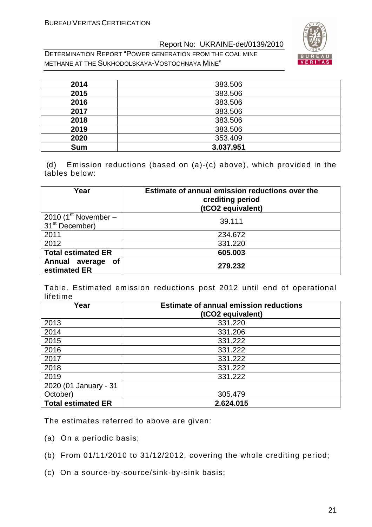DETERMINATION REPORT "POWER GENERATION FROM THE COAL MINE METHANE AT THE SUKHODOLSKAYA-VOSTOCHNAYA MINE"



| 2014       | 383.506   |
|------------|-----------|
| 2015       | 383.506   |
| 2016       | 383.506   |
| 2017       | 383.506   |
| 2018       | 383.506   |
| 2019       | 383.506   |
| 2020       | 353.409   |
| <b>Sum</b> | 3.037.951 |

 (d) Emission reductions (based on (a)-(c) above), which provided in the tables below:

| Year                                               | Estimate of annual emission reductions over the<br>crediting period<br>(tCO2 equivalent) |
|----------------------------------------------------|------------------------------------------------------------------------------------------|
| 2010 (1st November –<br>31 <sup>st</sup> December) | 39.111                                                                                   |
| 2011                                               | 234.672                                                                                  |
| 2012                                               | 331.220                                                                                  |
| <b>Total estimated ER</b>                          | 605.003                                                                                  |
| Annual average<br><b>of</b><br>estimated ER        | 279.232                                                                                  |

Table. Estimated emission reductions post 2012 until end of operational lifetime

| Year                      | <b>Estimate of annual emission reductions</b><br>(tCO2 equivalent) |
|---------------------------|--------------------------------------------------------------------|
| 2013                      | 331.220                                                            |
| 2014                      | 331.206                                                            |
| 2015                      | 331.222                                                            |
| 2016                      | 331.222                                                            |
| 2017                      | 331.222                                                            |
| 2018                      | 331.222                                                            |
| 2019                      | 331.222                                                            |
| 2020 (01 January - 31     |                                                                    |
| October)                  | 305.479                                                            |
| <b>Total estimated ER</b> | 2.624.015                                                          |

The estimates referred to above are given:

- (a) On a periodic basis;
- (b) From 01/11/2010 to 31/12/2012, covering the whole crediting period;
- (c) On a source-by-source/sink-by-sink basis;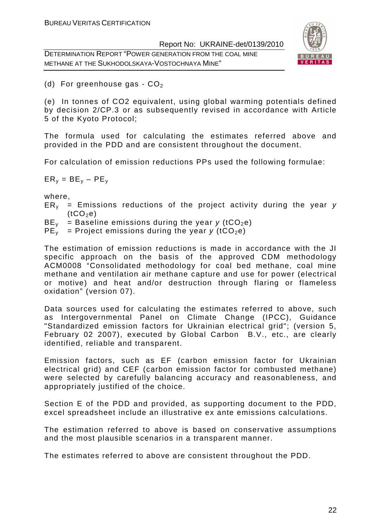DETERMINATION REPORT "POWER GENERATION FROM THE COAL MINE METHANE AT THE SUKHODOLSKAYA-VOSTOCHNAYA MINE"



(d) For greenhouse gas -  $CO<sub>2</sub>$ 

(e) In tonnes of CO2 equivalent, using global warming potentials defined by decision 2/CP.3 or as subsequently revised in accordance with Article 5 of the Kyoto Protocol;

The formula used for calculating the estimates referred above and provided in the PDD and are consistent throughout the document.

For calculation of emission reductions PPs used the following formulae:

 $ER_v = BE_v - PE_v$ 

where,

- $ER<sub>v</sub>$  = Emissions reductions of the project activity during the year y  $(tCO<sub>2</sub>e)$
- $BE<sub>v</sub>$  = Baseline emissions during the year y (tCO<sub>2</sub>e)
- $PE_v$  = Project emissions during the year y (tCO<sub>2</sub>e)

The estimation of emission reductions is made in accordance with the JI specific approach on the basis of the approved CDM methodology ACM0008 "Consolidated methodology for coal bed methane, coal mine methane and ventilation air methane capture and use for power (electrical or motive) and heat and/or destruction through flaring or flameless oxidation" (version 07).

Data sources used for calculating the estimates referred to above, such as Intergovernmental Panel on Climate Change (IPCC), Guidance "Standardized emission factors for Ukrainian electrical grid"; (version 5, February 02 2007), executed by Global Carbon B.V., etc., are clearly identified, reliable and transparent.

Emission factors, such as EF (carbon emission factor for Ukrainian electrical grid) and CEF (carbon emission factor for combusted methane) were selected by carefully balancing accuracy and reasonableness, and appropriately justified of the choice.

Section E of the PDD and provided, as supporting document to the PDD, excel spreadsheet include an illustrative ex ante emissions calculations.

The estimation referred to above is based on conservative assumptions and the most plausible scenarios in a transparent manner.

The estimates referred to above are consistent throughout the PDD.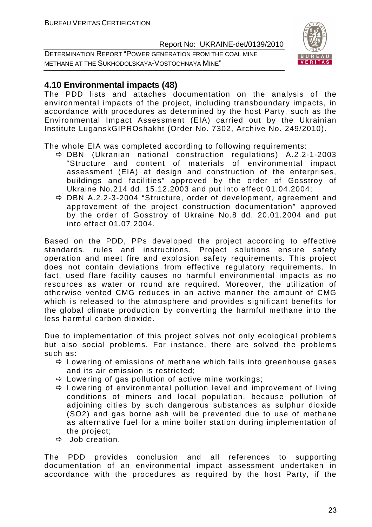DETERMINATION REPORT "POWER GENERATION FROM THE COAL MINE METHANE AT THE SUKHODOLSKAYA-VOSTOCHNAYA MINE"



# **4.10 Environmental impacts (48)**

The PDD lists and attaches documentation on the analysis of the environmental impacts of the project, including transboundary impacts, in accordance with procedures as determined by the host Party, such as the Environmental Impact Assessment (EIA) carried out by the Ukrainian Institute LuganskGIPROshakht (Order No. 7302, Archive No. 249/2010).

The whole EIA was completed according to following requirements:

- DBN (Ukranian national construction regulations) А.2.2-1-2003 "Structure and content of materials of environmental impact assessment (EIA) at design and construction of the enterprises, buildings and facilities" approved by the order of Gosstroy of Ukraine No.214 dd. 15.12.2003 and put into effect 01.04.2004;
- DBN А.2.2-3-2004 "Structure, order of development, agreement and approvement of the project construction documentation" approved by the order of Gosstroy of Ukraine No.8 dd. 20.01.2004 and put into effect 01.07.2004.

Based on the PDD, PPs developed the project according to effective standards, rules and instructions. Project solutions ensure safety operation and meet fire and explosion safety requirements. This project does not contain deviations from effective regulatory requirements. In fact, used flare facility causes no harmful environmental impacts as no resources as water or round are required. Moreover, the utilization of otherwise vented CMG reduces in an active manner the amount of CMG which is released to the atmosphere and provides significant benefits for the global climate production by converting the harmful methane into the less harmful carbon dioxide.

Due to implementation of this project solves not only ecological problems but also social problems. For instance, there are solved the problems such as:

- $\Leftrightarrow$  Lowering of emissions of methane which falls into greenhouse gases and its air emission is restricted;
- $\Leftrightarrow$  Lowering of gas pollution of active mine workings;
- $\Rightarrow$  Lowering of environmental pollution level and improvement of living conditions of miners and local population, because pollution of adjoining cities by such dangerous substances as sulphur dioxide (SO2) and gas borne ash will be prevented due to use of methane as alternative fuel for a mine boiler station during implementation of the project;
- $\Rightarrow$  Job creation.

The PDD provides conclusion and all references to supporting documentation of an environmental impact assessment undertaken in accordance with the procedures as required by the host Party, if the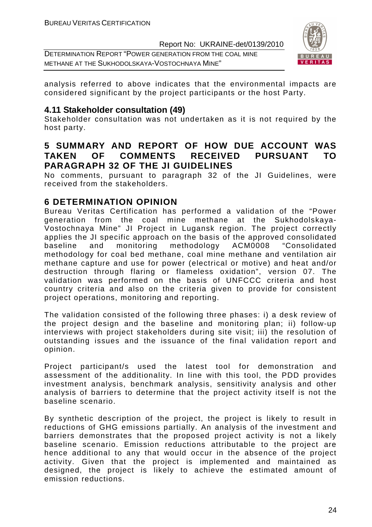DETERMINATION REPORT "POWER GENERATION FROM THE COAL MINE METHANE AT THE SUKHODOLSKAYA-VOSTOCHNAYA MINE"



analysis referred to above indicates that the environmental impacts are considered significant by the project participants or the host Party.

#### **4.11 Stakeholder consultation (49)**

Stakeholder consultation was not undertaken as it is not required by the host party.

# **5 SUMMARY AND REPORT OF HOW DUE ACCOUNT WAS TAKEN OF COMMENTS RECEIVED PURSUANT TO PARAGRAPH 32 OF THE JI GUIDELINES**

No comments, pursuant to paragraph 32 of the JI Guidelines, were received from the stakeholders.

# **6 DETERMINATION OPINION**

Bureau Veritas Certification has performed a validation of the "Power generation from the coal mine methane at the Sukhodolskaya-Vostochnaya Mine" JI Project in Lugansk region. The project correctly applies the JI specific approach on the basis of the approved consolidated baseline and monitoring methodology ACM0008 "Consolidated methodology for coal bed methane, coal mine methane and ventilation air methane capture and use for power (electrical or motive) and heat and/or destruction through flaring or flameless oxidation", version 07. The validation was performed on the basis of UNFCCC criteria and host country criteria and also on the criteria given to provide for consistent project operations, monitoring and reporting.

The validation consisted of the following three phases: i) a desk review of the project design and the baseline and monitoring plan; ii) follow-up interviews with project stakeholders during site visit; iii) the resolution of outstanding issues and the issuance of the final validation report and opinion.

Project participant/s used the latest tool for demonstration and assessment of the additionality. In line with this tool, the PDD provides investment analysis, benchmark analysis, sensitivity analysis and other analysis of barriers to determine that the project activity itself is not the baseline scenario.

By synthetic description of the project, the project is likely to result in reductions of GHG emissions partially. An analysis of the investment and barriers demonstrates that the proposed project activity is not a likely baseline scenario. Emission reductions attributable to the project are hence additional to any that would occur in the absence of the project activity. Given that the project is implemented and maintained as designed, the project is likely to achieve the estimated amount of emission reductions.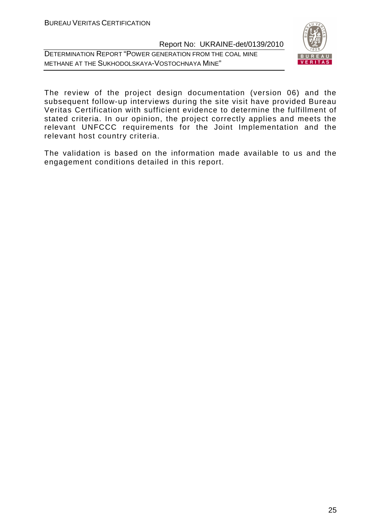DETERMINATION REPORT "POWER GENERATION FROM THE COAL MINE METHANE AT THE SUKHODOLSKAYA-VOSTOCHNAYA MINE"



The review of the project design documentation (version 06) and the subsequent follow-up interviews during the site visit have provided Bureau Veritas Certification with sufficient evidence to determine the fulfillment of stated criteria. In our opinion, the project correctly applies and meets the relevant UNFCCC requirements for the Joint Implementation and the relevant host country criteria.

The validation is based on the information made available to us and the engagement conditions detailed in this report.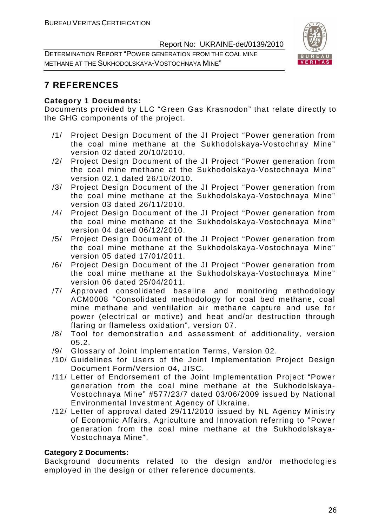DETERMINATION REPORT "POWER GENERATION FROM THE COAL MINE METHANE AT THE SUKHODOLSKAYA-VOSTOCHNAYA MINE"



# **7 REFERENCES**

#### **Category 1 Documents:**

Documents provided by LLC "Green Gas Krasnodon" that relate directly to the GHG components of the project.

- /1/ Project Design Document of the JI Project "Power generation from the coal mine methane at the Sukhodolskaya-Vostochnay Mine" version 02 dated 20/10/2010.
- /2/ Project Design Document of the JI Project "Power generation from the coal mine methane at the Sukhodolskaya-Vostochnaya Mine" version 02.1 dated 26/10/2010.
- /3/ Project Design Document of the JI Project "Power generation from the coal mine methane at the Sukhodolskaya-Vostochnaya Mine" version 03 dated 26/11/2010.
- /4/ Project Design Document of the JI Project "Power generation from the coal mine methane at the Sukhodolskaya-Vostochnaya Mine" version 04 dated 06/12/2010.
- /5/ Project Design Document of the JI Project "Power generation from the coal mine methane at the Sukhodolskaya-Vostochnaya Mine" version 05 dated 17/01/2011.
- /6/ Project Design Document of the JI Project "Power generation from the coal mine methane at the Sukhodolskaya-Vostochnaya Mine" version 06 dated 25/04/2011.
- /7/ Approved consolidated baseline and monitoring methodology ACM0008 "Consolidated methodology for coal bed methane, coal mine methane and ventilation air methane capture and use for power (electrical or motive) and heat and/or destruction through flaring or flameless oxidation", version 07.
- /8/ Tool for demonstration and assessment of additionality, version  $05.2.$
- /9/ Glossary of Joint Implementation Terms, Version 02.
- /10/ Guidelines for Users of the Joint Implementation Project Design Document Form/Version 04, JISC.
- /11/ Letter of Endorsement of the Joint Implementation Project "Power generation from the coal mine methane at the Sukhodolskaya-Vostochnaya Mine" #577/23/7 dated 03/06/2009 issued by National Environmental Investment Agency of Ukraine.
- /12/ Letter of approval dated 29/11/2010 issued by NL Agency Ministry of Economic Affairs, Agriculture and Innovation referring to "Power generation from the coal mine methane at the Sukhodolskaya-Vostochnaya Mine".

#### **Category 2 Documents:**

Background documents related to the design and/or methodologies employed in the design or other reference documents.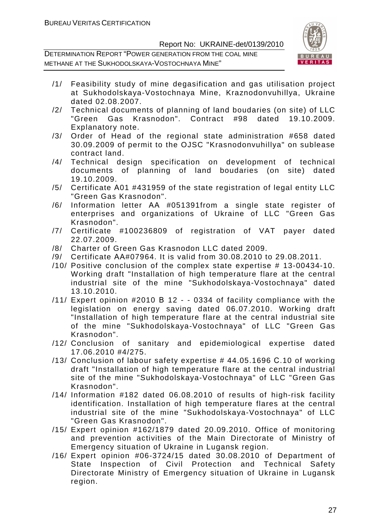

- /1/ Feasibility study of mine degasification and gas utilisation project at Sukhodolskaya-Vostochnaya Mine, Kraznodonvuhillya, Ukraine dated 02.08.2007.
- /2/ Technical documents of planning of land boudaries (on site) of LLC "Green Gas Krasnodon". Contract #98 dated 19.10.2009. Explanatory note.
- /3/ Order of Head of the regional state administration #658 dated 30.09.2009 of permit to the OJSC "Krasnodonvuhillya" on sublease contract land.
- /4/ Technical design specification on development of technical documents of planning of land boudaries (on site) dated 19.10.2009.
- /5/ Certificate А01 #431959 of the state registration of legal entity LLC "Green Gas Krasnodon".
- /6/ Information letter АА #051391from a single state register of enterprises and organizations of Ukraine of LLC "Green Gas Krasnodon".
- /7/ Certificate #100236809 of registration of VAT payer dated 22.07.2009.
- /8/ Charter of Green Gas Krasnodon LLC dated 2009.
- /9/ Certificate АА#07964. It is valid from 30.08.2010 to 29.08.2011.
- /10/ Positive conclusion of the complex state expertise # 13-00434-10. Working draft "Installation of high temperature flare at the central industrial site of the mine "Sukhodolskaya-Vostochnaya" dated 13.10.2010.
- /11/ Expert opinion #2010 В 12 - 0334 of facility compliance with the legislation on energy saving dated 06.07.2010. Working draft "Installation of high temperature flare at the central industrial site of the mine "Sukhodolskaya-Vostochnaya" of LLC "Green Gas Krasnodon".
- /12/ Conclusion of sanitary and epidemiological expertise dated 17.06.2010 #4/275.
- /13/ Conclusion of labour safety expertise # 44.05.1696 С.10 of working draft "Installation of high temperature flare at the central industrial site of the mine "Sukhodolskaya-Vostochnaya" of LLC "Green Gas Krasnodon".
- /14/ Information #182 dated 06.08.2010 of results of high-risk facility identification. Installation of high temperature flares at the central industrial site of the mine "Sukhodolskaya-Vostochnaya" of LLC "Green Gas Krasnodon".
- /15/ Expert opinion #162/1879 dated 20.09.2010. Office of monitoring and prevention activities of the Main Directorate of Ministry of Emergency situation of Ukraine in Lugansk region.
- /16/ Expert opinion #06-3724/15 dated 30.08.2010 of Department of State Inspection of Civil Protection and Technical Safety Directorate Ministry of Emergency situation of Ukraine in Lugansk region.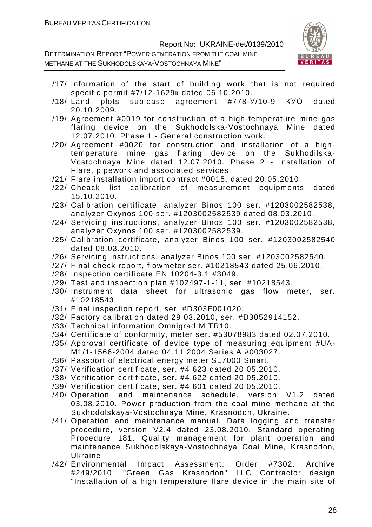

- /17/ Information of the start of building work that is not required specific permit #7/12-1629к dated 06.10.2010.
- /18/ Land plots sublease agreement #778-У/10-9 КУО dated 20.10.2009.
- /19/ Agreement #0019 for construction of a high-temperature mine gas flaring device on the Sukhodolska-Vostochnaya Mine dated 12.07.2010. Phase 1 - General construction work.
- /20/ Agreement #0020 for construction and installation of a hightemperature mine gas flaring device on the Sukhodilska-Vostochnaya Mine dated 12.07.2010. Phase 2 - Installation of Flare, pipework and associated services.
- /21/ Flare installation import contract #0015, dated 20.05.2010.
- /22/ Cheack list calibration of measurement equipments dated 15.10.2010.
- /23/ Calibration certificate, analyzer Binos 100 ser. #1203002582538, analyzer Oxynos 100 ser. #1203002582539 dated 08.03.2010.
- /24/ Servicing instructions, analyzer Binos 100 ser. #1203002582538, analyzer Oxynos 100 ser. #1203002582539.
- /25/ Calibration certificate, analyzer Binos 100 ser. #1203002582540 dated 08.03.2010.
- /26/ Servicing instructions, analyzer Binos 100 ser. #1203002582540.
- /27/ Final check report, flowmeter ser. #10218543 dated 25.06.2010.
- /28/ Inspection certificate EN 10204-3.1 #3049.
- /29/ Test and inspection plan #102497-1-11, ser. #10218543.
- /30/ Instrument data sheet for ultrasonic gas flow meter, ser. #10218543.
- /31/ Final inspection report, ser. #D303F001020.
- /32/ Factory calibration dated 29.03.2010, ser. #D3052914152.
- /33/ Technical information Omnigrad M TR10.
- /34/ Certificate of conformity, meter ser. #53078983 dated 02.07.2010.
- /35/ Approval certificate of device type of measuring equipment #UA-M1/1-1566-2004 dated 04.11.2004 Series А #003027.
- /36/ Passport of electrical energy meter SL7000 Smart.
- /37/ Verification certificate, ser. #4.623 dated 20.05.2010.
- /38/ Verification certificate, ser. #4.622 dated 20.05.2010.
- /39/ Verification certificate, ser. #4.601 dated 20.05.2010.
- /40/ Operation and maintenance schedule, version V1.2 dated 03.08.2010. Power production from the coal mine methane at the Sukhodolskaya-Vostochnaya Mine, Krasnodon, Ukraine.
- /41/ Operation and maintenance manual. Data logging and transfer procedure, version V2.4 dated 23.08.2010. Standard оperating Procedure 181. Quality management for plant operation and maintenance Sukhodolskaya-Vostochnaya Coal Mine, Krasnodon, Ukraine.
- /42/ Environmental Impact Assessment. Order #7302. Archive #249/2010. "Green Gas Krasnodon" LLC Contractor design "Installation of a high temperature flare device in the main site of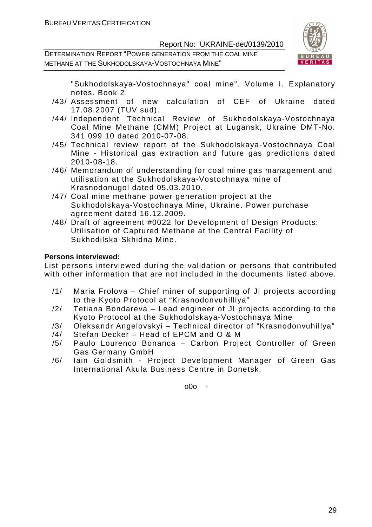DETERMINATION REPORT "POWER GENERATION FROM THE COAL MINE METHANE AT THE SUKHODOLSKAYA-VOSTOCHNAYA MINE"



"Sukhodolskaya-Vostochnaya" coal mine". Volume I. Explanatory notes. Book 2.

- /43/ Assessment of new calculation of CEF of Ukraine dated 17.08.2007 (TUV sud).
- /44/ Independent Technical Review of Sukhodolskaya-Vostochnaya Coal Mine Methane (CMM) Project at Lugansk, Ukraine DMT-No. 341 099 10 dated 2010-07-08.
- /45/ Technical review report of the Sukhodolskaya-Vostochnaya Coal Mine - Historical gas extraction and future gas predictions dated 2010-08-18.
- /46/ Memorandum of understanding for coal mine gas management and utilisation at the Sukhodolskaya-Vostochnaya mine of Krasnodonugol dated 05.03.2010.
- /47/ Coal mine methane power generation project at the Sukhodolskaya-Vostochnaya Mine, Ukraine. Power purchase agreement dated 16.12.2009.
- /48/ Draft of agreement #0022 for Development of Design Products: Utilisation of Captured Methane at the Central Facility of Sukhodilska-Skhidna Mine.

#### **Persons interviewed:**

List persons interviewed during the validation or persons that contributed with other information that are not included in the documents listed above.

- /1/ Maria Frolova Chief miner of supporting of JI projects according to the Kyoto Protocol at "Krasnodonvuhilliya"
- /2/ Tetiana Bondareva Lead engineer of JI projects according to the Kyoto Protocol at the Sukhodolskaya-Vostochnaya Mine
- /3/ Oleksandr Angelovskyi Technical director of "Krasnodonvuhillya"
- /4/ Stefan Decker Head of EPCM and O & M
- /5/ Paulo Lourenco Bonanca Carbon Project Controller of Green Gas Germany GmbH
- /6/ Iain Goldsmith Project Development Manager of Green Gas International Akula Business Centre in Donetsk.

o0o -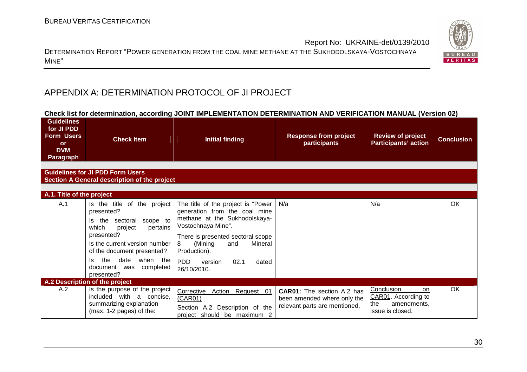DETERMINATION REPORT "POWER GENERATION FROM THE COAL MINE METHANE AT THE SUKHODOLSKAYA-VOSTOCHNAYA MINE"

# APPENDIX A: DETERMINATION PROTOCOL OF JI PROJECT

#### **Check list for determination, according JOINT IMPLEMENTATION DETERMINATION AND VERIFICATION MANUAL (Version 02)**

| <b>Guidelines</b><br>for JI PDD<br><b>Form Users</b><br><b>or</b><br><b>DVM</b><br><b>Paragraph</b> | <b>Check Item</b>                                                                                                                                                                                                                                                        | <b>Initial finding</b>                                                                                                                                                                                                                                                          | <b>Response from project</b><br>participants                                                      | <b>Review of project</b><br><b>Participants' action</b>                                  | <b>Conclusion</b> |
|-----------------------------------------------------------------------------------------------------|--------------------------------------------------------------------------------------------------------------------------------------------------------------------------------------------------------------------------------------------------------------------------|---------------------------------------------------------------------------------------------------------------------------------------------------------------------------------------------------------------------------------------------------------------------------------|---------------------------------------------------------------------------------------------------|------------------------------------------------------------------------------------------|-------------------|
|                                                                                                     | <b>Guidelines for JI PDD Form Users</b><br>Section A General description of the project                                                                                                                                                                                  |                                                                                                                                                                                                                                                                                 |                                                                                                   |                                                                                          |                   |
| A.1. Title of the project                                                                           |                                                                                                                                                                                                                                                                          |                                                                                                                                                                                                                                                                                 |                                                                                                   |                                                                                          |                   |
| A.1                                                                                                 | Is the title of the project<br>presented?<br>the<br>sectoral<br>scope to<br>ls.<br>which<br>project<br>pertains<br>presented?<br>Is the current version number<br>of the document presented?<br>the<br>date<br>when the<br>Is<br>document was<br>completed<br>presented? | The title of the project is "Power<br>generation from the coal mine<br>methane at the Sukhodolskaya-<br>Vostochnaya Mine".<br>There is presented sectoral scope<br>(Mining<br>Mineral<br>and<br>8<br>Production).<br>PD <sub>D</sub><br>02.1<br>dated<br>version<br>26/10/2010. | N/a                                                                                               | N/a                                                                                      | OK                |
|                                                                                                     | A.2 Description of the project                                                                                                                                                                                                                                           |                                                                                                                                                                                                                                                                                 |                                                                                                   |                                                                                          |                   |
| A.2                                                                                                 | Is the purpose of the project<br>included with a concise,<br>summarizing explanation<br>(max. 1-2 pages) of the:                                                                                                                                                         | Corrective<br>Action Request 01<br>(CAR01)<br>Section A.2 Description of the<br>project should be maximum 2                                                                                                                                                                     | <b>CAR01:</b> The section A.2 has<br>been amended where only the<br>relevant parts are mentioned. | Conclusion<br><b>on</b><br>CAR01. According to<br>amendments,<br>the<br>issue is closed. | OK                |

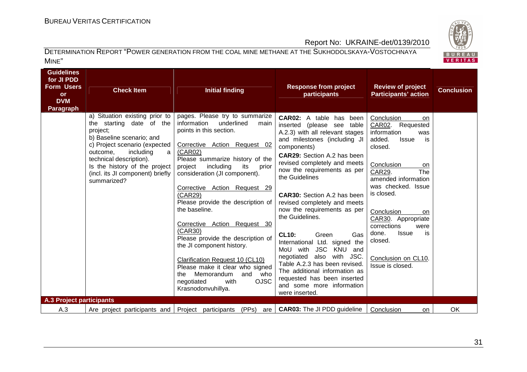

| <b>Guidelines</b><br>for JI PDD<br><b>Form Users</b><br><b>or</b><br><b>DVM</b><br><b>Paragraph</b> | <b>Check Item</b>                                                                                                                                                                                                                                                                   | <b>Initial finding</b>                                                                                                                                                                                                                                                                                                                                                                                                                                                                                                                                                                                                                  | <b>Response from project</b><br>participants                                                                                                                                                                                                                                                                                                                                                                                                                                                                                                                                                                                                                                        | <b>Review of project</b><br><b>Participants' action</b>                                                                                                                                                                                                                                                                                                             | <b>Conclusion</b> |
|-----------------------------------------------------------------------------------------------------|-------------------------------------------------------------------------------------------------------------------------------------------------------------------------------------------------------------------------------------------------------------------------------------|-----------------------------------------------------------------------------------------------------------------------------------------------------------------------------------------------------------------------------------------------------------------------------------------------------------------------------------------------------------------------------------------------------------------------------------------------------------------------------------------------------------------------------------------------------------------------------------------------------------------------------------------|-------------------------------------------------------------------------------------------------------------------------------------------------------------------------------------------------------------------------------------------------------------------------------------------------------------------------------------------------------------------------------------------------------------------------------------------------------------------------------------------------------------------------------------------------------------------------------------------------------------------------------------------------------------------------------------|---------------------------------------------------------------------------------------------------------------------------------------------------------------------------------------------------------------------------------------------------------------------------------------------------------------------------------------------------------------------|-------------------|
|                                                                                                     | a) Situation existing prior to<br>the starting date of the<br>project;<br>b) Baseline scenario; and<br>c) Project scenario (expected<br>outcome,<br>including<br>a l<br>technical description).<br>Is the history of the project<br>(incl. its JI component) briefly<br>summarized? | pages. Please try to summarize<br>underlined<br>information<br>main<br>points in this section.<br>Corrective Action Request 02<br>(CAR02)<br>Please summarize history of the<br>including<br>project<br>its<br>prior<br>consideration (JI component).<br>Corrective Action Request 29<br>(CAR29)<br>Please provide the description of<br>the baseline.<br>Corrective Action Request 30<br>(CAR30)<br>Please provide the description of<br>the JI component history.<br>Clarification Request 10 (CL10)<br>Please make it clear who signed<br>who<br>Memorandum<br>and<br>the<br><b>OJSC</b><br>with<br>negotiated<br>Krasnodonvuhillya. | <b>CAR02:</b> A table has been<br>inserted (please see table<br>A.2.3) with all relevant stages<br>and milestones (including JI<br>components)<br><b>CAR29:</b> Section A.2 has been<br>revised completely and meets<br>now the requirements as per<br>the Guidelines<br><b>CAR30:</b> Section A.2 has been<br>revised completely and meets<br>now the requirements as per<br>the Guidelines.<br><b>CL10:</b><br>Green<br>Gas<br>International Ltd. signed the<br><b>JSC</b><br>KNU<br>MoU with<br>and<br>negotiated also with JSC.<br>Table A.2.3 has been revised.<br>The additional information as<br>requested has been inserted<br>and some more information<br>were inserted. | Conclusion<br>on.<br>CAR02. Requested<br>information<br>was<br>added.<br>is<br><b>Issue</b><br>closed.<br>Conclusion<br>on<br>The<br><b>CAR29.</b><br>amended information<br>was checked. Issue<br>is closed.<br>Conclusion<br>on<br>CAR30. Appropriate<br>corrections<br>were<br>done.<br><b>Issue</b><br>is<br>closed.<br>Conclusion on CL10.<br>Issue is closed. |                   |
| <b>A.3 Project participants</b><br>A.3                                                              |                                                                                                                                                                                                                                                                                     | (PPs)                                                                                                                                                                                                                                                                                                                                                                                                                                                                                                                                                                                                                                   | <b>CAR03:</b> The JI PDD guideline                                                                                                                                                                                                                                                                                                                                                                                                                                                                                                                                                                                                                                                  | Conclusion                                                                                                                                                                                                                                                                                                                                                          | OK                |
|                                                                                                     | Are project participants and                                                                                                                                                                                                                                                        | Project<br>participants<br>are                                                                                                                                                                                                                                                                                                                                                                                                                                                                                                                                                                                                          |                                                                                                                                                                                                                                                                                                                                                                                                                                                                                                                                                                                                                                                                                     | <b>on</b>                                                                                                                                                                                                                                                                                                                                                           |                   |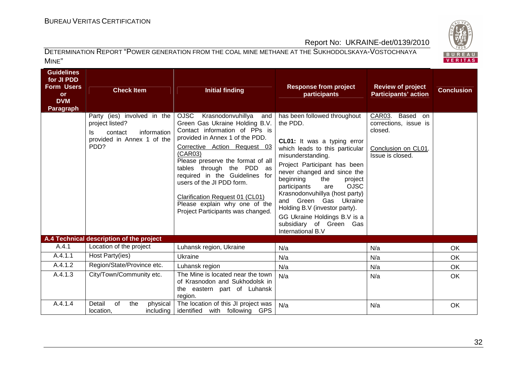

| <b>Guidelines</b><br>for JI PDD<br><b>Form Users</b><br><b>or</b><br><b>DVM</b><br><b>Paragraph</b> | <b>Check Item</b><br>Party (ies) involved in the                                      | <b>Initial finding</b><br>OJSC Krasnodonvuhillya<br>and                                                                                                                                                                                                                                                                                                                                 | <b>Response from project</b><br>participants<br>has been followed throughout                                                                                                                                                                                                                                                                                                                                      | <b>Review of project</b><br><b>Participants' action</b><br>CAR03.<br>Based on | <b>Conclusion</b> |
|-----------------------------------------------------------------------------------------------------|---------------------------------------------------------------------------------------|-----------------------------------------------------------------------------------------------------------------------------------------------------------------------------------------------------------------------------------------------------------------------------------------------------------------------------------------------------------------------------------------|-------------------------------------------------------------------------------------------------------------------------------------------------------------------------------------------------------------------------------------------------------------------------------------------------------------------------------------------------------------------------------------------------------------------|-------------------------------------------------------------------------------|-------------------|
|                                                                                                     | project listed?<br>information<br>contact<br>Is<br>provided in Annex 1 of the<br>PDD? | Green Gas Ukraine Holding B.V.<br>Contact information of PPs is<br>provided in Annex 1 of the PDD.<br>Corrective Action Request 03<br>(CAR03)<br>Please preserve the format of all<br>tables through the PDD as<br>required in the Guidelines for<br>users of the JI PDD form.<br>Clarification Request 01 (CL01)<br>Please explain why one of the<br>Project Participants was changed. | the PDD.<br>CL01: It was a typing error<br>which leads to this particular<br>misunderstanding.<br>Project Participant has been<br>never changed and since the<br>beginning<br>the<br>project<br><b>OJSC</b><br>participants<br>are<br>Krasnodonvuhillya (host party)<br>and Green Gas<br>Ukraine<br>Holding B.V (investor party).<br>GG Ukraine Holdings B.V is a<br>subsidiary of Green Gas<br>International B.V | corrections, issue is<br>closed.<br>Conclusion on CL01.<br>Issue is closed.   |                   |
|                                                                                                     | A.4 Technical description of the project                                              |                                                                                                                                                                                                                                                                                                                                                                                         |                                                                                                                                                                                                                                                                                                                                                                                                                   |                                                                               |                   |
| A.4.1                                                                                               | Location of the project                                                               | Luhansk region, Ukraine                                                                                                                                                                                                                                                                                                                                                                 | N/a                                                                                                                                                                                                                                                                                                                                                                                                               | N/a                                                                           | OK                |
| A.4.1.1                                                                                             | Host Party(ies)                                                                       | Ukraine                                                                                                                                                                                                                                                                                                                                                                                 | N/a                                                                                                                                                                                                                                                                                                                                                                                                               | N/a                                                                           | OK                |
| A.4.1.2                                                                                             | Region/State/Province etc.                                                            | Luhansk region                                                                                                                                                                                                                                                                                                                                                                          | N/a                                                                                                                                                                                                                                                                                                                                                                                                               | N/a                                                                           | OK                |
| A.4.1.3                                                                                             | City/Town/Community etc.                                                              | The Mine is located near the town<br>of Krasnodon and Sukhodolsk in<br>the eastern part of Luhansk<br>region.                                                                                                                                                                                                                                                                           | N/a                                                                                                                                                                                                                                                                                                                                                                                                               | N/a                                                                           | OK                |
| A.4.1.4                                                                                             | Detail<br>of<br>the<br>physical<br>location,<br>including                             | The location of this JI project was<br>identified with following GPS                                                                                                                                                                                                                                                                                                                    | N/a                                                                                                                                                                                                                                                                                                                                                                                                               | N/a                                                                           | OK                |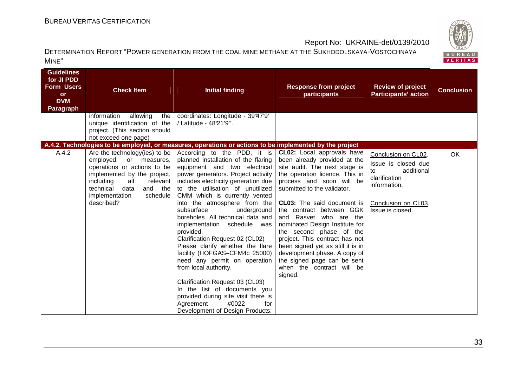

| <b>Guidelines</b><br>for JI PDD<br><b>Form Users</b><br>or<br><b>DVM</b><br><b>Paragraph</b> | <b>Check Item</b><br>information<br>allowing<br>the  <br>unique identification of the<br>project. (This section should<br>not exceed one page)                                                                                     | <b>Initial finding</b><br>coordinates: Longitude - 39°47'9"<br>/ Latitude - 4821'9".                                                                                                                                                                                                                                                                                                                                                                                                                                                                                                                                                                                                                                                          | <b>Response from project</b><br>participants                                                                                                                                                                                                                                                                                                                                                                                                                                                                                   | <b>Review of project</b><br><b>Participants' action</b>                                                                                    | <b>Conclusion</b> |
|----------------------------------------------------------------------------------------------|------------------------------------------------------------------------------------------------------------------------------------------------------------------------------------------------------------------------------------|-----------------------------------------------------------------------------------------------------------------------------------------------------------------------------------------------------------------------------------------------------------------------------------------------------------------------------------------------------------------------------------------------------------------------------------------------------------------------------------------------------------------------------------------------------------------------------------------------------------------------------------------------------------------------------------------------------------------------------------------------|--------------------------------------------------------------------------------------------------------------------------------------------------------------------------------------------------------------------------------------------------------------------------------------------------------------------------------------------------------------------------------------------------------------------------------------------------------------------------------------------------------------------------------|--------------------------------------------------------------------------------------------------------------------------------------------|-------------------|
|                                                                                              |                                                                                                                                                                                                                                    | A.4.2. Technologies to be employed, or measures, operations or actions to be implemented by the project                                                                                                                                                                                                                                                                                                                                                                                                                                                                                                                                                                                                                                       |                                                                                                                                                                                                                                                                                                                                                                                                                                                                                                                                |                                                                                                                                            |                   |
| A.4.2                                                                                        | Are the technology (ies) to be<br>employed, or measures,<br>operations or actions to be<br>implemented by the project,<br>including<br>all<br>relevant<br>technical<br>data<br>and the<br>implementation<br>schedule<br>described? | According to the PDD, it is<br>planned installation of the flaring<br>equipment and two electrical<br>power generators. Project activity<br>includes electricity generation due<br>to the utilisation of unutilized<br>CMM which is currently vented<br>into the atmosphere from the<br>subsurface<br>underground<br>boreholes. All technical data and<br>implementation schedule was<br>provided.<br>Clarification Request 02 (CL02)<br>Please clarify whether the flare<br>facility (HOFGAS-CFM4c 25000)<br>need any permit on operation<br>from local authority.<br>Clarification Request 03 (CL03)<br>In the list of documents you<br>provided during site visit there is<br>Agreement<br>#0022<br>for<br>Development of Design Products: | CL02: Local approvals have<br>been already provided at the<br>site audit. The next stage is<br>the operation licence. This in<br>process and soon will be<br>submitted to the validator.<br><b>CL03:</b> The said document is<br>the contract between GGK<br>and Rasvet who are the<br>nominated Design Institute for<br>the second phase of the<br>project. This contract has not<br>been signed yet as still it is in<br>development phase. A copy of<br>the signed page can be sent<br>when the contract will be<br>signed. | Conclusion on CL02.<br>Issue is closed due<br>additional<br>to<br>clarification<br>information.<br>Conclusion on CL03.<br>Issue is closed. | <b>OK</b>         |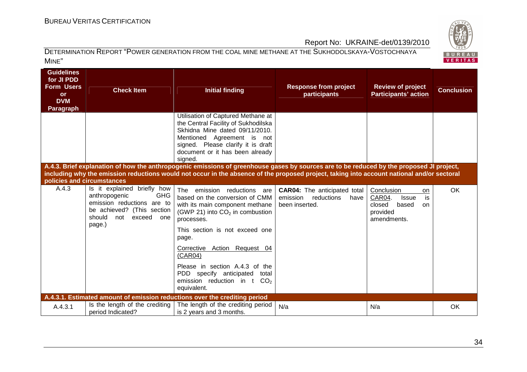

| <b>Guidelines</b><br>for JI PDD<br><b>Form Users</b><br><b>or</b><br><b>DVM</b><br>Paragraph | <b>Check Item</b>                                                                                                                                               | <b>Initial finding</b><br>Utilisation of Captured Methane at                                                                                                                                                                                                                                                                                                                | <b>Response from project</b><br>participants                                            | <b>Review of project</b><br><b>Participants' action</b>                                                            | <b>Conclusion</b> |
|----------------------------------------------------------------------------------------------|-----------------------------------------------------------------------------------------------------------------------------------------------------------------|-----------------------------------------------------------------------------------------------------------------------------------------------------------------------------------------------------------------------------------------------------------------------------------------------------------------------------------------------------------------------------|-----------------------------------------------------------------------------------------|--------------------------------------------------------------------------------------------------------------------|-------------------|
|                                                                                              |                                                                                                                                                                 | the Central Facility of Sukhodilska<br>Skhidna Mine dated 09/11/2010.<br>Mentioned Agreement is not<br>signed. Please clarify it is draft<br>document or it has been already<br>signed.                                                                                                                                                                                     |                                                                                         |                                                                                                                    |                   |
| policies and circumstances                                                                   |                                                                                                                                                                 | A.4.3. Brief explanation of how the anthropogenic emissions of greenhouse gases by sources are to be reduced by the proposed JI project,<br>including why the emission reductions would not occur in the absence of the proposed project, taking into account national and/or sectoral                                                                                      |                                                                                         |                                                                                                                    |                   |
| A.4.3                                                                                        | Is it explained briefly how<br><b>GHG</b><br>anthropogenic<br>emission reductions are to<br>be achieved? (This section<br>should<br>not exceed<br>one<br>page.) | The emission reductions are<br>based on the conversion of CMM<br>with its main component methane<br>(GWP 21) into $CO2$ in combustion<br>processes.<br>This section is not exceed one<br>page.<br>Corrective Action Request 04<br>(CAR04)<br>Please in section A.4.3 of the<br>PDD specify anticipated<br>total<br>emission reduction in $t$ CO <sub>2</sub><br>equivalent. | <b>CAR04:</b> The anticipated total<br>emission<br>reductions<br>have<br>been inserted. | Conclusion<br><b>on</b><br>CAR04.<br>is<br><b>Issue</b><br>closed<br>based<br><b>on</b><br>provided<br>amendments. | OK                |
|                                                                                              |                                                                                                                                                                 | A.4.3.1. Estimated amount of emission reductions over the crediting period                                                                                                                                                                                                                                                                                                  |                                                                                         |                                                                                                                    |                   |
| A.4.3.1                                                                                      | Is the length of the crediting<br>period Indicated?                                                                                                             | The length of the crediting period<br>is 2 years and 3 months.                                                                                                                                                                                                                                                                                                              | N/a                                                                                     | N/a                                                                                                                | OK                |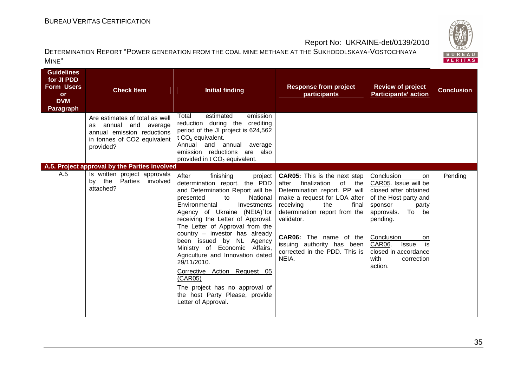

| <b>Guidelines</b><br>for JI PDD<br><b>Form Users</b><br><b>or</b><br><b>DVM</b><br>Paragraph | <b>Check Item</b><br>Are estimates of total as well<br>annual and average<br>as                                       | <b>Initial finding</b><br>estimated<br>emission<br>Total<br>reduction during the crediting                                                                                                                                                                                                                                                                                                                                                                                                                                                                        | <b>Response from project</b><br>participants                                                                                                                                                                                                                                                                                      | <b>Review of project</b><br><b>Participants' action</b>                                                                                                                                                                                                        | <b>Conclusion</b> |
|----------------------------------------------------------------------------------------------|-----------------------------------------------------------------------------------------------------------------------|-------------------------------------------------------------------------------------------------------------------------------------------------------------------------------------------------------------------------------------------------------------------------------------------------------------------------------------------------------------------------------------------------------------------------------------------------------------------------------------------------------------------------------------------------------------------|-----------------------------------------------------------------------------------------------------------------------------------------------------------------------------------------------------------------------------------------------------------------------------------------------------------------------------------|----------------------------------------------------------------------------------------------------------------------------------------------------------------------------------------------------------------------------------------------------------------|-------------------|
|                                                                                              | annual emission reductions<br>in tonnes of CO2 equivalent<br>provided?                                                | period of the JI project is 624,562<br>t $CO2$ equivalent.<br>Annual and annual<br>average<br>emission reductions are also<br>provided in $t \text{ CO}_2$ equivalent.                                                                                                                                                                                                                                                                                                                                                                                            |                                                                                                                                                                                                                                                                                                                                   |                                                                                                                                                                                                                                                                |                   |
| A.5                                                                                          | A.5. Project approval by the Parties involved<br>Is written project approvals<br>by the Parties involved<br>attached? | After<br>finishing<br>project<br>determination report, the PDD<br>and Determination Report will be<br>presented<br>National<br>to<br>Environmental<br>Investments<br>Agency of Ukraine (NEIA) for<br>receiving the Letter of Approval.<br>The Letter of Approval from the<br>country - investor has already<br>been issued by NL Agency<br>Ministry of Economic Affairs,<br>Agriculture and Innovation dated<br>29/11/2010.<br>Corrective Action Request 05<br>(CAR05)<br>The project has no approval of<br>the host Party Please, provide<br>Letter of Approval. | <b>CAR05:</b> This is the next step<br>finalization<br>of<br>after<br>the<br>Determination report. PP will<br>make a request for LOA after<br>the<br>final<br>receiving<br>determination report from the<br>validator.<br><b>CAR06:</b> The name of the  <br>issuing authority has been<br>corrected in the PDD. This is<br>NEIA. | Conclusion<br>on<br>CAR05. Issue will be<br>closed after obtained<br>of the Host party and<br>sponsor<br>party<br>To be<br>approvals.<br>pending.<br>Conclusion<br>on<br>CAR06.<br>is<br><b>Issue</b><br>closed in accordance<br>with<br>correction<br>action. | Pending           |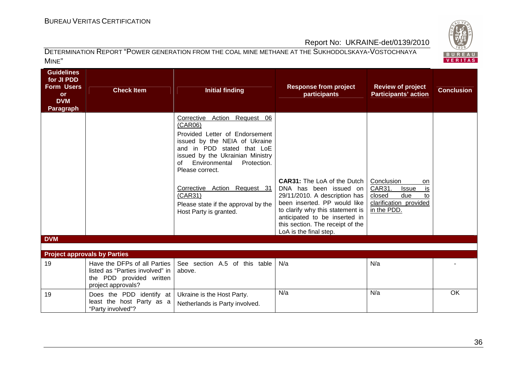# BUREAU <sup>V</sup>ERITAS <sup>C</sup>ERTIFICATION

BUREAU<br>VERITAS

## Report No: UKRAINE-det/0139/2010

| Guidelines<br>for JI PDD<br><b>Form Users</b><br><b>or</b><br><b>DVM</b><br>Paragraph | <b>Check Item</b>                                                                                                 | <b>Initial finding</b>                                                                                                                                                                                                                                                                                                                            | <b>Response from project</b><br>participants                                                                                                                                                                                                                     | <b>Review of project</b><br><b>Participants' action</b>                                                          | <b>Conclusion</b> |
|---------------------------------------------------------------------------------------|-------------------------------------------------------------------------------------------------------------------|---------------------------------------------------------------------------------------------------------------------------------------------------------------------------------------------------------------------------------------------------------------------------------------------------------------------------------------------------|------------------------------------------------------------------------------------------------------------------------------------------------------------------------------------------------------------------------------------------------------------------|------------------------------------------------------------------------------------------------------------------|-------------------|
|                                                                                       |                                                                                                                   | Corrective Action Request 06<br>(CAR06)<br>Provided Letter of Endorsement<br>issued by the NEIA of Ukraine<br>and in PDD stated that LoE<br>issued by the Ukrainian Ministry<br>Environmental<br>Protection.<br>of<br>Please correct.<br>Corrective Action Request 31<br>(CAR31)<br>Please state if the approval by the<br>Host Party is granted. | <b>CAR31:</b> The LoA of the Dutch<br>DNA has been issued on<br>29/11/2010. A description has<br>been inserted. PP would like<br>to clarify why this statement is<br>anticipated to be inserted in<br>this section. The receipt of the<br>LoA is the final step. | Conclusion<br>on<br>CAR31.<br>is<br><b>Issue</b><br>closed<br>due<br>t٥<br>clarification provided<br>in the PDD. |                   |
| <b>DVM</b>                                                                            |                                                                                                                   |                                                                                                                                                                                                                                                                                                                                                   |                                                                                                                                                                                                                                                                  |                                                                                                                  |                   |
|                                                                                       |                                                                                                                   |                                                                                                                                                                                                                                                                                                                                                   |                                                                                                                                                                                                                                                                  |                                                                                                                  |                   |
|                                                                                       | <b>Project approvals by Parties</b>                                                                               |                                                                                                                                                                                                                                                                                                                                                   |                                                                                                                                                                                                                                                                  |                                                                                                                  |                   |
| 19                                                                                    | Have the DFPs of all Parties<br>listed as "Parties involved" in<br>the PDD provided written<br>project approvals? | See section A.5 of this table<br>above.                                                                                                                                                                                                                                                                                                           | N/a                                                                                                                                                                                                                                                              | N/a                                                                                                              |                   |
| 19                                                                                    | Does the PDD identify at<br>least the host Party as a<br>"Party involved"?                                        | Ukraine is the Host Party.<br>Netherlands is Party involved.                                                                                                                                                                                                                                                                                      | N/a                                                                                                                                                                                                                                                              | N/a                                                                                                              | OK                |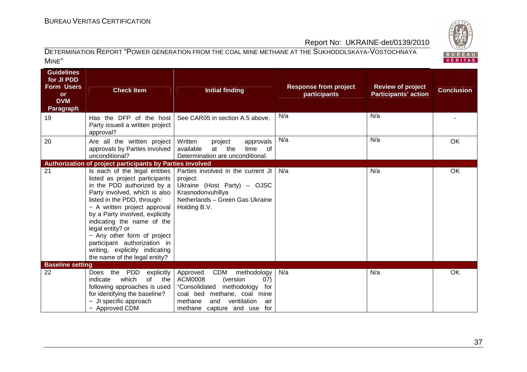

| <b>Guidelines</b><br>for JI PDD<br><b>Form Users</b><br><b>or</b><br><b>DVM</b><br><b>Paragraph</b> | <b>Check Item</b>                                                                                                                                                                                                                                                                                                                                                                                                    | <b>Initial finding</b>                                                                                                                                                                                                   | <b>Response from project</b><br>participants | <b>Review of project</b><br><b>Participants' action</b> | <b>Conclusion</b> |
|-----------------------------------------------------------------------------------------------------|----------------------------------------------------------------------------------------------------------------------------------------------------------------------------------------------------------------------------------------------------------------------------------------------------------------------------------------------------------------------------------------------------------------------|--------------------------------------------------------------------------------------------------------------------------------------------------------------------------------------------------------------------------|----------------------------------------------|---------------------------------------------------------|-------------------|
| 19                                                                                                  | Has the DFP of the host<br>Party issued a written project<br>approval?                                                                                                                                                                                                                                                                                                                                               | See CAR05 in section A.5 above.                                                                                                                                                                                          | N/a                                          | N/a                                                     |                   |
| 20                                                                                                  | Are all the written project<br>approvals by Parties involved<br>unconditional?                                                                                                                                                                                                                                                                                                                                       | Written<br>approvals<br>project<br>the<br>available<br>at<br>time<br>of<br>Determination are unconditional.                                                                                                              | N/a                                          | N/a                                                     | OK                |
|                                                                                                     | Authorization of project participants by Parties involved                                                                                                                                                                                                                                                                                                                                                            |                                                                                                                                                                                                                          |                                              |                                                         |                   |
| 21                                                                                                  | Is each of the legal entities<br>listed as project participants<br>in the PDD authorized by a<br>Party involved, which is also<br>listed in the PDD, through:<br>- A written project approval<br>by a Party involved, explicitly<br>indicating the name of the<br>legal entity? or<br>- Any other form of project<br>participant authorization in<br>writing, explicitly indicating<br>the name of the legal entity? | Parties involved in the current JI<br>project:<br>Ukraine (Host Party) - OJSC<br>Krasnodonvuhillya<br>Netherlands - Green Gas Ukraine<br>Holding B.V.                                                                    | N/a                                          | N/a                                                     | OK                |
| <b>Baseline setting</b>                                                                             |                                                                                                                                                                                                                                                                                                                                                                                                                      |                                                                                                                                                                                                                          |                                              |                                                         |                   |
| 22                                                                                                  | <b>PDD</b><br>the<br>explicitly<br><b>Does</b><br>of<br>which<br>indicate<br>the<br>following approaches is used<br>for identifying the baseline?<br>JI specific approach<br>- Approved CDM                                                                                                                                                                                                                          | <b>CDM</b><br>methodology<br>Approved<br><b>ACM0008</b><br>(07)<br>(version<br>"Consolidated<br>methodology<br>for<br>coal bed methane, coal mine<br>methane<br>ventilation<br>and<br>air<br>methane capture and use for | N/a                                          | N/a                                                     | OK                |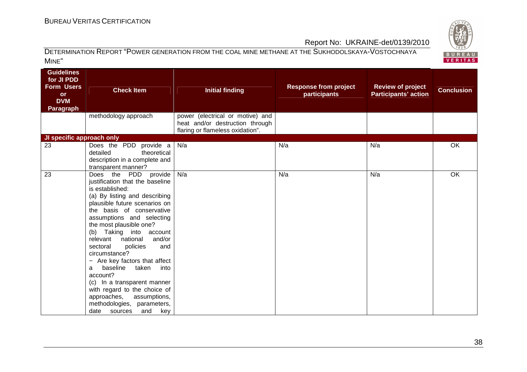

| <b>Guidelines</b><br>for JI PDD<br><b>Form Users</b><br><b>or</b><br><b>DVM</b><br><b>Paragraph</b> | <b>Check Item</b><br>methodology approach                                                                                                                                                                                                                                                                                                                                                                                                                                                                                                                                                  | <b>Initial finding</b><br>power (electrical or motive) and          | <b>Response from project</b><br>participants | <b>Review of project</b><br><b>Participants' action</b> | <b>Conclusion</b> |
|-----------------------------------------------------------------------------------------------------|--------------------------------------------------------------------------------------------------------------------------------------------------------------------------------------------------------------------------------------------------------------------------------------------------------------------------------------------------------------------------------------------------------------------------------------------------------------------------------------------------------------------------------------------------------------------------------------------|---------------------------------------------------------------------|----------------------------------------------|---------------------------------------------------------|-------------------|
|                                                                                                     |                                                                                                                                                                                                                                                                                                                                                                                                                                                                                                                                                                                            | heat and/or destruction through<br>flaring or flameless oxidation". |                                              |                                                         |                   |
| JI specific approach only                                                                           |                                                                                                                                                                                                                                                                                                                                                                                                                                                                                                                                                                                            |                                                                     |                                              |                                                         |                   |
| 23                                                                                                  | Does the PDD provide a<br>theoretical<br>detailed<br>description in a complete and<br>transparent manner?                                                                                                                                                                                                                                                                                                                                                                                                                                                                                  | N/a                                                                 | N/a                                          | N/a                                                     | OK                |
| 23                                                                                                  | Does the PDD<br>provide<br>justification that the baseline<br>is established:<br>(a) By listing and describing<br>plausible future scenarios on<br>the basis of conservative<br>assumptions and selecting<br>the most plausible one?<br>(b) Taking into account<br>national<br>relevant<br>and/or<br>sectoral<br>policies<br>and<br>circumstance?<br>- Are key factors that affect<br>baseline<br>taken<br>into<br>a<br>account?<br>(c) In a transparent manner<br>with regard to the choice of<br>approaches,<br>assumptions,<br>methodologies, parameters,<br>date sources<br>and<br>key | N/a                                                                 | N/a                                          | N/a                                                     | <b>OK</b>         |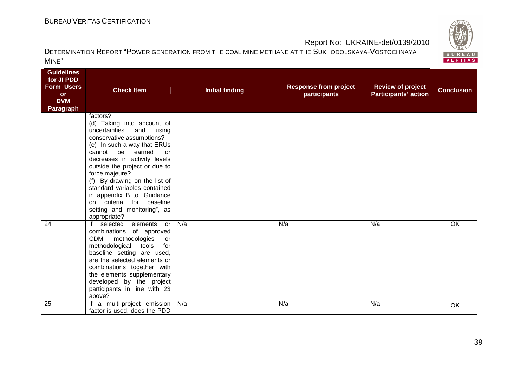

| <b>Guidelines</b><br>for JI PDD<br><b>Form Users</b><br><b>or</b><br><b>DVM</b><br><b>Paragraph</b> | <b>Check Item</b>                                                                                                                                                                                                                                                                                                                                                                                                                  | <b>Initial finding</b> | <b>Response from project</b><br>participants | <b>Review of project</b><br><b>Participants' action</b> | <b>Conclusion</b> |
|-----------------------------------------------------------------------------------------------------|------------------------------------------------------------------------------------------------------------------------------------------------------------------------------------------------------------------------------------------------------------------------------------------------------------------------------------------------------------------------------------------------------------------------------------|------------------------|----------------------------------------------|---------------------------------------------------------|-------------------|
|                                                                                                     | factors?<br>(d) Taking into account of<br>uncertainties<br>and<br>using<br>conservative assumptions?<br>(e) In such a way that ERUs<br>be earned<br>cannot<br>for<br>decreases in activity levels<br>outside the project or due to<br>force majeure?<br>(f) By drawing on the list of<br>standard variables contained<br>in appendix B to "Guidance<br>criteria for baseline<br>on.<br>setting and monitoring", as<br>appropriate? |                        |                                              |                                                         |                   |
| 24                                                                                                  | If selected elements or<br>combinations of approved<br><b>CDM</b><br>methodologies<br>or<br>methodological tools<br>for<br>baseline setting are used,<br>are the selected elements or<br>combinations together with<br>the elements supplementary<br>developed by the project<br>participants in line with 23<br>above?                                                                                                            | N/a                    | N/a                                          | N/a                                                     | <b>OK</b>         |
| 25                                                                                                  | If a multi-project emission   N/a<br>factor is used, does the PDD                                                                                                                                                                                                                                                                                                                                                                  |                        | N/a                                          | N/a                                                     | OK                |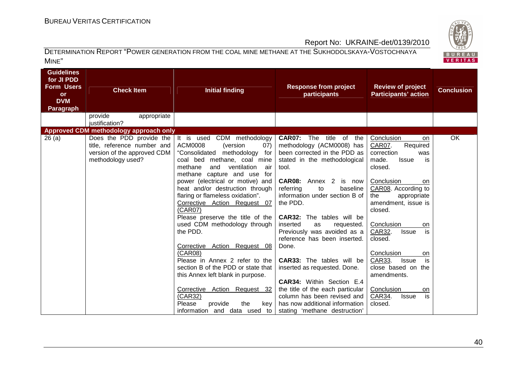

| <b>Guidelines</b><br>for JI PDD<br><b>Form Users</b><br><b>Check Item</b><br><b>or</b><br><b>DVM</b><br><b>Paragraph</b><br>provide<br>appropriate<br>justification? | <b>Initial finding</b>                                                                                                                                                                                                                                                                                                                                                                                                                                                                                                                                                                                                                                                                                                 | <b>Response from project</b><br>participants                                                                                                                                                                                                                                                                                                                                                                                                                                                                                                                                                                                                   | <b>Review of project</b><br><b>Participants' action</b>                                                                                                                                                                                                                                                                                                                                                                                | <b>Conclusion</b> |
|----------------------------------------------------------------------------------------------------------------------------------------------------------------------|------------------------------------------------------------------------------------------------------------------------------------------------------------------------------------------------------------------------------------------------------------------------------------------------------------------------------------------------------------------------------------------------------------------------------------------------------------------------------------------------------------------------------------------------------------------------------------------------------------------------------------------------------------------------------------------------------------------------|------------------------------------------------------------------------------------------------------------------------------------------------------------------------------------------------------------------------------------------------------------------------------------------------------------------------------------------------------------------------------------------------------------------------------------------------------------------------------------------------------------------------------------------------------------------------------------------------------------------------------------------------|----------------------------------------------------------------------------------------------------------------------------------------------------------------------------------------------------------------------------------------------------------------------------------------------------------------------------------------------------------------------------------------------------------------------------------------|-------------------|
| Approved CDM methodology approach only                                                                                                                               |                                                                                                                                                                                                                                                                                                                                                                                                                                                                                                                                                                                                                                                                                                                        |                                                                                                                                                                                                                                                                                                                                                                                                                                                                                                                                                                                                                                                |                                                                                                                                                                                                                                                                                                                                                                                                                                        |                   |
| 26(a)<br>Does the PDD provide the<br>title, reference number and<br>version of the approved CDM<br>methodology used?                                                 | It is used CDM methodology<br><b>ACM0008</b><br>(version<br>(07)<br>"Consolidated<br>methodology for<br>coal bed methane, coal mine<br>methane<br>and<br>ventilation<br>air<br>methane capture and use for<br>power (electrical or motive) and<br>heat and/or destruction through<br>flaring or flameless oxidation".<br>Corrective Action Request 07<br>(CAR07)<br>Please preserve the title of the<br>used CDM methodology through<br>the PDD.<br>Corrective Action Request 08<br>(CAR08)<br>Please in Annex 2 refer to the<br>section B of the PDD or state that<br>this Annex left blank in purpose.<br>Corrective Action Request 32<br>(CAR32)<br>Please<br>provide<br>the<br>key<br>information and data used to | <b>CAR07:</b> The title of the<br>methodology (ACM0008) has<br>been corrected in the PDD as<br>stated in the methodological<br>tool.<br><b>CAR08:</b> Annex 2<br>is now<br>baseline<br>referring<br>to<br>information under section B of<br>the PDD.<br><b>CAR32:</b> The tables will be<br>inserted<br>as<br>requested.<br>Previously was avoided as a<br>reference has been inserted.<br>Done.<br><b>CAR33:</b> The tables will be<br>inserted as requested. Done.<br><b>CAR34:</b> Within Section E.4<br>the title of the each particular<br>column has been revised and<br>has now additional information<br>stating 'methane destruction' | Conclusion<br>on<br>Required<br><b>CAR07.</b><br>correction<br>was<br>made.<br><b>Issue</b><br>is<br>closed.<br>Conclusion<br>on<br>CAR08. According to<br>the<br>appropriate<br>amendment, issue is<br>closed.<br>Conclusion<br>on<br>is<br>CAR32.<br><b>Issue</b><br>closed.<br>Conclusion<br>on<br>is<br>CAR33.<br><b>Issue</b><br>close based on the<br>amendments.<br>Conclusion<br>on<br>is<br>CAR34.<br><b>Issue</b><br>closed. | OK                |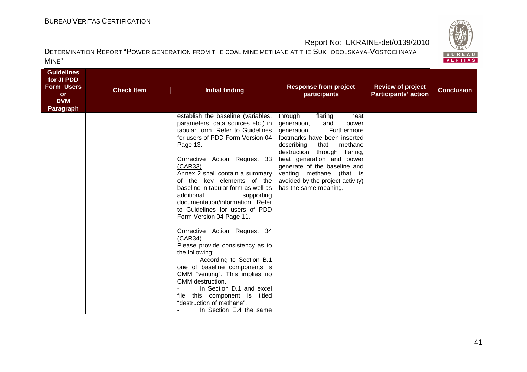

| <b>Guidelines</b><br>for JI PDD<br><b>Form Users</b><br><b>or</b><br><b>DVM</b><br>Paragraph | <b>Check Item</b> | <b>Initial finding</b>                                                                                                                                                                                                                                                                                                                                                                                                                                                                                                                                                                                                                                                                                                                                       | <b>Response from project</b><br>participants                                                                                                                                                                                                                                                                                                    | <b>Review of project</b><br><b>Participants' action</b> | <b>Conclusion</b> |
|----------------------------------------------------------------------------------------------|-------------------|--------------------------------------------------------------------------------------------------------------------------------------------------------------------------------------------------------------------------------------------------------------------------------------------------------------------------------------------------------------------------------------------------------------------------------------------------------------------------------------------------------------------------------------------------------------------------------------------------------------------------------------------------------------------------------------------------------------------------------------------------------------|-------------------------------------------------------------------------------------------------------------------------------------------------------------------------------------------------------------------------------------------------------------------------------------------------------------------------------------------------|---------------------------------------------------------|-------------------|
|                                                                                              |                   | establish the baseline (variables,<br>parameters, data sources etc.) in<br>tabular form. Refer to Guidelines<br>for users of PDD Form Version 04<br>Page 13.<br>Corrective Action Request 33<br>(CAR33)<br>Annex 2 shall contain a summary<br>of the key elements of the<br>baseline in tabular form as well as<br>additional<br>supporting<br>documentation/information. Refer<br>to Guidelines for users of PDD<br>Form Version 04 Page 11.<br>Corrective Action Request 34<br>(CAR34).<br>Please provide consistency as to<br>the following:<br>According to Section B.1<br>one of baseline components is<br>CMM "venting". This implies no<br>CMM destruction.<br>In Section D.1 and excel<br>file this component is titled<br>"destruction of methane". | through<br>flaring,<br>heat<br>generation,<br>and<br>power<br>generation.<br>Furthermore<br>footmarks have been inserted<br>describing<br>that methane<br>flaring,<br>destruction through<br>heat generation and power<br>generate of the baseline and<br>venting methane (that is<br>avoided by the project activity)<br>has the same meaning. |                                                         |                   |
|                                                                                              |                   | In Section E.4 the same                                                                                                                                                                                                                                                                                                                                                                                                                                                                                                                                                                                                                                                                                                                                      |                                                                                                                                                                                                                                                                                                                                                 |                                                         |                   |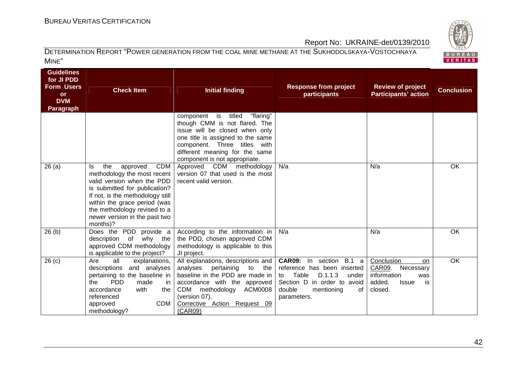# BUREAU <sup>V</sup>ERITAS <sup>C</sup>ERTIFICATION

BUREAU<br>VERITAS

## Report No: UKRAINE-det/0139/2010

| <b>Guidelines</b><br>for JI PDD<br><b>Form Users</b><br><b>or</b><br><b>DVM</b><br><b>Paragraph</b> | <b>Check Item</b>                                                                                                                                                                                                                                                                   | <b>Initial finding</b>                                                                                                                                                                                                                      | <b>Response from project</b><br>participants                                                                                                                                 | <b>Review of project</b><br><b>Participants' action</b>                                                  | <b>Conclusion</b> |
|-----------------------------------------------------------------------------------------------------|-------------------------------------------------------------------------------------------------------------------------------------------------------------------------------------------------------------------------------------------------------------------------------------|---------------------------------------------------------------------------------------------------------------------------------------------------------------------------------------------------------------------------------------------|------------------------------------------------------------------------------------------------------------------------------------------------------------------------------|----------------------------------------------------------------------------------------------------------|-------------------|
|                                                                                                     |                                                                                                                                                                                                                                                                                     | "flaring"<br>component is titled<br>though CMM is not flared. The<br>issue will be closed when only<br>one title is assigned to the same<br>component. Three titles with<br>different meaning for the same<br>component is not appropriate. |                                                                                                                                                                              |                                                                                                          |                   |
| 26(a)                                                                                               | <b>CDM</b><br>the<br>approved<br>ls.<br>methodology the most recent<br>valid version when the PDD<br>is submitted for publication?<br>If not, is the methodology still<br>within the grace period (was<br>the methodology revised to a<br>newer version in the past two<br>months)? | Approved CDM methodology<br>version 07 that used is the most<br>recent valid version.                                                                                                                                                       | N/a                                                                                                                                                                          | N/a                                                                                                      | <b>OK</b>         |
| 26(b)                                                                                               | Does the PDD provide a<br>description of why the<br>approved CDM methodology<br>is applicable to the project?                                                                                                                                                                       | According to the information in<br>the PDD, chosen approved CDM<br>methodology is applicable to this<br>JI project.                                                                                                                         | N/a                                                                                                                                                                          | N/a                                                                                                      | OK                |
| 26 <sub>(c)</sub>                                                                                   | Are<br>all<br>explanations,<br>descriptions<br>and analyses<br>pertaining to the baseline in<br><b>PDD</b><br>the<br>made<br>in l<br>accordance<br>with<br>the<br>referenced<br>CDM<br>approved<br>methodology?                                                                     | All explanations, descriptions and<br>analyses<br>pertaining to the<br>baseline in the PDD are made in<br>accordance with the approved<br>CDM<br>methodology ACM0008<br>(version 07).<br>Corrective Action Request 09<br>(CAR09)            | <b>CAR09:</b> In section B.1 a<br>reference has been inserted<br>Table<br>D.1.1.3<br>under<br>to<br>Section D in order to avoid<br>double<br>mentioning<br>of<br>parameters. | Conclusion<br>on<br>CAR09.<br>Necessary<br>information<br>was<br>added.<br><b>Issue</b><br>is<br>closed. | <b>OK</b>         |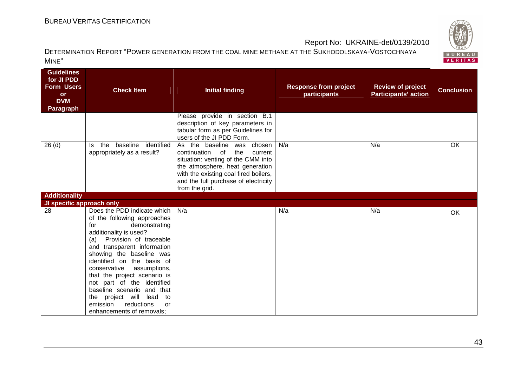

| <b>Guidelines</b><br>for JI PDD<br><b>Form Users</b><br><b>or</b><br><b>DVM</b><br><b>Paragraph</b> | <b>Check Item</b>                                                                                                                                                                                                                                                                                                                                                                                                                                                 | <b>Initial finding</b>                                                                                                                                                                                                                      | <b>Response from project</b><br>participants | <b>Review of project</b><br><b>Participants' action</b> | <b>Conclusion</b> |
|-----------------------------------------------------------------------------------------------------|-------------------------------------------------------------------------------------------------------------------------------------------------------------------------------------------------------------------------------------------------------------------------------------------------------------------------------------------------------------------------------------------------------------------------------------------------------------------|---------------------------------------------------------------------------------------------------------------------------------------------------------------------------------------------------------------------------------------------|----------------------------------------------|---------------------------------------------------------|-------------------|
|                                                                                                     |                                                                                                                                                                                                                                                                                                                                                                                                                                                                   | Please provide in section B.1<br>description of key parameters in<br>tabular form as per Guidelines for<br>users of the JI PDD Form.                                                                                                        |                                              |                                                         |                   |
| 26(d)                                                                                               | baseline identified<br>the<br>ls.<br>appropriately as a result?                                                                                                                                                                                                                                                                                                                                                                                                   | As the baseline was chosen<br>continuation of<br>the<br>current<br>situation: venting of the CMM into<br>the atmosphere, heat generation<br>with the existing coal fired boilers,<br>and the full purchase of electricity<br>from the grid. | N/a                                          | N/a                                                     | OK                |
| <b>Additionality</b>                                                                                |                                                                                                                                                                                                                                                                                                                                                                                                                                                                   |                                                                                                                                                                                                                                             |                                              |                                                         |                   |
| JI specific approach only                                                                           |                                                                                                                                                                                                                                                                                                                                                                                                                                                                   |                                                                                                                                                                                                                                             |                                              |                                                         |                   |
| 28                                                                                                  | Does the PDD indicate which<br>of the following approaches<br>demonstrating<br>for<br>additionality is used?<br>Provision of traceable<br>(a)<br>and transparent information<br>showing the baseline was<br>identified on the basis of<br>conservative<br>assumptions,<br>that the project scenario is<br>not part of the identified<br>baseline scenario and that<br>project will lead<br>to<br>the<br>reductions<br>emission<br>or<br>enhancements of removals; | N/a                                                                                                                                                                                                                                         | N/a                                          | N/a                                                     | <b>OK</b>         |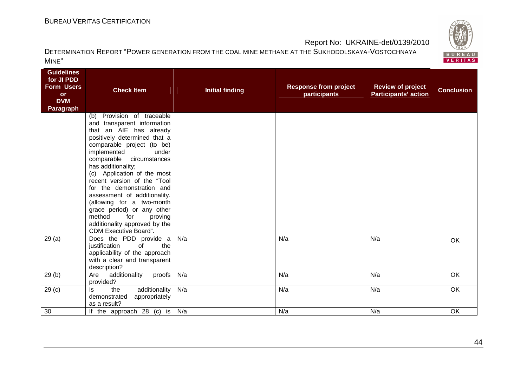

| <b>Guidelines</b><br>for JI PDD<br><b>Form Users</b><br><b>or</b><br><b>DVM</b><br><b>Paragraph</b> | <b>Check Item</b>                                                                                                                                                                                                                                                                                                                                                                                                                                                                                           | <b>Initial finding</b> | <b>Response from project</b><br>participants | <b>Review of project</b><br><b>Participants' action</b> | <b>Conclusion</b> |
|-----------------------------------------------------------------------------------------------------|-------------------------------------------------------------------------------------------------------------------------------------------------------------------------------------------------------------------------------------------------------------------------------------------------------------------------------------------------------------------------------------------------------------------------------------------------------------------------------------------------------------|------------------------|----------------------------------------------|---------------------------------------------------------|-------------------|
|                                                                                                     | Provision of traceable<br>(b)<br>and transparent information<br>that an AIE has already<br>positively determined that a<br>comparable project (to be)<br>implemented<br>under<br>comparable circumstances<br>has additionality;<br>(c) Application of the most<br>recent version of the "Tool<br>for the demonstration and<br>assessment of additionality.<br>(allowing for a two-month<br>grace period) or any other<br>method<br>for<br>proving<br>additionality approved by the<br>CDM Executive Board". |                        |                                              |                                                         |                   |
| 29(a)                                                                                               | Does the PDD provide a<br>justification<br>of<br>the<br>applicability of the approach<br>with a clear and transparent<br>description?                                                                                                                                                                                                                                                                                                                                                                       | N/a                    | N/a                                          | N/a                                                     | <b>OK</b>         |
| 29(b)                                                                                               | additionality<br>proofs<br>Are<br>provided?                                                                                                                                                                                                                                                                                                                                                                                                                                                                 | N/a                    | N/a                                          | N/a                                                     | OK                |
| 29 <sub>(c)</sub>                                                                                   | the<br>additionality<br>ls<br>demonstrated<br>appropriately<br>as a result?                                                                                                                                                                                                                                                                                                                                                                                                                                 | N/a                    | N/a                                          | N/a                                                     | <b>OK</b>         |
| 30                                                                                                  | If the approach 28 (c) is $\sqrt{N/a}$                                                                                                                                                                                                                                                                                                                                                                                                                                                                      |                        | N/a                                          | N/a                                                     | OK                |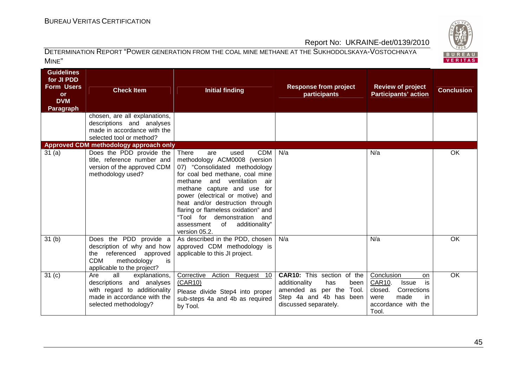

#### DETERMINATION REPORT "POWER GENERATION FROM THE COAL MINE METHANE AT THE SUKHODOLSKAYA-VOSTOCHNAYA MINE"

| <b>Guidelines</b><br>for JI PDD<br><b>Form Users</b><br><b>or</b><br><b>DVM</b><br><b>Paragraph</b> | <b>Check Item</b>                                                                                                                                      | <b>Initial finding</b>                                                                                                                                                                                                                                                                                                                                                                                                      | <b>Response from project</b><br>participants                                                                                                      | <b>Review of project</b><br><b>Participants' action</b>                                                                                 | <b>Conclusion</b> |
|-----------------------------------------------------------------------------------------------------|--------------------------------------------------------------------------------------------------------------------------------------------------------|-----------------------------------------------------------------------------------------------------------------------------------------------------------------------------------------------------------------------------------------------------------------------------------------------------------------------------------------------------------------------------------------------------------------------------|---------------------------------------------------------------------------------------------------------------------------------------------------|-----------------------------------------------------------------------------------------------------------------------------------------|-------------------|
|                                                                                                     | chosen, are all explanations,<br>descriptions and analyses<br>made in accordance with the<br>selected tool or method?                                  |                                                                                                                                                                                                                                                                                                                                                                                                                             |                                                                                                                                                   |                                                                                                                                         |                   |
| 31(a)                                                                                               | Approved CDM methodology approach only<br>Does the PDD provide the<br>title, reference number and<br>version of the approved CDM<br>methodology used?  | <b>CDM</b><br><b>There</b><br>used<br>are<br>methodology ACM0008 (version<br>07) "Consolidated methodology<br>for coal bed methane, coal mine<br>and<br>ventilation<br>methane<br>air<br>methane capture and use for<br>power (electrical or motive) and<br>heat and/or destruction through<br>flaring or flameless oxidation" and<br>"Tool for demonstration<br>and<br>of<br>additionality"<br>assessment<br>version 05.2. | N/a                                                                                                                                               | N/a                                                                                                                                     | OK                |
| 31 <sub>(b)</sub>                                                                                   | Does the PDD provide a<br>description of why and how<br>referenced<br>approved<br>the<br><b>CDM</b><br>methodology<br>is<br>applicable to the project? | As described in the PDD, chosen<br>approved CDM methodology is<br>applicable to this JI project.                                                                                                                                                                                                                                                                                                                            | N/a                                                                                                                                               | N/a                                                                                                                                     | OK                |
| 31 <sub>(c)</sub>                                                                                   | Are<br>all<br>explanations,<br>descriptions and analyses<br>with regard to additionality<br>made in accordance with the<br>selected methodology?       | Corrective Action Request 10<br>(CAR10)<br>Please divide Step4 into proper<br>sub-steps 4a and 4b as required<br>by Tool.                                                                                                                                                                                                                                                                                                   | <b>CAR10:</b> This section of the<br>additionality<br>has<br>been<br>amended as per the Tool.<br>Step 4a and 4b has been<br>discussed separately. | Conclusion<br><b>on</b><br>CAR10.<br>is<br><b>Issue</b><br>closed.<br>Corrections<br>made<br>were<br>in<br>accordance with the<br>Tool. | $\overline{OK}$   |

45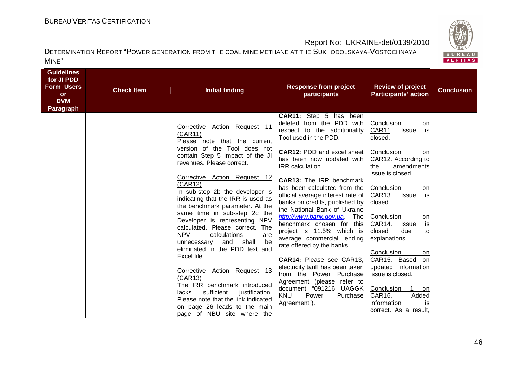

| <b>Guidelines</b><br>for JI PDD<br><b>Form Users</b><br><b>Check Item</b><br><b>or</b><br><b>DVM</b><br>Paragraph | <b>Initial finding</b>                                                                                                                                                                                                               | <b>Response from project</b><br>participants                                                                                                                                                        | <b>Review of project</b><br><b>Participants' action</b>                                                                                            | <b>Conclusion</b> |
|-------------------------------------------------------------------------------------------------------------------|--------------------------------------------------------------------------------------------------------------------------------------------------------------------------------------------------------------------------------------|-----------------------------------------------------------------------------------------------------------------------------------------------------------------------------------------------------|----------------------------------------------------------------------------------------------------------------------------------------------------|-------------------|
|                                                                                                                   | Corrective Action Request 11<br>(CAR11)<br>Please note that the current                                                                                                                                                              | CAR11: Step 5 has been<br>deleted from the PDD with<br>respect to the additionality<br>Tool used in the PDD.                                                                                        | Conclusion<br>on<br>is<br>CAR11.<br><b>Issue</b><br>closed.                                                                                        |                   |
|                                                                                                                   | version of the Tool does not<br>contain Step 5 Impact of the JI<br>revenues. Please correct.                                                                                                                                         | <b>CAR12: PDD and excel sheet</b><br>has been now updated with<br>IRR calculation.                                                                                                                  | Conclusion<br>on.<br>CAR12. According to<br>amendments<br>the<br>issue is closed.                                                                  |                   |
|                                                                                                                   | Corrective Action Request 12<br>(CAR12)<br>In sub-step 2b the developer is<br>indicating that the IRR is used as<br>the benchmark parameter. At the                                                                                  | <b>CAR13:</b> The IRR benchmark<br>has been calculated from the<br>official average interest rate of<br>banks on credits, published by<br>the National Bank of Ukraine                              | Conclusion<br>on<br>is<br>CAR13.<br>Issue<br>closed.                                                                                               |                   |
|                                                                                                                   | same time in sub-step 2c the<br>Developer is representing NPV<br>calculated. Please correct. The<br><b>NPV</b><br>calculations<br>are<br>unnecessary and shall<br>be<br>eliminated in the PDD text and                               | http://www.bank.gov.ua. The<br>benchmark chosen for this<br>project is 11.5% which is<br>average commercial lending<br>rate offered by the banks.                                                   | Conclusion<br>on<br>is<br>CAR14.<br><b>Issue</b><br>closed<br>due<br>to<br>explanations.<br>Conclusion<br>on                                       |                   |
|                                                                                                                   | Excel file.<br>Corrective Action Request 13<br>(CAR13)<br>The IRR benchmark introduced<br>sufficient<br>lacks<br>justification.<br>Please note that the link indicated<br>on page 26 leads to the main<br>page of NBU site where the | CAR14: Please see CAR13,<br>electricity tariff has been taken<br>from the Power Purchase<br>Agreement (please refer to<br>document "091216 UAGGK<br><b>KNU</b><br>Power<br>Purchase<br>Agreement"). | CAR15. Based<br>on<br>updated information<br>issue is closed.<br>Conclusion<br>on<br>CAR16.<br>Added<br>information<br>is<br>correct. As a result, |                   |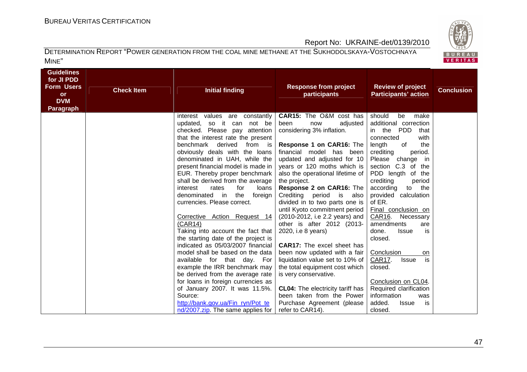

| <b>Guidelines</b><br>for JI PDD<br><b>Form Users</b><br>or<br><b>DVM</b><br><b>Paragraph</b> | <b>Check Item</b> | <b>Initial finding</b>                                                | <b>Response from project</b><br>participants                         | <b>Review of project</b><br><b>Participants' action</b> | <b>Conclusion</b> |
|----------------------------------------------------------------------------------------------|-------------------|-----------------------------------------------------------------------|----------------------------------------------------------------------|---------------------------------------------------------|-------------------|
|                                                                                              |                   | interest values are constantly                                        | <b>CAR15:</b> The O&M cost has                                       | should<br>be<br>make                                    |                   |
|                                                                                              |                   | so it can<br>not be<br>updated,<br>checked. Please pay attention      | been<br>adjusted<br>now<br>considering 3% inflation.                 | additional correction<br>in the<br><b>PDD</b><br>that   |                   |
|                                                                                              |                   | that the interest rate the present                                    |                                                                      | connected<br>with                                       |                   |
|                                                                                              |                   | benchmark derived from is                                             | Response 1 on CAR16: The                                             | of<br>length<br>the                                     |                   |
|                                                                                              |                   | obviously deals with the loans                                        | financial model has been                                             | crediting<br>period.                                    |                   |
|                                                                                              |                   | denominated in UAH, while the<br>present financial model is made in   | updated and adjusted for 10<br>years or 120 moths which is           | Please<br>change in<br>section C.3 of the               |                   |
|                                                                                              |                   | EUR. Thereby proper benchmark                                         | also the operational lifetime of                                     | PDD length of the                                       |                   |
|                                                                                              |                   | shall be derived from the average                                     | the project.                                                         | crediting<br>period                                     |                   |
|                                                                                              |                   | for<br>interest<br>rates<br>loans                                     | Response 2 on CAR16: The                                             | the<br>according<br>to                                  |                   |
|                                                                                              |                   | denominated in the<br>foreign                                         | Crediting period is<br>also                                          | provided calculation                                    |                   |
|                                                                                              |                   | currencies. Please correct.                                           | divided in to two parts one is<br>until Kyoto commitment period      | of ER.<br>Final conclusion on                           |                   |
|                                                                                              |                   | Corrective Action Request 14                                          | (2010-2012, i.e 2.2 years) and                                       | CAR16.<br>Necessary                                     |                   |
|                                                                                              |                   | (CAR14)                                                               | other is after 2012 (2013-                                           | amendments<br>are                                       |                   |
|                                                                                              |                   | Taking into account the fact that                                     | 2020, i.e 8 years)                                                   | done.<br><b>Issue</b><br>is                             |                   |
|                                                                                              |                   | the starting date of the project is                                   |                                                                      | closed.                                                 |                   |
|                                                                                              |                   | indicated as 05/03/2007 financial<br>model shall be based on the data | <b>CAR17:</b> The excel sheet has<br>been now updated with a fair    | Conclusion<br>on                                        |                   |
|                                                                                              |                   | available for that day. For                                           | liquidation value set to 10% of                                      | is<br>CAR17.<br><b>Issue</b>                            |                   |
|                                                                                              |                   | example the IRR benchmark may                                         | the total equipment cost which                                       | closed.                                                 |                   |
|                                                                                              |                   | be derived from the average rate                                      | is very conservative.                                                |                                                         |                   |
|                                                                                              |                   | for loans in foreign currencies as                                    |                                                                      | Conclusion on CL04.                                     |                   |
|                                                                                              |                   | of January 2007. It was 11.5%.<br>Source:                             | <b>CL04:</b> The electricity tariff has<br>been taken from the Power | Required clarification<br>information<br>was            |                   |
|                                                                                              |                   | http://bank.gov.ua/Fin_ryn/Pot_te                                     | Purchase Agreement (please                                           | added.<br><b>Issue</b><br>is                            |                   |
|                                                                                              |                   | nd/2007.zip. The same applies for                                     | refer to CAR14).                                                     | closed.                                                 |                   |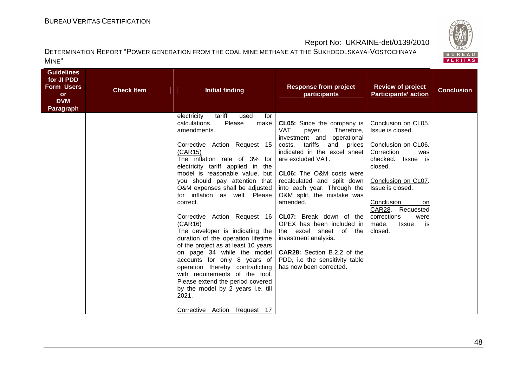

| <b>Guidelines</b><br>for JI PDD<br><b>Form Users</b><br><b>or</b><br><b>DVM</b><br><b>Paragraph</b> | <b>Check Item</b> | <b>Initial finding</b>                                                                                                                                                                                                                                   | <b>Response from project</b><br>participants                                                                                                | <b>Review of project</b><br><b>Participants' action</b>                     | <b>Conclusion</b> |
|-----------------------------------------------------------------------------------------------------|-------------------|----------------------------------------------------------------------------------------------------------------------------------------------------------------------------------------------------------------------------------------------------------|---------------------------------------------------------------------------------------------------------------------------------------------|-----------------------------------------------------------------------------|-------------------|
|                                                                                                     |                   | tariff<br>electricity<br>used<br>for<br>Please<br>make<br>calculations.<br>amendments.                                                                                                                                                                   | <b>CL05:</b> Since the company is<br><b>VAT</b><br>Therefore,<br>payer.                                                                     | Conclusion on CL05.<br>Issue is closed.                                     |                   |
|                                                                                                     |                   | Corrective Action Request 15<br>(CAR15)<br>The inflation rate of 3% for<br>electricity tariff applied in the<br>model is reasonable value, but                                                                                                           | investment and operational<br>costs, tariffs<br>and prices<br>indicated in the excel sheet<br>are excluded VAT.<br>CL06: The O&M costs were | Conclusion on CL06.<br>Correction<br>was<br>checked.<br>Issue is<br>closed. |                   |
|                                                                                                     |                   | you should pay attention that<br>O&M expenses shall be adjusted                                                                                                                                                                                          | recalculated and split down<br>into each year. Through the                                                                                  | Conclusion on CL07.<br>Issue is closed.                                     |                   |
|                                                                                                     |                   | for inflation as well. Please<br>correct.                                                                                                                                                                                                                | O&M split, the mistake was<br>amended.                                                                                                      | Conclusion<br><b>on</b><br>CAR28. Requested                                 |                   |
|                                                                                                     |                   | Corrective Action Request 16<br>(CAR16)<br>The developer is indicating the<br>duration of the operation lifetime                                                                                                                                         | <b>CL07:</b> Break down of the<br>OPEX has been included in<br>the excel sheet of the<br>investment analysis.                               | corrections<br>were<br>made.<br><b>Issue</b><br>is<br>closed.               |                   |
|                                                                                                     |                   | of the project as at least 10 years<br>on page 34 while the model<br>accounts for only 8 years of<br>operation thereby contradicting<br>with requirements of the tool.<br>Please extend the period covered<br>by the model by 2 years i.e. till<br>2021. | <b>CAR28:</b> Section B.2.2 of the<br>PDD, i.e the sensitivity table<br>has now been corrected.                                             |                                                                             |                   |
|                                                                                                     |                   | Corrective Action Request 17                                                                                                                                                                                                                             |                                                                                                                                             |                                                                             |                   |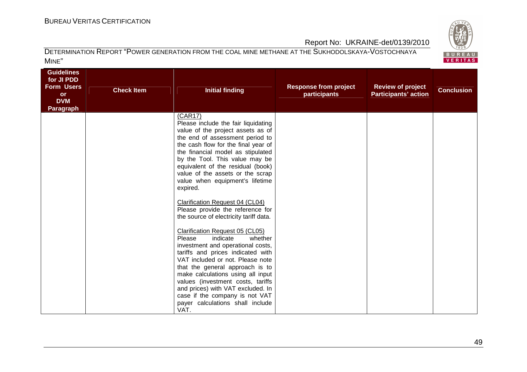

| <b>Guidelines</b><br>for JI PDD<br><b>Form Users</b><br><b>or</b><br><b>DVM</b><br><b>Paragraph</b> | <b>Check Item</b> | <b>Initial finding</b>                                                                                                                                                                                                                                                                                                                                                                                                                                                                                                                                                                                                                                                                                                                                                                                                                              | <b>Response from project</b><br>participants | <b>Review of project</b><br><b>Participants' action</b> | <b>Conclusion</b> |
|-----------------------------------------------------------------------------------------------------|-------------------|-----------------------------------------------------------------------------------------------------------------------------------------------------------------------------------------------------------------------------------------------------------------------------------------------------------------------------------------------------------------------------------------------------------------------------------------------------------------------------------------------------------------------------------------------------------------------------------------------------------------------------------------------------------------------------------------------------------------------------------------------------------------------------------------------------------------------------------------------------|----------------------------------------------|---------------------------------------------------------|-------------------|
|                                                                                                     |                   | (CAR17)<br>Please include the fair liquidating<br>value of the project assets as of<br>the end of assessment period to<br>the cash flow for the final year of<br>the financial model as stipulated<br>by the Tool. This value may be<br>equivalent of the residual (book)<br>value of the assets or the scrap<br>value when equipment's lifetime<br>expired.<br>Clarification Request 04 (CL04)<br>Please provide the reference for<br>the source of electricity tariff data.<br>Clarification Request 05 (CL05)<br>indicate<br>whether<br>Please<br>investment and operational costs,<br>tariffs and prices indicated with<br>VAT included or not. Please note<br>that the general approach is to<br>make calculations using all input<br>values (investment costs, tariffs<br>and prices) with VAT excluded. In<br>case if the company is not VAT |                                              |                                                         |                   |
|                                                                                                     |                   | payer calculations shall include<br>VAT.                                                                                                                                                                                                                                                                                                                                                                                                                                                                                                                                                                                                                                                                                                                                                                                                            |                                              |                                                         |                   |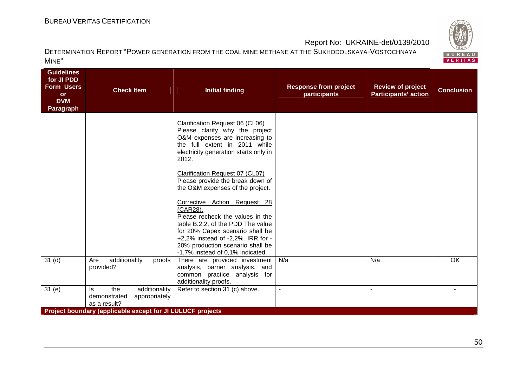# BUREAU <sup>V</sup>ERITAS <sup>C</sup>ERTIFICATION

**Guidelines** 

BUREAU<br>VERITAS

## Report No: UKRAINE-det/0139/2010

| Guidelines<br>for JI PDD<br><b>Form Users</b><br>or<br><b>DVM</b><br>Paragraph | <b>Check Item</b>                                                                                                                          | <b>Initial finding</b>                                                                                                                                                                                                                                            | <b>Response from project</b><br>participants | <b>Review of project</b><br><b>Participants' action</b> | <b>Conclusion</b> |
|--------------------------------------------------------------------------------|--------------------------------------------------------------------------------------------------------------------------------------------|-------------------------------------------------------------------------------------------------------------------------------------------------------------------------------------------------------------------------------------------------------------------|----------------------------------------------|---------------------------------------------------------|-------------------|
|                                                                                |                                                                                                                                            | Clarification Request 06 (CL06)<br>Please clarify why the project<br>O&M expenses are increasing to<br>the full extent in 2011 while<br>electricity generation starts only in<br>2012.                                                                            |                                              |                                                         |                   |
|                                                                                |                                                                                                                                            | Clarification Request 07 (CL07)<br>Please provide the break down of<br>the O&M expenses of the project.                                                                                                                                                           |                                              |                                                         |                   |
|                                                                                |                                                                                                                                            | Corrective Action Request 28<br>(CAR28).<br>Please recheck the values in the<br>table B.2.2. of the PDD The value<br>for 20% Capex scenario shall be<br>+2,2% instead of -2,2%. IRR for -<br>20% production scenario shall be<br>-1,7% instead of 0,1% indicated. |                                              |                                                         |                   |
| 31 <sub>(d)</sub>                                                              | additionality<br>proofs<br>Are<br>provided?                                                                                                | There are provided investment<br>analysis, barrier analysis, and<br>common practice analysis for<br>additionality proofs.                                                                                                                                         | N/a                                          | N/a                                                     | OK                |
| 31(e)                                                                          | the<br>additionality<br>ls.<br>demonstrated<br>appropriately<br>as a result?<br>Project boundary (applicable except for JI LULUCF projects | Refer to section 31 (c) above.                                                                                                                                                                                                                                    |                                              |                                                         |                   |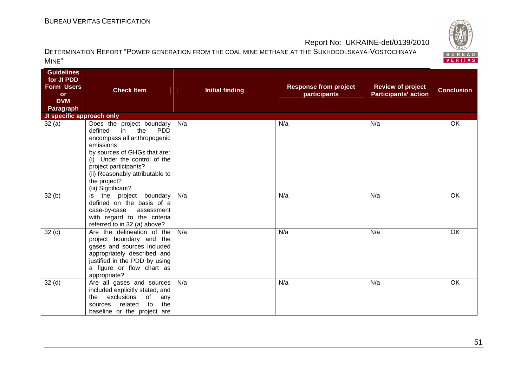

| <b>Guidelines</b><br>for JI PDD<br><b>Form Users</b><br><b>or</b><br><b>DVM</b><br>Paragraph | <b>Check Item</b>                                                                                                                                                                                                                                                             | <b>Initial finding</b> | <b>Response from project</b><br>participants | <b>Review of project</b><br><b>Participants' action</b> | <b>Conclusion</b> |
|----------------------------------------------------------------------------------------------|-------------------------------------------------------------------------------------------------------------------------------------------------------------------------------------------------------------------------------------------------------------------------------|------------------------|----------------------------------------------|---------------------------------------------------------|-------------------|
| JI specific approach only                                                                    |                                                                                                                                                                                                                                                                               |                        |                                              |                                                         |                   |
| 32(a)                                                                                        | Does the project boundary<br>defined<br>the<br><b>PDD</b><br>in<br>encompass all anthropogenic<br>emissions<br>by sources of GHGs that are:<br>(i) Under the control of the<br>project participants?<br>(ii) Reasonably attributable to<br>the project?<br>(iii) Significant? | N/a                    | N/a                                          | N/a                                                     | OK                |
| 32(b)                                                                                        | the project boundary<br>ls.<br>defined on the basis of a<br>case-by-case<br>assessment<br>with regard to the criteria<br>referred to in 32 (a) above?                                                                                                                         | N/a                    | N/a                                          | N/a                                                     | OK                |
| 32(c)                                                                                        | Are the delineation of the<br>project boundary and the<br>gases and sources included<br>appropriately described and<br>justified in the PDD by using<br>a figure or flow chart as<br>appropriate?                                                                             | N/a                    | N/a                                          | N/a                                                     | OK                |
| 32 <sub>(d)</sub>                                                                            | Are all gases and sources<br>included explicitly stated, and<br>exclusions<br>of<br>the<br>any<br>related<br>the<br>to<br>sources<br>baseline or the project are                                                                                                              | N/a                    | N/a                                          | N/a                                                     | OK                |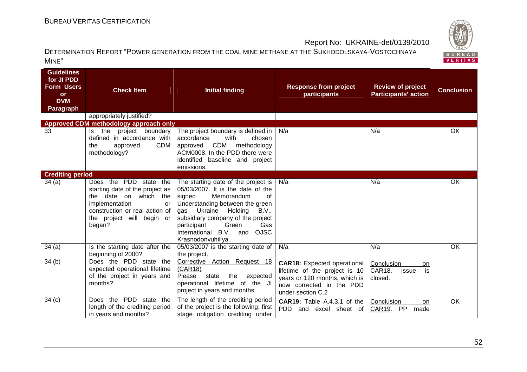

| <b>Guidelines</b><br>for JI PDD<br><b>Form Users</b><br>or<br><b>DVM</b><br><b>Paragraph</b> | <b>Check Item</b>                                                                                                                                                                      | <b>Initial finding</b>                                                                                                                                                                                                                                                                                                | <b>Response from project</b><br>participants                                                                                                          | <b>Review of project</b><br><b>Participants' action</b>     | <b>Conclusion</b> |
|----------------------------------------------------------------------------------------------|----------------------------------------------------------------------------------------------------------------------------------------------------------------------------------------|-----------------------------------------------------------------------------------------------------------------------------------------------------------------------------------------------------------------------------------------------------------------------------------------------------------------------|-------------------------------------------------------------------------------------------------------------------------------------------------------|-------------------------------------------------------------|-------------------|
|                                                                                              | appropriately justified?                                                                                                                                                               |                                                                                                                                                                                                                                                                                                                       |                                                                                                                                                       |                                                             |                   |
|                                                                                              | Approved CDM methodology approach only                                                                                                                                                 |                                                                                                                                                                                                                                                                                                                       |                                                                                                                                                       |                                                             |                   |
| 33                                                                                           | project boundary<br>the<br>ls.<br>defined in accordance with<br>CDM<br>the<br>approved<br>methodology?                                                                                 | The project boundary is defined in<br>accordance<br>with<br>chosen<br><b>CDM</b><br>methodology<br>approved<br>ACM0008. In the PDD there were<br>identified baseline and project<br>emissions.                                                                                                                        | N/a                                                                                                                                                   | N/a                                                         | OK                |
| <b>Crediting period</b>                                                                      |                                                                                                                                                                                        |                                                                                                                                                                                                                                                                                                                       |                                                                                                                                                       |                                                             |                   |
| 34(a)                                                                                        | Does the PDD state the<br>starting date of the project as<br>the date on which<br>the<br>implementation<br>or<br>construction or real action of<br>the project will begin or<br>began? | The starting date of the project is<br>05/03/2007. It is the date of the<br>Memorandum<br>signed<br>of<br>Understanding between the green<br>Ukraine Holding<br><b>B.V</b><br>qas<br>subsidiary company of the project<br>Green<br>Gas<br>participant<br>International B.V., and<br><b>OJSC</b><br>Krasnodonvuhillya. | N/a                                                                                                                                                   | N/a                                                         | OK                |
| 34(a)                                                                                        | Is the starting date after the<br>beginning of 2000?                                                                                                                                   | 05/03/2007 is the starting date of<br>the project.                                                                                                                                                                                                                                                                    | N/a                                                                                                                                                   | N/a                                                         | OK                |
| 34(b)                                                                                        | Does the PDD state the<br>expected operational lifetime<br>of the project in years and<br>months?                                                                                      | Corrective Action Request 18<br>(CAR18)<br>expected<br>Please<br>state<br>the<br>operational lifetime of the JI<br>project in years and months.                                                                                                                                                                       | <b>CAR18:</b> Expected operational<br>lifetime of the project is 10<br>years or 120 months, which is<br>now corrected in the PDD<br>under section C.2 | Conclusion<br>on<br>CAR18.<br>is<br><b>Issue</b><br>closed. |                   |
| 34(c)                                                                                        | Does the PDD state<br>the I<br>length of the crediting period<br>in years and months?                                                                                                  | The length of the crediting period<br>of the project is the following: first<br>stage obligation crediting under                                                                                                                                                                                                      | <b>CAR19:</b> Table A.4.3.1 of the<br>PDD.<br>and excel sheet of                                                                                      | Conclusion<br>on<br>CAR19.<br>PP<br>made                    | <b>OK</b>         |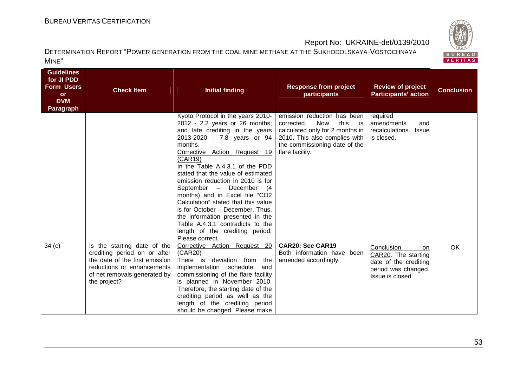

| <b>Guidelines</b><br>for JI PDD<br><b>Form Users</b><br><b>or</b><br><b>DVM</b><br><b>Paragraph</b> | <b>Check Item</b>                                                                                                                                                           | <b>Initial finding</b>                                                                                                                                                                                                                                                                                                                                                                                                                                                                                                                                                          | <b>Response from project</b><br>participants                                                                                                                                                  | <b>Review of project</b><br><b>Participants' action</b>                                                     | <b>Conclusion</b> |
|-----------------------------------------------------------------------------------------------------|-----------------------------------------------------------------------------------------------------------------------------------------------------------------------------|---------------------------------------------------------------------------------------------------------------------------------------------------------------------------------------------------------------------------------------------------------------------------------------------------------------------------------------------------------------------------------------------------------------------------------------------------------------------------------------------------------------------------------------------------------------------------------|-----------------------------------------------------------------------------------------------------------------------------------------------------------------------------------------------|-------------------------------------------------------------------------------------------------------------|-------------------|
|                                                                                                     |                                                                                                                                                                             | Kyoto Protocol in the years 2010-<br>2012 - 2.2 years or 26 months;<br>and late crediting in the years<br>2013-2020 - 7.8 years or 94<br>months.<br>Corrective Action Request 19<br>(CAR19)<br>In the Table A.4.3.1 of the PDD<br>stated that the value of estimated<br>emission reduction in 2010 is for<br>September - December (4<br>months) and in Excel file "CO2<br>Calculation" stated that this value<br>is for October - December. Thus,<br>the information presented in the<br>Table A.4.3.1 contradicts to the<br>length of the crediting period.<br>Please correct. | emission reduction has been<br><b>Now</b><br>this<br>corrected.<br>is<br>calculated only for 2 months in<br>2010. This also complies with<br>the commissioning date of the<br>flare facility. | required<br>amendments<br>and<br>recalculations.<br><b>Issue</b><br>is closed.                              |                   |
| 34(c)                                                                                               | Is the starting date of the<br>crediting period on or after<br>the date of the first emission<br>reductions or enhancements<br>of net removals generated by<br>the project? | Corrective Action Request 20<br>(CAR20)<br>There is<br>deviation from the<br>implementation schedule<br>and<br>commissioning of the flare facility<br>is planned in November 2010.<br>Therefore, the starting date of the<br>crediting period as well as the<br>length of the crediting period<br>should be changed. Please make                                                                                                                                                                                                                                                | <b>CAR20: See CAR19</b><br>Both information have been<br>amended accordingly.                                                                                                                 | Conclusion<br>on<br>CAR20. The starting<br>date of the crediting<br>period was changed.<br>Issue is closed. | OK                |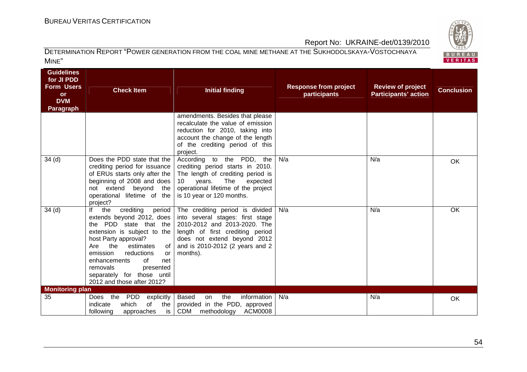

| <b>Guidelines</b><br>for JI PDD<br><b>Form Users</b><br><b>or</b><br><b>DVM</b><br><b>Paragraph</b> | <b>Check Item</b>                                                                                                                                                                                                                                                                                                                    | <b>Initial finding</b>                                                                                                                                                                                                | <b>Response from project</b><br>participants | <b>Review of project</b><br><b>Participants' action</b> | <b>Conclusion</b> |
|-----------------------------------------------------------------------------------------------------|--------------------------------------------------------------------------------------------------------------------------------------------------------------------------------------------------------------------------------------------------------------------------------------------------------------------------------------|-----------------------------------------------------------------------------------------------------------------------------------------------------------------------------------------------------------------------|----------------------------------------------|---------------------------------------------------------|-------------------|
|                                                                                                     |                                                                                                                                                                                                                                                                                                                                      | amendments. Besides that please<br>recalculate the value of emission<br>reduction for 2010, taking into<br>account the change of the length<br>of the crediting period of this<br>project.                            |                                              |                                                         |                   |
| 34 <sub>(d)</sub>                                                                                   | Does the PDD state that the<br>crediting period for issuance<br>of ERUs starts only after the<br>beginning of 2008 and does<br>beyond the<br>not extend<br>operational lifetime of the<br>project?                                                                                                                                   | According to the PDD, the<br>crediting period starts in 2010.<br>The length of crediting period is<br>The<br>years.<br>expected<br>10<br>operational lifetime of the project<br>is 10 year or 120 months.             | N/a                                          | N/a                                                     | OK                |
| 34(d)                                                                                               | crediting<br>lf<br>the<br>period<br>extends beyond 2012, does<br>PDD state that the<br>the<br>extension is subject to the<br>host Party approval?<br>the<br>Are<br>estimates<br>0f<br>emission<br>reductions<br>or<br>enhancements<br>0f<br>net<br>removals<br>presented<br>separately for those until<br>2012 and those after 2012? | The crediting period is divided<br>into several stages: first stage<br>2010-2012 and 2013-2020. The<br>length of first crediting period<br>does not extend beyond 2012<br>and is 2010-2012 (2 years and 2<br>months). | N/a                                          | N/a                                                     | <b>OK</b>         |
| <b>Monitoring plan</b>                                                                              |                                                                                                                                                                                                                                                                                                                                      |                                                                                                                                                                                                                       |                                              |                                                         |                   |
| 35                                                                                                  | the<br><b>PDD</b><br>Does<br>explicitly<br>of<br>which<br>indicate<br>the<br>following<br>approaches<br>is                                                                                                                                                                                                                           | <b>Based</b><br>the<br>information<br><b>on</b><br>provided in the PDD, approved<br><b>CDM</b><br><b>ACM0008</b><br>methodology                                                                                       | N/a                                          | N/a                                                     | OK                |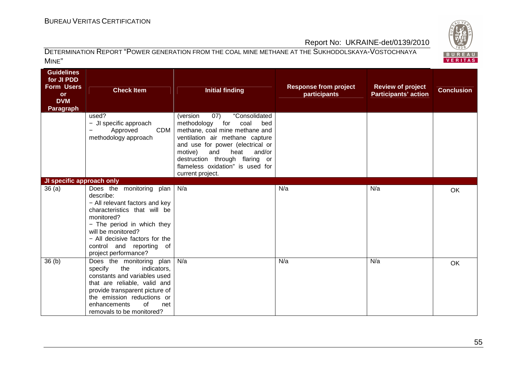

| <b>Guidelines</b><br>for JI PDD<br><b>Form Users</b><br><b>or</b><br><b>DVM</b><br><b>Paragraph</b> | <b>Check Item</b>                                                                                                                                                                                                                                                  | <b>Initial finding</b>                                                                                                                                                                                                                                                                                        | <b>Response from project</b><br><b>participants</b> | <b>Review of project</b><br><b>Participants' action</b> | <b>Conclusion</b> |
|-----------------------------------------------------------------------------------------------------|--------------------------------------------------------------------------------------------------------------------------------------------------------------------------------------------------------------------------------------------------------------------|---------------------------------------------------------------------------------------------------------------------------------------------------------------------------------------------------------------------------------------------------------------------------------------------------------------|-----------------------------------------------------|---------------------------------------------------------|-------------------|
|                                                                                                     | used?<br>- JI specific approach<br>CDM<br>Approved<br>methodology approach                                                                                                                                                                                         | "Consolidated<br>(07)<br>(version<br>methodology<br>for<br>coal<br>bed<br>methane, coal mine methane and<br>ventilation air methane capture<br>and use for power (electrical or<br>motive)<br>and<br>heat<br>and/or<br>destruction through flaring or<br>flameless oxidation" is used for<br>current project. |                                                     |                                                         |                   |
| JI specific approach only                                                                           |                                                                                                                                                                                                                                                                    |                                                                                                                                                                                                                                                                                                               |                                                     |                                                         |                   |
| 36(a)                                                                                               | Does the monitoring plan<br>describe:<br>- All relevant factors and key<br>characteristics that will be<br>monitored?<br>- The period in which they<br>will be monitored?<br>- All decisive factors for the<br>control and reporting<br>of<br>project performance? | N/a                                                                                                                                                                                                                                                                                                           | N/a                                                 | N/a                                                     | OK                |
| 36 <sub>(b)</sub>                                                                                   | Does the monitoring plan<br>specify<br>the<br>indicators,<br>constants and variables used<br>that are reliable, valid and<br>provide transparent picture of<br>the emission reductions or<br>enhancements<br>0f<br>net<br>removals to be monitored?                | N/a                                                                                                                                                                                                                                                                                                           | N/a                                                 | N/a                                                     | <b>OK</b>         |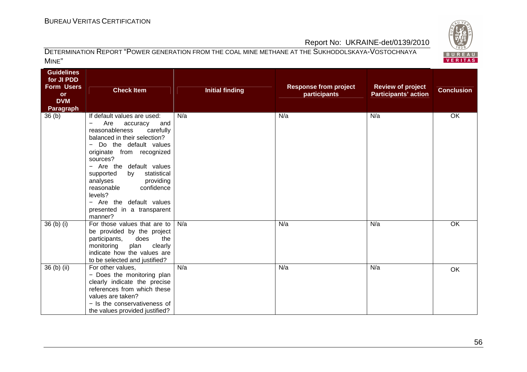

| <b>Guidelines</b><br>for JI PDD<br><b>Form Users</b><br><b>or</b><br><b>DVM</b><br><b>Paragraph</b> | <b>Check Item</b>                                                                                                                                                                                                                                                                                                                                                                                                     | <b>Initial finding</b> | <b>Response from project</b><br>participants | <b>Review of project</b><br><b>Participants' action</b> | <b>Conclusion</b> |
|-----------------------------------------------------------------------------------------------------|-----------------------------------------------------------------------------------------------------------------------------------------------------------------------------------------------------------------------------------------------------------------------------------------------------------------------------------------------------------------------------------------------------------------------|------------------------|----------------------------------------------|---------------------------------------------------------|-------------------|
| 36(b)                                                                                               | If default values are used:<br>Are<br>accuracy<br>and<br>$\overline{\phantom{0}}$<br>reasonableness<br>carefully<br>balanced in their selection?<br>Do the default values<br>originate from recognized<br>sources?<br>- Are the default values<br>supported<br>statistical<br>by<br>analyses<br>providing<br>reasonable<br>confidence<br>levels?<br>- Are the default values<br>presented in a transparent<br>manner? | N/a                    | N/a                                          | N/a                                                     | OK                |
| $36(b)$ (i)                                                                                         | For those values that are to<br>be provided by the project<br>does<br>participants,<br>the<br>plan<br>monitoring<br>clearly<br>indicate how the values are<br>to be selected and justified?                                                                                                                                                                                                                           | N/a                    | N/a                                          | N/a                                                     | OK                |
| 36 (b) (ii)                                                                                         | For other values,<br>- Does the monitoring plan<br>clearly indicate the precise<br>references from which these<br>values are taken?<br>- Is the conservativeness of<br>the values provided justified?                                                                                                                                                                                                                 | N/a                    | N/a                                          | N/a                                                     | OK                |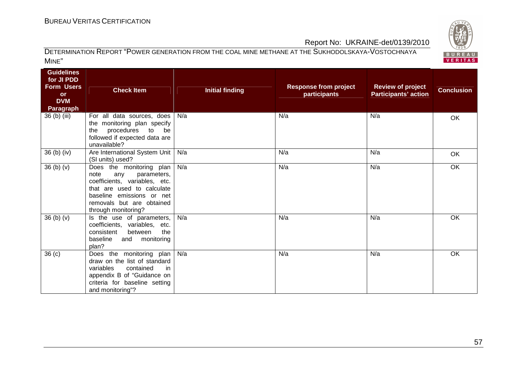

| <b>Guidelines</b><br>for JI PDD<br><b>Form Users</b><br><b>or</b><br><b>DVM</b><br><b>Paragraph</b> | <b>Check Item</b>                                                                                                                                                                                      | <b>Initial finding</b> | <b>Response from project</b><br>participants | <b>Review of project</b><br><b>Participants' action</b> | <b>Conclusion</b> |
|-----------------------------------------------------------------------------------------------------|--------------------------------------------------------------------------------------------------------------------------------------------------------------------------------------------------------|------------------------|----------------------------------------------|---------------------------------------------------------|-------------------|
| 36 (b) (iii)                                                                                        | For all data sources, does<br>the monitoring plan specify<br>procedures to<br>the<br>be<br>followed if expected data are<br>unavailable?                                                               | N/a                    | N/a                                          | N/a                                                     | OK                |
| 36 (b) (iv)                                                                                         | Are International System Unit  <br>(SI units) used?                                                                                                                                                    | N/a                    | N/a                                          | N/a                                                     | OK                |
| 36(b)(v)                                                                                            | Does the monitoring plan<br>note<br>any<br>parameters,<br>coefficients, variables, etc.<br>that are used to calculate<br>baseline emissions or net<br>removals but are obtained<br>through monitoring? | N/a                    | N/a                                          | N/a                                                     | OK                |
| 36(b)(v)                                                                                            | Is the use of parameters,<br>coefficients, variables, etc.<br>consistent<br>between<br>the<br>baseline<br>monitoring<br>and<br>plan?                                                                   | N/a                    | N/a                                          | N/a                                                     | OK                |
| 36(c)                                                                                               | Does the monitoring plan   N/a<br>draw on the list of standard<br>variables<br>contained<br>in.<br>appendix B of "Guidance on<br>criteria for baseline setting<br>and monitoring"?                     |                        | N/a                                          | N/a                                                     | OK                |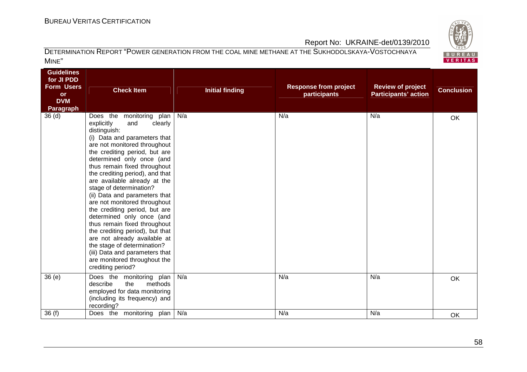

| <b>Guidelines</b><br>for JI PDD<br><b>Form Users</b><br><b>or</b><br><b>DVM</b><br><b>Paragraph</b><br>36 <sub>(d)</sub> | <b>Check Item</b><br>Does the monitoring plan                                                                                                                                                                                                                                                                                                                                                                                                                                                                                                                                                                                                                    | <b>Initial finding</b><br>N/a | <b>Response from project</b><br>participants<br>N/a | <b>Review of project</b><br><b>Participants' action</b><br>N/a | <b>Conclusion</b> |
|--------------------------------------------------------------------------------------------------------------------------|------------------------------------------------------------------------------------------------------------------------------------------------------------------------------------------------------------------------------------------------------------------------------------------------------------------------------------------------------------------------------------------------------------------------------------------------------------------------------------------------------------------------------------------------------------------------------------------------------------------------------------------------------------------|-------------------------------|-----------------------------------------------------|----------------------------------------------------------------|-------------------|
|                                                                                                                          | explicitly<br>clearly<br>and<br>distinguish:<br>(i) Data and parameters that<br>are not monitored throughout<br>the crediting period, but are<br>determined only once (and<br>thus remain fixed throughout<br>the crediting period), and that<br>are available already at the<br>stage of determination?<br>(ii) Data and parameters that<br>are not monitored throughout<br>the crediting period, but are<br>determined only once (and<br>thus remain fixed throughout<br>the crediting period), but that<br>are not already available at<br>the stage of determination?<br>(iii) Data and parameters that<br>are monitored throughout the<br>crediting period? |                               |                                                     |                                                                | OK                |
| 36(e)                                                                                                                    | Does the monitoring plan<br>describe<br>methods<br>the<br>employed for data monitoring<br>(including its frequency) and<br>recording?                                                                                                                                                                                                                                                                                                                                                                                                                                                                                                                            | N/a                           | N/a                                                 | N/a                                                            | OK                |
| 36(f)                                                                                                                    | Does the monitoring plan                                                                                                                                                                                                                                                                                                                                                                                                                                                                                                                                                                                                                                         | N/a                           | N/a                                                 | N/a                                                            | OK                |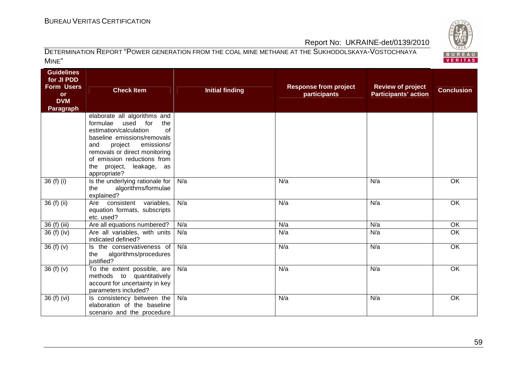

| <b>Guidelines</b><br>for JI PDD<br><b>Form Users</b><br><b>or</b><br><b>DVM</b><br>Paragraph | <b>Check Item</b>                                                                                                                                                                                                                                                               | <b>Initial finding</b> | <b>Response from project</b><br>participants | <b>Review of project</b><br><b>Participants' action</b> | <b>Conclusion</b> |
|----------------------------------------------------------------------------------------------|---------------------------------------------------------------------------------------------------------------------------------------------------------------------------------------------------------------------------------------------------------------------------------|------------------------|----------------------------------------------|---------------------------------------------------------|-------------------|
|                                                                                              | elaborate all algorithms and<br>formulae<br>used<br>for<br>the<br>estimation/calculation<br>of<br>baseline emissions/removals<br>and<br>project<br>emissions/<br>removals or direct monitoring<br>of emission reductions from<br>leakage, as<br>project,<br>the<br>appropriate? |                        |                                              |                                                         |                   |
| 36 (f) (i)                                                                                   | Is the underlying rationale for<br>the<br>algorithms/formulae<br>explained?                                                                                                                                                                                                     | N/a                    | N/a                                          | N/a                                                     | OK                |
| 36 (f) (ii)                                                                                  | consistent variables,<br>Are<br>equation formats, subscripts<br>etc. used?                                                                                                                                                                                                      | N/a                    | N/a                                          | N/a                                                     | OK                |
| 36 (f) (iii)                                                                                 | Are all equations numbered?                                                                                                                                                                                                                                                     | N/a                    | N/a                                          | N/a                                                     | OK                |
| 36 (f) (iv)                                                                                  | Are all variables, with units<br>indicated defined?                                                                                                                                                                                                                             | N/a                    | N/a                                          | N/a                                                     | $\overline{OK}$   |
| 36(f)(v)                                                                                     | Is the conservativeness of<br>algorithms/procedures<br>the<br>justified?                                                                                                                                                                                                        | N/a                    | N/a                                          | N/a                                                     | OK                |
| 36(f)(v)                                                                                     | To the extent possible, are<br>methods to quantitatively<br>account for uncertainty in key<br>parameters included?                                                                                                                                                              | N/a                    | N/a                                          | N/a                                                     | OK                |
| 36 (f) (vi)                                                                                  | Is consistency between the<br>elaboration of the baseline<br>scenario and the procedure                                                                                                                                                                                         | N/a                    | N/a                                          | N/a                                                     | OK                |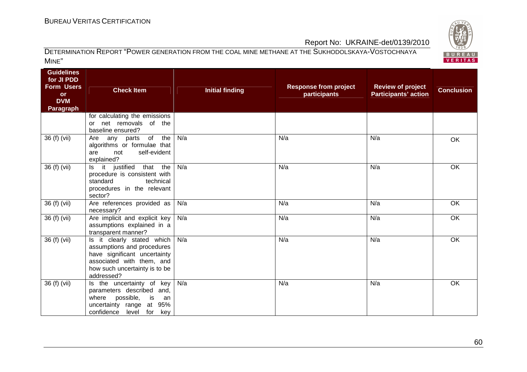

| <b>Guidelines</b><br>for JI PDD<br><b>Form Users</b><br><b>or</b><br><b>DVM</b> | <b>Check Item</b>                                                                                                                                                    | <b>Initial finding</b> | <b>Response from project</b><br>participants | <b>Review of project</b><br><b>Participants' action</b> | <b>Conclusion</b> |
|---------------------------------------------------------------------------------|----------------------------------------------------------------------------------------------------------------------------------------------------------------------|------------------------|----------------------------------------------|---------------------------------------------------------|-------------------|
| <b>Paragraph</b>                                                                |                                                                                                                                                                      |                        |                                              |                                                         |                   |
|                                                                                 | for calculating the emissions<br>or net removals of the<br>baseline ensured?                                                                                         |                        |                                              |                                                         |                   |
| 36 (f) (vii)                                                                    | Are any parts of<br>the<br>algorithms or formulae that<br>self-evident<br>not<br>are<br>explained?                                                                   | N/a                    | N/a                                          | N/a                                                     | OK                |
| 36 (f) (vii)                                                                    | Is it justified that the<br>procedure is consistent with<br>standard<br>technical<br>procedures in the relevant<br>sector?                                           | N/a                    | N/a                                          | N/a                                                     | OK                |
| $36(f)$ (vii)                                                                   | Are references provided as<br>necessary?                                                                                                                             | N/a                    | N/a                                          | N/a                                                     | OK                |
| 36 (f) (vii)                                                                    | Are implicit and explicit key<br>assumptions explained in a<br>transparent manner?                                                                                   | N/a                    | N/a                                          | N/a                                                     | OK                |
| $36(f)$ (vii)                                                                   | Is it clearly stated which<br>assumptions and procedures<br>have significant uncertainty<br>associated with them, and<br>how such uncertainty is to be<br>addressed? | N/a                    | N/a                                          | N/a                                                     | OK                |
| 36 (f) (vii)                                                                    | Is the uncertainty of key<br>parameters described and,<br>possible,<br>where<br>is<br>an<br>uncertainty range at 95%<br>confidence level for key                     | N/a                    | N/a                                          | N/a                                                     | $\overline{OK}$   |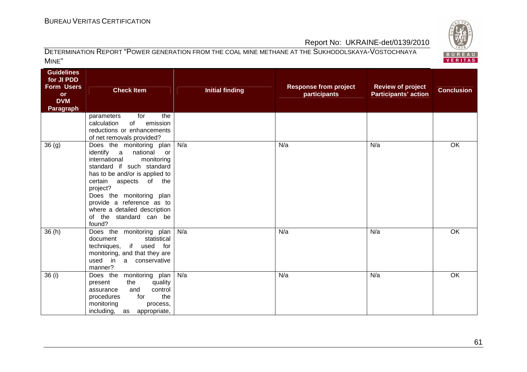

| <b>Guidelines</b><br>for JI PDD<br><b>Form Users</b><br><b>or</b><br><b>DVM</b><br><b>Paragraph</b> | <b>Check Item</b>                                                                                                                                                                                                                                                                                                                | <b>Initial finding</b> | <b>Response from project</b><br>participants | <b>Review of project</b><br><b>Participants' action</b> | <b>Conclusion</b> |
|-----------------------------------------------------------------------------------------------------|----------------------------------------------------------------------------------------------------------------------------------------------------------------------------------------------------------------------------------------------------------------------------------------------------------------------------------|------------------------|----------------------------------------------|---------------------------------------------------------|-------------------|
|                                                                                                     | for<br>the<br>parameters<br>emission<br>calculation<br>of<br>reductions or enhancements<br>of net removals provided?                                                                                                                                                                                                             |                        |                                              |                                                         |                   |
| 36 <sub>(g)</sub>                                                                                   | Does the monitoring plan<br>identify a<br>national<br><b>or</b><br>international<br>monitoring<br>standard if such standard<br>has to be and/or is applied to<br>certain aspects of the<br>project?<br>Does the monitoring plan<br>provide a reference as to<br>where a detailed description<br>of the standard can be<br>found? | N/a                    | N/a                                          | N/a                                                     | $\overline{OK}$   |
| 36(h)                                                                                               | Does the monitoring plan<br>document<br>statistical<br>techniques, if used for<br>monitoring, and that they are<br>used in a conservative<br>manner?                                                                                                                                                                             | N/a                    | N/a                                          | N/a                                                     | OK                |
| 36(i)                                                                                               | Does the monitoring plan<br>the<br>quality<br>present<br>control<br>and<br>assurance<br>for<br>procedures<br>the<br>monitoring<br>process,<br>including,<br>appropriate,<br>as                                                                                                                                                   | N/a                    | N/a                                          | N/a                                                     | $\overline{OK}$   |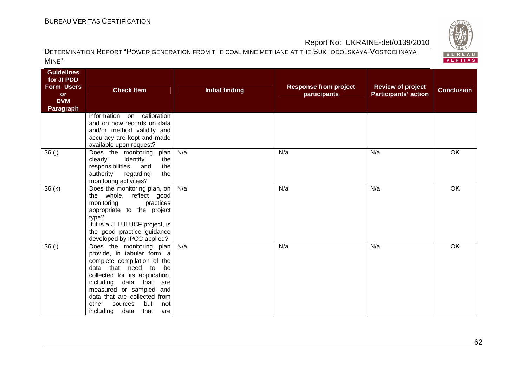

| <b>Guidelines</b><br>for JI PDD<br><b>Form Users</b><br><b>or</b><br><b>DVM</b><br><b>Paragraph</b> | <b>Check Item</b>                                                                                                                                                                                                                                                                                                     | <b>Initial finding</b> | <b>Response from project</b><br>participants | <b>Review of project</b><br><b>Participants' action</b> | <b>Conclusion</b> |
|-----------------------------------------------------------------------------------------------------|-----------------------------------------------------------------------------------------------------------------------------------------------------------------------------------------------------------------------------------------------------------------------------------------------------------------------|------------------------|----------------------------------------------|---------------------------------------------------------|-------------------|
|                                                                                                     | on calibration<br>information<br>and on how records on data<br>and/or method validity and<br>accuracy are kept and made<br>available upon request?                                                                                                                                                                    |                        |                                              |                                                         |                   |
| 36(j)                                                                                               | Does the monitoring<br>plan<br>clearly<br>identify<br>the<br>responsibilities<br>and<br>the<br>authority<br>regarding<br>the<br>monitoring activities?                                                                                                                                                                | N/a                    | N/a                                          | N/a                                                     | $\overline{OK}$   |
| 36(k)                                                                                               | Does the monitoring plan, on  <br>the whole, reflect good<br>monitoring<br>practices<br>appropriate to the project<br>type?<br>If it is a JI LULUCF project, is<br>the good practice guidance<br>developed by IPCC applied?                                                                                           | N/a                    | N/a                                          | N/a                                                     | OK                |
| 36(1)                                                                                               | Does the monitoring plan   N/a<br>provide, in tabular form, a<br>complete compilation of the<br>data that need to<br>be<br>collected for its application,<br>including data that<br>are<br>measured or sampled and<br>data that are collected from<br>other<br>sources<br>but<br>not<br>including data<br>that<br>are |                        | N/a                                          | N/a                                                     | OK                |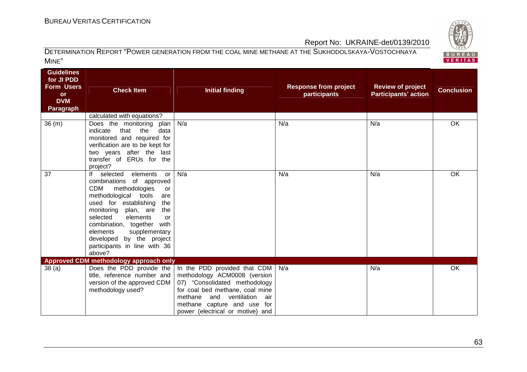

| <b>Guidelines</b><br>for JI PDD<br><b>Form Users</b><br><b>or</b><br><b>DVM</b><br><b>Paragraph</b> | <b>Check Item</b>                                                                                                                                                                                                                                                                                                                                              | <b>Initial finding</b>                                                                                                                                                                                                                                                    | <b>Response from project</b><br>participants | <b>Review of project</b><br><b>Participants' action</b> | <b>Conclusion</b> |
|-----------------------------------------------------------------------------------------------------|----------------------------------------------------------------------------------------------------------------------------------------------------------------------------------------------------------------------------------------------------------------------------------------------------------------------------------------------------------------|---------------------------------------------------------------------------------------------------------------------------------------------------------------------------------------------------------------------------------------------------------------------------|----------------------------------------------|---------------------------------------------------------|-------------------|
|                                                                                                     | calculated with equations?                                                                                                                                                                                                                                                                                                                                     |                                                                                                                                                                                                                                                                           |                                              |                                                         |                   |
| 36(m)                                                                                               | Does the monitoring plan<br>that<br>indicate<br>the<br>data<br>monitored and required for<br>verification are to be kept for<br>two years after the last<br>transfer of ERUs for the<br>project?                                                                                                                                                               | N/a                                                                                                                                                                                                                                                                       | N/a                                          | N/a                                                     | OK                |
| 37                                                                                                  | If selected<br>elements<br>or<br>combinations<br>of approved<br><b>CDM</b><br>methodologies<br>or<br>methodological tools<br>are<br>used for establishing<br>the<br>monitoring plan, are<br>the<br>selected<br>elements<br>or<br>combination, together with<br>elements<br>supplementary<br>developed by the project<br>participants in line with 36<br>above? | N/a                                                                                                                                                                                                                                                                       | N/a                                          | N/a                                                     | OK                |
|                                                                                                     | Approved CDM methodology approach only                                                                                                                                                                                                                                                                                                                         |                                                                                                                                                                                                                                                                           |                                              |                                                         |                   |
| 38(a)                                                                                               | title, reference number and<br>version of the approved CDM<br>methodology used?                                                                                                                                                                                                                                                                                | Does the PDD provide the $\vert$ In the PDD provided that CDM<br>methodology ACM0008 (version<br>07) "Consolidated methodology<br>for coal bed methane, coal mine<br>and ventilation<br>methane<br>air<br>methane capture and use for<br>power (electrical or motive) and | N/a                                          | N/a                                                     | OK                |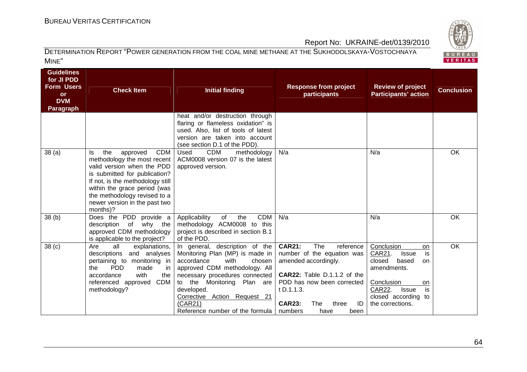

#### DETERMINATION REPORT "POWER GENERATION FROM THE COAL MINE METHANE AT THE SUKHODOLSKAYA-VOSTOCHNAYA MINE"

| <b>Guidelines</b><br>for JI PDD<br><b>Form Users</b><br><b>or</b><br><b>DVM</b><br>Paragraph | <b>Check Item</b>                                                                                                                                                                                                                                                                  | <b>Initial finding</b>                                                                                                                                                                                                                                                                         | <b>Response from project</b><br>participants                                                                                                                                                                                         | <b>Review of project</b><br><b>Participants' action</b>                                                                                                                                 | <b>Conclusion</b> |
|----------------------------------------------------------------------------------------------|------------------------------------------------------------------------------------------------------------------------------------------------------------------------------------------------------------------------------------------------------------------------------------|------------------------------------------------------------------------------------------------------------------------------------------------------------------------------------------------------------------------------------------------------------------------------------------------|--------------------------------------------------------------------------------------------------------------------------------------------------------------------------------------------------------------------------------------|-----------------------------------------------------------------------------------------------------------------------------------------------------------------------------------------|-------------------|
|                                                                                              |                                                                                                                                                                                                                                                                                    | heat and/or destruction through<br>flaring or flameless oxidation" is<br>used. Also, list of tools of latest<br>version are taken into account<br>(see section D.1 of the PDD).                                                                                                                |                                                                                                                                                                                                                                      |                                                                                                                                                                                         |                   |
| 38(a)                                                                                        | <b>CDM</b><br>approved<br>the<br>Is<br>methodology the most recent<br>valid version when the PDD<br>is submitted for publication?<br>If not, is the methodology still<br>within the grace period (was<br>the methodology revised to a<br>newer version in the past two<br>months)? | <b>CDM</b><br>Used<br>methodology<br>ACM0008 version 07 is the latest<br>approved version.                                                                                                                                                                                                     | N/a                                                                                                                                                                                                                                  | N/a                                                                                                                                                                                     | OK                |
| 38 <sub>(b)</sub>                                                                            | Does the PDD provide a<br>description<br>why the<br>of<br>approved CDM methodology<br>is applicable to the project?                                                                                                                                                                | <b>CDM</b><br>Applicability<br>of<br>the<br>methodology ACM0008 to this<br>project is described in section B.1<br>of the PDD.                                                                                                                                                                  | N/a                                                                                                                                                                                                                                  | N/a                                                                                                                                                                                     | OK                |
| 38 <sub>(c)</sub>                                                                            | Are<br>all<br>explanations,<br>and analyses<br>descriptions<br>pertaining to monitoring in<br><b>PDD</b><br>made<br>the<br>in<br>with<br>accordance<br>the<br><b>CDM</b><br>referenced approved<br>methodology?                                                                    | In general, description of the<br>Monitoring Plan (MP) is made in<br>accordance<br>with<br>chosen<br>approved CDM methodology. All<br>necessary procedures connected<br>to the Monitoring Plan are<br>developed.<br>Corrective Action Request 21<br>(CAR21)<br>Reference number of the formula | <b>CAR21:</b><br>The<br>reference<br>number of the equation was<br>amended accordingly.<br>CAR22: Table D.1.1.2 of the<br>PDD has now been corrected<br>t D.1.1.3.<br><b>CAR23:</b><br>ID<br>The<br>three<br>numbers<br>have<br>been | Conclusion<br>on<br>is<br>CAR21.<br><b>Issue</b><br>closed<br>based<br>on<br>amendments.<br>Conclusion<br>on<br>is<br>CAR22.<br><b>Issue</b><br>closed according to<br>the corrections. | OK                |

64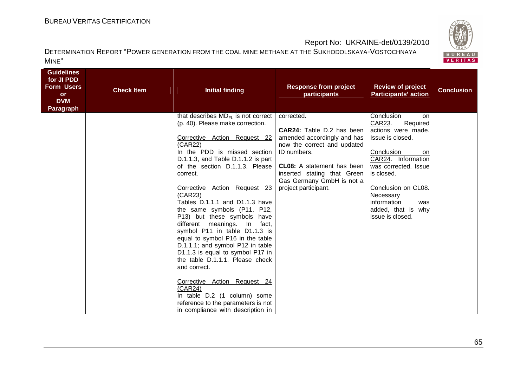

| <b>Guidelines</b><br>for JI PDD<br><b>Form Users</b><br><b>or</b><br><b>DVM</b><br>Paragraph | <b>Check Item</b> | <b>Initial finding</b>                                                                                                                                                                                                                                                                                                                                                  | <b>Response from project</b><br>participants             | <b>Review of project</b><br><b>Participants' action</b>                                             | <b>Conclusion</b> |
|----------------------------------------------------------------------------------------------|-------------------|-------------------------------------------------------------------------------------------------------------------------------------------------------------------------------------------------------------------------------------------------------------------------------------------------------------------------------------------------------------------------|----------------------------------------------------------|-----------------------------------------------------------------------------------------------------|-------------------|
|                                                                                              |                   | that describes $MD_{FI}$ is not correct<br>(p. 40). Please make correction.                                                                                                                                                                                                                                                                                             | corrected.                                               | Conclusion<br>on<br>CAR23.<br>Required                                                              |                   |
|                                                                                              |                   |                                                                                                                                                                                                                                                                                                                                                                         | <b>CAR24:</b> Table D.2 has been                         | actions were made.                                                                                  |                   |
|                                                                                              |                   | Corrective Action Request 22                                                                                                                                                                                                                                                                                                                                            | amended accordingly and has                              | Issue is closed.                                                                                    |                   |
|                                                                                              |                   | (CAR22)<br>In the PDD is missed section                                                                                                                                                                                                                                                                                                                                 | now the correct and updated<br>ID numbers.               | Conclusion<br>on                                                                                    |                   |
|                                                                                              |                   | D.1.1.3, and Table D.1.1.2 is part                                                                                                                                                                                                                                                                                                                                      |                                                          | CAR24. Information                                                                                  |                   |
|                                                                                              |                   | of the section D.1.1.3. Please                                                                                                                                                                                                                                                                                                                                          | <b>CL08:</b> A statement has been                        | was corrected. Issue                                                                                |                   |
|                                                                                              |                   | correct.                                                                                                                                                                                                                                                                                                                                                                | inserted stating that Green<br>Gas Germany GmbH is not a | is closed.                                                                                          |                   |
|                                                                                              |                   | Corrective Action Request 23<br>(CAR23)<br>Tables D.1.1.1 and D1.1.3 have<br>the same symbols (P11, P12,<br>P13) but these symbols have<br>different meanings. In fact,<br>symbol P11 in table D1.1.3 is<br>equal to symbol P16 in the table<br>D.1.1.1; and symbol P12 in table<br>D1.1.3 is equal to symbol P17 in<br>the table D.1.1.1. Please check<br>and correct. | project participant.                                     | Conclusion on CL08.<br>Necessary<br>information<br>was<br>added, that is<br>why<br>issue is closed. |                   |
|                                                                                              |                   | Corrective Action Request 24<br>(CAR24)<br>In table D.2 (1 column) some<br>reference to the parameters is not<br>in compliance with description in                                                                                                                                                                                                                      |                                                          |                                                                                                     |                   |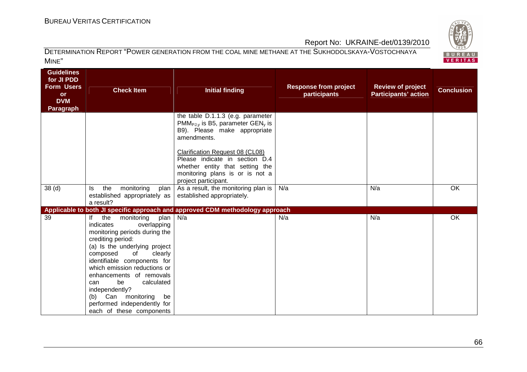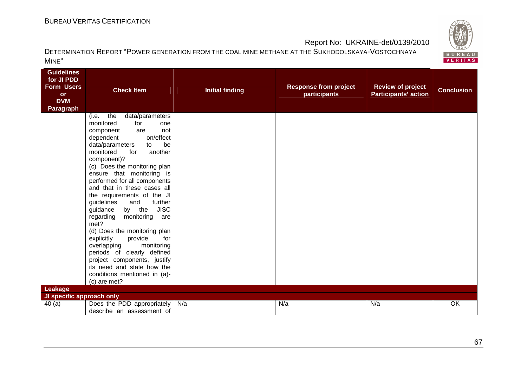

| <b>Guidelines</b><br>for JI PDD<br><b>Form Users</b><br><b>or</b><br><b>DVM</b><br><b>Paragraph</b> | <b>Check Item</b><br>the<br>data/parameters<br>(i.e.<br>monitored<br>for<br>one<br>component<br>not<br>are<br>on/effect<br>dependent                                                                                                                                              | <b>Initial finding</b> | <b>Response from project</b><br>participants | <b>Review of project</b><br><b>Participants' action</b> | <b>Conclusion</b> |
|-----------------------------------------------------------------------------------------------------|-----------------------------------------------------------------------------------------------------------------------------------------------------------------------------------------------------------------------------------------------------------------------------------|------------------------|----------------------------------------------|---------------------------------------------------------|-------------------|
|                                                                                                     | data/parameters<br>be<br>to<br>monitored<br>another<br>for                                                                                                                                                                                                                        |                        |                                              |                                                         |                   |
|                                                                                                     | component)?<br>(c) Does the monitoring plan<br>ensure that monitoring is<br>performed for all components<br>and that in these cases all<br>the requirements of the JI<br>further<br>guidelines<br>and<br><b>JISC</b><br>guidance<br>by the<br>regarding<br>monitoring are<br>met? |                        |                                              |                                                         |                   |
|                                                                                                     | (d) Does the monitoring plan<br>explicitly<br>provide<br>for<br>overlapping<br>monitoring<br>periods of clearly defined<br>project components, justify<br>its need and state how the<br>conditions mentioned in (a)-<br>(c) are met?                                              |                        |                                              |                                                         |                   |
| Leakage<br>JI specific approach only                                                                |                                                                                                                                                                                                                                                                                   |                        |                                              |                                                         |                   |
| 40(a)                                                                                               | Does the PDD appropriately<br>describe an assessment of                                                                                                                                                                                                                           | N/a                    | N/a                                          | N/a                                                     | OK                |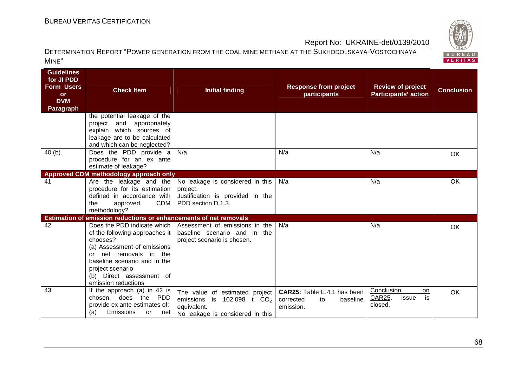

| <b>Guidelines</b><br>for JI PDD<br><b>Form Users</b><br><b>or</b><br><b>DVM</b><br><b>Paragraph</b> | <b>Check Item</b>                                                                                                                                                                                             | <b>Initial finding</b>                                                                                                      | <b>Response from project</b><br>participants                            | <b>Review of project</b><br><b>Participants' action</b> | <b>Conclusion</b> |
|-----------------------------------------------------------------------------------------------------|---------------------------------------------------------------------------------------------------------------------------------------------------------------------------------------------------------------|-----------------------------------------------------------------------------------------------------------------------------|-------------------------------------------------------------------------|---------------------------------------------------------|-------------------|
|                                                                                                     | the potential leakage of the<br>appropriately<br>project<br>and<br>explain which sources of<br>leakage are to be calculated<br>and which can be neglected?                                                    |                                                                                                                             |                                                                         |                                                         |                   |
| 40(b)                                                                                               | Does the PDD provide a<br>procedure for an ex ante<br>estimate of leakage?                                                                                                                                    | N/a                                                                                                                         | N/a                                                                     | N/a                                                     | OK                |
|                                                                                                     | Approved CDM methodology approach only                                                                                                                                                                        |                                                                                                                             |                                                                         |                                                         |                   |
| 41                                                                                                  | Are the leakage and the<br>procedure for its estimation<br>defined in accordance with<br>CDM<br>approved<br>the<br>methodology?                                                                               | No leakage is considered in this<br>project.<br>Justification is provided in the<br>PDD section D.1.3.                      | N/a                                                                     | N/a                                                     | OK                |
|                                                                                                     | Estimation of emission reductions or enhancements of net removals                                                                                                                                             |                                                                                                                             |                                                                         |                                                         |                   |
| 42                                                                                                  | of the following approaches it<br>chooses?<br>(a) Assessment of emissions<br>net removals in the<br>or<br>baseline scenario and in the<br>project scenario<br>(b) Direct assessment of<br>emission reductions | Does the PDD indicate which   Assessment of emissions in the<br>baseline scenario and in the<br>project scenario is chosen. | N/a                                                                     | N/a                                                     | OK                |
| 43                                                                                                  | If the approach $(a)$ in 42 is<br>chosen, does the PDD<br>provide ex ante estimates of:<br>(a)<br><b>Emissions</b><br>or<br>net                                                                               | The value of estimated project<br>emissions is $102098$ t $CO2$<br>equivalent.<br>No leakage is considered in this          | CAR25: Table E.4.1 has been<br>corrected<br>baseline<br>to<br>emission. | Conclusion<br>on<br>CAR25.<br>is<br>Issue<br>closed.    | OK                |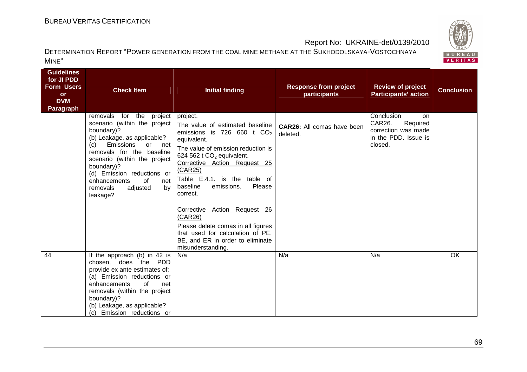

### DETERMINATION REPORT "POWER GENERATION FROM THE COAL MINE METHANE AT THE SUKHODOLSKAYA-VOSTOCHNAYA MINE"

| <b>Guidelines</b><br>for JI PDD<br><b>Form Users</b><br><b>or</b><br><b>DVM</b><br><b>Paragraph</b> | <b>Check Item</b>                                                                                                                                                                                                                                                                                                            | <b>Initial finding</b>                                                                                                                                                                                                                                                                                                                                                                                                                                                   | <b>Response from project</b><br>participants | <b>Review of project</b><br><b>Participants' action</b>                                          | <b>Conclusion</b> |
|-----------------------------------------------------------------------------------------------------|------------------------------------------------------------------------------------------------------------------------------------------------------------------------------------------------------------------------------------------------------------------------------------------------------------------------------|--------------------------------------------------------------------------------------------------------------------------------------------------------------------------------------------------------------------------------------------------------------------------------------------------------------------------------------------------------------------------------------------------------------------------------------------------------------------------|----------------------------------------------|--------------------------------------------------------------------------------------------------|-------------------|
|                                                                                                     | removals for the<br>project<br>scenario (within the project<br>boundary)?<br>(b) Leakage, as applicable?<br>Emissions<br>(c)<br>or or<br>net<br>removals for the baseline<br>scenario (within the project<br>boundary)?<br>(d) Emission reductions or<br>enhancements<br>0f<br>net<br>removals<br>adjusted<br>by<br>leakage? | project.<br>The value of estimated baseline<br>emissions is 726 660 t $CO2$<br>equivalent.<br>The value of emission reduction is<br>624 562 t $CO2$ equivalent.<br>Corrective Action Request 25<br>(CAR25)<br>Table E.4.1. is the table of<br>baseline<br>Please<br>emissions.<br>correct.<br>Corrective Action Request 26<br>(CAR26)<br>Please delete comas in all figures<br>that used for calculation of PE,<br>BE, and ER in order to eliminate<br>misunderstanding. | CAR26: All comas have been<br>deleted.       | Conclusion<br>on<br>CAR26.<br>Required<br>correction was made<br>in the PDD. Issue is<br>closed. |                   |
| 44                                                                                                  | If the approach (b) in 42 is<br>chosen, does the PDD<br>provide ex ante estimates of:<br>(a) Emission reductions or<br>of<br>enhancements<br>net<br>removals (within the project<br>boundary)?<br>(b) Leakage, as applicable?<br>(c) Emission reductions or                                                                  | N/a                                                                                                                                                                                                                                                                                                                                                                                                                                                                      | N/a                                          | N/a                                                                                              | <b>OK</b>         |

BUREAU<br>VERITAS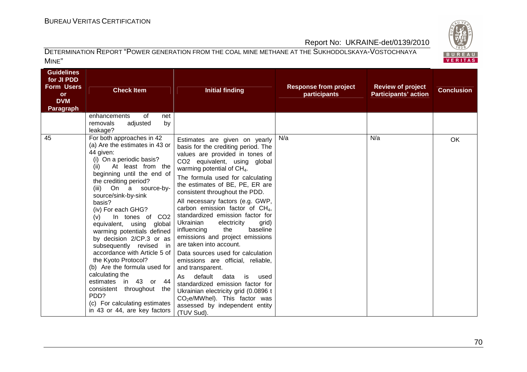

| <b>Guidelines</b><br>for JI PDD<br><b>Form Users</b><br><b>or</b><br><b>DVM</b><br><b>Paragraph</b> | <b>Check Item</b><br>of<br>enhancements<br>net<br>by<br>adjusted<br>removals                                                                                                                                                                                                                                                                                                                                                                                                                                                                                                                                                                                                             | <b>Initial finding</b>                                                                                                                                                                                                                                                                                                                                                                                                                                                                                                                                                                                                                                                                                                                                                                                                                            | <b>Response from project</b><br>participants | <b>Review of project</b><br><b>Participants' action</b> | <b>Conclusion</b> |
|-----------------------------------------------------------------------------------------------------|------------------------------------------------------------------------------------------------------------------------------------------------------------------------------------------------------------------------------------------------------------------------------------------------------------------------------------------------------------------------------------------------------------------------------------------------------------------------------------------------------------------------------------------------------------------------------------------------------------------------------------------------------------------------------------------|---------------------------------------------------------------------------------------------------------------------------------------------------------------------------------------------------------------------------------------------------------------------------------------------------------------------------------------------------------------------------------------------------------------------------------------------------------------------------------------------------------------------------------------------------------------------------------------------------------------------------------------------------------------------------------------------------------------------------------------------------------------------------------------------------------------------------------------------------|----------------------------------------------|---------------------------------------------------------|-------------------|
| 45                                                                                                  | leakage?<br>For both approaches in 42<br>(a) Are the estimates in 43 or<br>44 given:<br>(i) On a periodic basis?<br>At least from the<br>(ii)<br>beginning until the end of<br>the crediting period?<br>(iii)<br>On a source-by-<br>source/sink-by-sink<br>basis?<br>(iv) For each GHG?<br>(v)<br>In tones of CO2<br>equivalent, using global<br>warming potentials defined<br>by decision 2/CP.3 or as<br>subsequently revised<br>in<br>accordance with Article 5 of<br>the Kyoto Protocol?<br>(b) Are the formula used for<br>calculating the<br>in 43 or<br>-44<br>estimates<br>consistent throughout<br>the<br>PDD?<br>(c) For calculating estimates<br>in 43 or 44, are key factors | Estimates are given on yearly<br>basis for the crediting period. The<br>values are provided in tones of<br>CO2 equivalent, using global<br>warming potential of $CH4$ .<br>The formula used for calculating<br>the estimates of BE, PE, ER are<br>consistent throughout the PDD.<br>All necessary factors (e.g. GWP,<br>carbon emission factor of $CH4$ ,<br>standardized emission factor for<br>Ukrainian<br>electricity<br>grid)<br>baseline<br>influencing<br>the<br>emissions and project emissions<br>are taken into account.<br>Data sources used for calculation<br>emissions are official, reliable,<br>and transparent.<br>default<br>data<br>As.<br>is<br>used<br>standardized emission factor for<br>Ukrainian electricity grid (0.0896 t<br>CO <sub>2</sub> e/MWhel). This factor was<br>assessed by independent entity<br>(TUV Sud). | N/a                                          | N/a                                                     | <b>OK</b>         |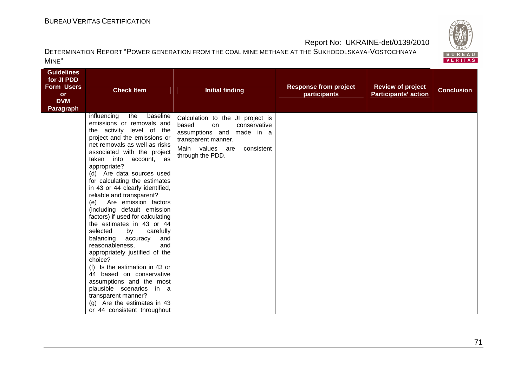

| <b>Guidelines</b><br>for JI PDD<br><b>Form Users</b><br><b>or</b><br><b>DVM</b><br><b>Paragraph</b> | <b>Check Item</b><br>the<br>baseline<br>influencing                                                                                                                                                                                                                                                                                                                                                                                                                                                                                                                                                                                                                                                                                                                                                                  | <b>Initial finding</b>                                                                                                                                                   | <b>Response from project</b><br>participants | <b>Review of project</b><br><b>Participants' action</b> | <b>Conclusion</b> |
|-----------------------------------------------------------------------------------------------------|----------------------------------------------------------------------------------------------------------------------------------------------------------------------------------------------------------------------------------------------------------------------------------------------------------------------------------------------------------------------------------------------------------------------------------------------------------------------------------------------------------------------------------------------------------------------------------------------------------------------------------------------------------------------------------------------------------------------------------------------------------------------------------------------------------------------|--------------------------------------------------------------------------------------------------------------------------------------------------------------------------|----------------------------------------------|---------------------------------------------------------|-------------------|
|                                                                                                     | emissions or removals and<br>the activity level of the<br>project and the emissions or<br>net removals as well as risks<br>associated with the project<br>taken into<br>account, as<br>appropriate?<br>(d) Are data sources used<br>for calculating the estimates<br>in 43 or 44 clearly identified,<br>reliable and transparent?<br>Are emission factors<br>(e)<br>(including default emission<br>factors) if used for calculating<br>the estimates in 43 or 44<br>selected<br>carefully<br>by<br>balancing<br>accuracy<br>and<br>reasonableness,<br>and<br>appropriately justified of the<br>choice?<br>Is the estimation in 43 or<br>(f)<br>44 based on conservative<br>assumptions and the most<br>plausible scenarios in a<br>transparent manner?<br>(g) Are the estimates in 43<br>or 44 consistent throughout | Calculation to the JI project is<br>based<br>conservative<br>on<br>assumptions and made in a<br>transparent manner.<br>Main values are<br>consistent<br>through the PDD. |                                              |                                                         |                   |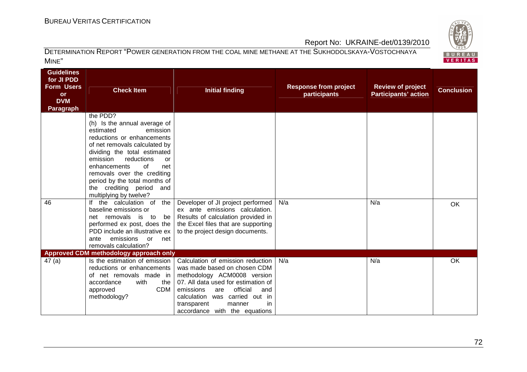

| Guidelines<br>for JI PDD<br><b>Form Users</b><br><b>or</b><br><b>DVM</b><br><b>Paragraph</b> | <b>Check Item</b>                                                                                                                                                                                                                                                                                             | <b>Initial finding</b>                                                                                                                                                                                                                                                           | <b>Response from project</b><br>participants | <b>Review of project</b><br><b>Participants' action</b> | <b>Conclusion</b> |
|----------------------------------------------------------------------------------------------|---------------------------------------------------------------------------------------------------------------------------------------------------------------------------------------------------------------------------------------------------------------------------------------------------------------|----------------------------------------------------------------------------------------------------------------------------------------------------------------------------------------------------------------------------------------------------------------------------------|----------------------------------------------|---------------------------------------------------------|-------------------|
|                                                                                              | the PDD?                                                                                                                                                                                                                                                                                                      |                                                                                                                                                                                                                                                                                  |                                              |                                                         |                   |
|                                                                                              | (h) Is the annual average of<br>estimated<br>emission<br>reductions or enhancements<br>of net removals calculated by<br>dividing the total estimated<br>emission<br>reductions<br>or<br>enhancements<br>of<br>net<br>removals over the crediting<br>period by the total months of<br>the crediting period and |                                                                                                                                                                                                                                                                                  |                                              |                                                         |                   |
|                                                                                              | multiplying by twelve?                                                                                                                                                                                                                                                                                        |                                                                                                                                                                                                                                                                                  |                                              |                                                         |                   |
| 46                                                                                           | If the calculation of<br>the<br>baseline emissions or<br>net removals is to<br>be l<br>performed ex post, does the<br>PDD include an illustrative ex<br>emissions<br>or net<br>ante<br>removals calculation?                                                                                                  | Developer of JI project performed<br>ex ante emissions calculation.<br>Results of calculation provided in<br>the Excel files that are supporting<br>to the project design documents.                                                                                             | N/a                                          | N/a                                                     | OK                |
|                                                                                              | Approved CDM methodology approach only                                                                                                                                                                                                                                                                        |                                                                                                                                                                                                                                                                                  |                                              |                                                         |                   |
| 47(a)                                                                                        | Is the estimation of emission<br>reductions or enhancements<br>of net removals made in<br>accordance<br>with<br>the I<br><b>CDM</b><br>approved<br>methodology?                                                                                                                                               | Calculation of emission reduction<br>was made based on chosen CDM<br>methodology ACM0008 version<br>07. All data used for estimation of<br>official<br>emissions<br>are<br>and<br>calculation was carried out in<br>in<br>transparent<br>manner<br>accordance with the equations | N/a                                          | N/a                                                     | OK                |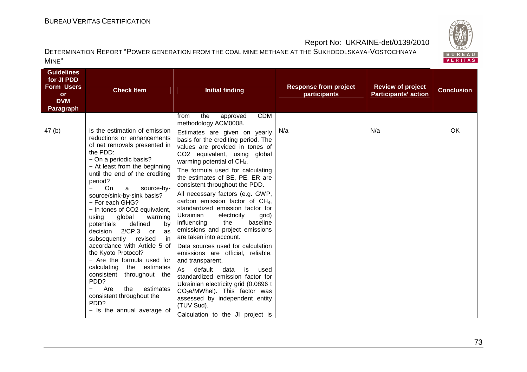

| <b>Guidelines</b><br>for JI PDD<br><b>Form Users</b><br><b>or</b><br><b>DVM</b><br><b>Paragraph</b> | <b>Check Item</b>                                                                                                                                                                                                                                                                                                                                                                                                                                                                                                                                                                                                                                                                                                        | <b>Initial finding</b>                                                                                                                                                                                                                                                                                                                                                                                                                                                                                                                                                                                                                                                                                                                                                                                                                                                     | <b>Response from project</b><br>participants | <b>Review of project</b><br><b>Participants' action</b> | <b>Conclusion</b> |
|-----------------------------------------------------------------------------------------------------|--------------------------------------------------------------------------------------------------------------------------------------------------------------------------------------------------------------------------------------------------------------------------------------------------------------------------------------------------------------------------------------------------------------------------------------------------------------------------------------------------------------------------------------------------------------------------------------------------------------------------------------------------------------------------------------------------------------------------|----------------------------------------------------------------------------------------------------------------------------------------------------------------------------------------------------------------------------------------------------------------------------------------------------------------------------------------------------------------------------------------------------------------------------------------------------------------------------------------------------------------------------------------------------------------------------------------------------------------------------------------------------------------------------------------------------------------------------------------------------------------------------------------------------------------------------------------------------------------------------|----------------------------------------------|---------------------------------------------------------|-------------------|
|                                                                                                     |                                                                                                                                                                                                                                                                                                                                                                                                                                                                                                                                                                                                                                                                                                                          | <b>CDM</b><br>the<br>approved<br>from<br>methodology ACM0008.                                                                                                                                                                                                                                                                                                                                                                                                                                                                                                                                                                                                                                                                                                                                                                                                              |                                              |                                                         |                   |
| 47(b)                                                                                               | Is the estimation of emission<br>reductions or enhancements<br>of net removals presented in<br>the PDD:<br>- On a periodic basis?<br>- At least from the beginning<br>until the end of the crediting<br>period?<br>On<br>source-by-<br>a<br>source/sink-by-sink basis?<br>- For each GHG?<br>- In tones of CO2 equivalent,<br>global<br>using<br>warming<br>defined<br>potentials<br>by<br>$2/CP.3$ or<br>decision<br>as<br>subsequently revised<br>in<br>accordance with Article 5 of<br>the Kyoto Protocol?<br>- Are the formula used for<br>calculating the estimates<br>consistent throughout the<br>PDD?<br>Are<br>estimates<br>the<br>consistent throughout the<br>PD <sub>D</sub> ?<br>- Is the annual average of | Estimates are given on yearly<br>basis for the crediting period. The<br>values are provided in tones of<br>CO2 equivalent, using global<br>warming potential of $CH4$ .<br>The formula used for calculating<br>the estimates of BE, PE, ER are<br>consistent throughout the PDD.<br>All necessary factors (e.g. GWP,<br>carbon emission factor of $CH4$ ,<br>standardized emission factor for<br>Ukrainian<br>electricity<br>grid)<br>the<br>baseline<br>influencing<br>emissions and project emissions<br>are taken into account.<br>Data sources used for calculation<br>emissions are official, reliable,<br>and transparent.<br>default<br>As<br>data<br>is<br>used<br>standardized emission factor for<br>Ukrainian electricity grid (0.0896 t<br>$CO2e/MWhel$ ). This factor was<br>assessed by independent entity<br>(TUV Sud).<br>Calculation to the JI project is | N/a                                          | N/a                                                     | OK                |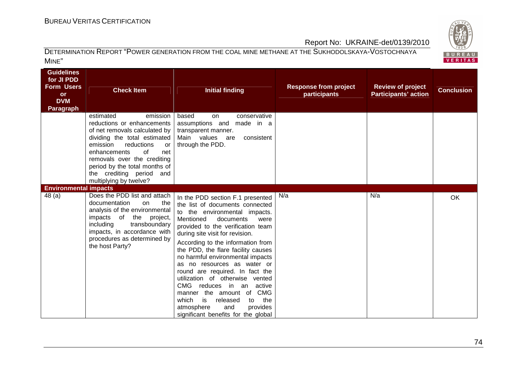

| <b>Guidelines</b><br>for JI PDD<br><b>Form Users</b><br><b>or</b><br><b>DVM</b><br><b>Paragraph</b> | <b>Check Item</b><br>estimated<br>emission<br>reductions or enhancements                                                                                                                                                                         | <b>Initial finding</b><br>based<br>conservative<br>on<br>assumptions and<br>made in a                                                                                                                                                                                                                                                                                                                                                                                                                                                                                                                         | <b>Response from project</b><br>participants | <b>Review of project</b><br><b>Participants' action</b> | <b>Conclusion</b> |
|-----------------------------------------------------------------------------------------------------|--------------------------------------------------------------------------------------------------------------------------------------------------------------------------------------------------------------------------------------------------|---------------------------------------------------------------------------------------------------------------------------------------------------------------------------------------------------------------------------------------------------------------------------------------------------------------------------------------------------------------------------------------------------------------------------------------------------------------------------------------------------------------------------------------------------------------------------------------------------------------|----------------------------------------------|---------------------------------------------------------|-------------------|
|                                                                                                     | of net removals calculated by<br>dividing the total estimated<br>emission<br>reductions<br>or<br>enhancements<br>of<br>net<br>removals over the crediting<br>period by the total months of<br>the crediting period and<br>multiplying by twelve? | transparent manner.<br>Main values are<br>consistent<br>through the PDD.                                                                                                                                                                                                                                                                                                                                                                                                                                                                                                                                      |                                              |                                                         |                   |
| <b>Environmental impacts</b><br>48 (a)                                                              | Does the PDD list and attach<br>documentation<br>the<br>on<br>analysis of the environmental<br>impacts of the project,<br>including<br>transboundary<br>impacts, in accordance with<br>procedures as determined by<br>the host Party?            | In the PDD section F.1 presented<br>the list of documents connected<br>to the environmental impacts.<br>Mentioned<br>documents<br>were<br>provided to the verification team<br>during site visit for revision.<br>According to the information from<br>the PDD, the flare facility causes<br>no harmful environmental impacts<br>as no resources as water or<br>round are required. In fact the<br>utilization of otherwise vented<br>CMG reduces in an<br>active<br>manner the amount of CMG<br>is<br>the<br>which<br>released<br>to<br>provides<br>atmosphere<br>and<br>significant benefits for the global | N/a                                          | N/a                                                     | OK                |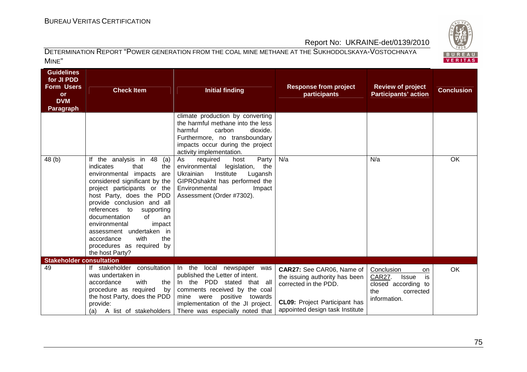

| <b>Guidelines</b><br>for JI PDD<br><b>Form Users</b><br><b>or</b><br><b>DVM</b><br><b>Paragraph</b> | <b>Check Item</b>                                                                                                                                                                                                                                                                                                                                                                                                  | <b>Initial finding</b>                                                                                                                                                                                                                                        | <b>Response from project</b><br>participants                                                                                                                    | <b>Review of project</b><br><b>Participants' action</b>                                                            | <b>Conclusion</b> |
|-----------------------------------------------------------------------------------------------------|--------------------------------------------------------------------------------------------------------------------------------------------------------------------------------------------------------------------------------------------------------------------------------------------------------------------------------------------------------------------------------------------------------------------|---------------------------------------------------------------------------------------------------------------------------------------------------------------------------------------------------------------------------------------------------------------|-----------------------------------------------------------------------------------------------------------------------------------------------------------------|--------------------------------------------------------------------------------------------------------------------|-------------------|
|                                                                                                     |                                                                                                                                                                                                                                                                                                                                                                                                                    | climate production by converting<br>the harmful methane into the less<br>harmful<br>carbon<br>dioxide.<br>Furthermore, no transboundary<br>impacts occur during the project<br>activity implementation.                                                       |                                                                                                                                                                 |                                                                                                                    |                   |
| 48 (b)                                                                                              | If the analysis in 48<br>(a)<br>indicates<br>that<br>the<br>environmental impacts<br>are<br>considered significant by the<br>project participants or the<br>host Party, does the PDD<br>provide conclusion and all<br>to supporting<br>references<br>of<br>documentation<br>an<br>environmental<br>impact<br>assessment undertaken in<br>accordance<br>with<br>the<br>procedures as required by<br>the host Party? | As<br>required<br>Party<br>host<br>environmental<br>legislation, the<br>Ukrainian<br>Institute<br>Lugansh<br>GIPROshakht has performed the<br>Environmental<br>Impact<br>Assessment (Order #7302).                                                            | N/a                                                                                                                                                             | N/a                                                                                                                | OK                |
| <b>Stakeholder consultation</b>                                                                     |                                                                                                                                                                                                                                                                                                                                                                                                                    |                                                                                                                                                                                                                                                               |                                                                                                                                                                 |                                                                                                                    |                   |
| 49                                                                                                  | If stakeholder consultation In the<br>was undertaken in<br>with<br>accordance<br>the<br>procedure as required<br>by <sub>1</sub><br>the host Party, does the PDD<br>provide:<br>(a)                                                                                                                                                                                                                                | local newspaper was<br>published the Letter of intent.<br>In the PDD stated that all<br>comments received by the coal<br>positive<br>were<br>mine<br>towards<br>implementation of the JI project.<br>A list of stakeholders   There was especially noted that | CAR27: See CAR06, Name of<br>the issuing authority has been<br>corrected in the PDD.<br><b>CL09:</b> Project Participant has<br>appointed design task Institute | Conclusion<br>on<br><b>CAR27.</b><br><b>Issue</b><br>is<br>closed according to<br>the<br>corrected<br>information. | <b>OK</b>         |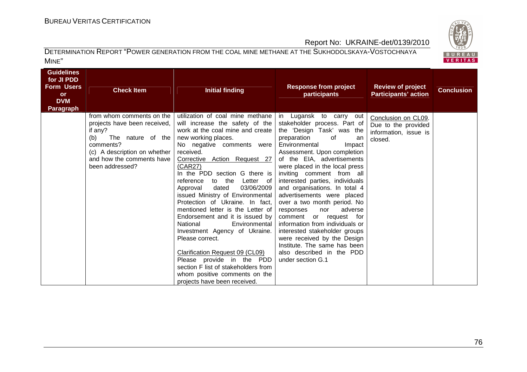

| Guidelines<br>for JI PDD<br><b>Form Users</b><br><b>or</b><br><b>DVM</b><br>Paragraph | <b>Check Item</b>                                                                                                                                                                             | <b>Initial finding</b>                                                                                                                                                                                                                                                                                                                                                                                                                                                                                                                                                                                                                                                                                                              | <b>Response from project</b><br>participants                                                                                                                                                                                                                                                                                                                                                                                                                                                                                                                                                                                                          | <b>Review of project</b><br><b>Participants' action</b>                        | <b>Conclusion</b> |
|---------------------------------------------------------------------------------------|-----------------------------------------------------------------------------------------------------------------------------------------------------------------------------------------------|-------------------------------------------------------------------------------------------------------------------------------------------------------------------------------------------------------------------------------------------------------------------------------------------------------------------------------------------------------------------------------------------------------------------------------------------------------------------------------------------------------------------------------------------------------------------------------------------------------------------------------------------------------------------------------------------------------------------------------------|-------------------------------------------------------------------------------------------------------------------------------------------------------------------------------------------------------------------------------------------------------------------------------------------------------------------------------------------------------------------------------------------------------------------------------------------------------------------------------------------------------------------------------------------------------------------------------------------------------------------------------------------------------|--------------------------------------------------------------------------------|-------------------|
|                                                                                       | from whom comments on the<br>projects have been received,<br>if any?<br>The nature of the<br>(b)<br>comments?<br>(c) A description on whether<br>and how the comments have<br>been addressed? | utilization of coal mine methane<br>will increase the safety of the<br>work at the coal mine and create<br>new working places.<br>No negative comments were<br>received.<br>Corrective Action Request 27<br>(CAR27)<br>In the PDD section G there is<br>reference<br>to the<br>Letter of<br>03/06/2009<br>Approval<br>dated<br>issued Ministry of Environmental<br>Protection of Ukraine. In fact,<br>mentioned letter is the Letter of<br>Endorsement and it is issued by<br>National<br>Environmental<br>Investment Agency of Ukraine.<br>Please correct.<br>Clarification Request 09 (CL09)<br>Please provide in the PDD<br>section F list of stakeholders from<br>whom positive comments on the<br>projects have been received. | in Lugansk to carry out<br>stakeholder process. Part of<br>the 'Design Task' was the<br>preparation<br>of<br>an<br>Environmental<br>Impact<br>Assessment. Upon completion<br>of the EIA, advertisements<br>were placed in the local press<br>inviting comment from all<br>interested parties, individuals<br>and organisations. In total 4<br>advertisements were placed<br>over a two month period. No<br>adverse<br>responses<br>nor<br>comment or request for<br>information from individuals or<br>interested stakeholder groups<br>were received by the Design<br>Institute. The same has been<br>also described in the PDD<br>under section G.1 | Conclusion on CL09.<br>Due to the provided<br>information, issue is<br>closed. |                   |

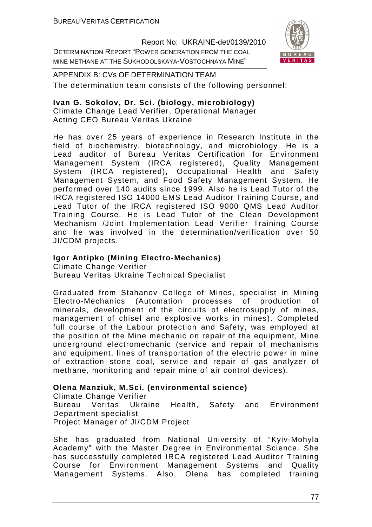DETERMINATION REPORT "POWER GENERATION FROM THE COAL MINE METHANE AT THE SUKHODOLSKAYA-VOSTOCHNAYA MINE"



APPENDIX B: CVs OF DETERMINATION TEAM The determination team consists of the following personnel:

## **Ivan G. Sokolov, Dr. Sci. (biology, microbiology)**

Climate Change Lead Verifier, Operational Manager Acting CEO Bureau Veritas Ukraine

He has over 25 years of experience in Research Institute in the field of biochemistry, biotechnology, and microbiology. He is a Lead auditor of Bureau Veritas Certification for Environment Management System (IRCA registered), Quality Management System (IRCA registered), Occupational Health and Safety Management System, and Food Safety Management System. He performed over 140 audits since 1999. Also he is Lead Tutor of the IRCA registered ISO 14000 EMS Lead Auditor Training Course, and Lead Tutor of the IRCA registered ISO 9000 QMS Lead Auditor Training Course. He is Lead Tutor of the Clean Development Mechanism /Joint Implementation Lead Verifier Training Course and he was involved in the determination/verification over 50 JI/CDM projects.

## **Igor Antipko (Mining Electro-Mechanics)**

Climate Change Verifier Bureau Veritas Ukraine Technical Specialist

Graduated from Stahanov College of Mines, specialist in Mining Electro-Mechanics (Automation processes of production of minerals, development of the circuits of electrosupply of mines, management of chisel and explosive works in mines). Completed full course of the Labour protection and Safety, was employed at the position of the Mine mechanic on repair of the equipment, Mine underground electromechanic (service and repair of mechanisms and equipment, lines of transportation of the electric power in mine of extraction stone coal, service and repair of gas analyzer of methane, monitoring and repair mine of air control devices).

# **Olena Manziuk, M.Sci. (environmental science)**

Climate Change Verifier Bureau Veritas Ukraine Health, Safety and Environment Department specialist Project Manager of JI/CDM Project

She has graduated from National University of "Kyiv-Mohyla Academy" with the Master Degree in Environmental Science. She has successfully completed IRCA registered Lead Auditor Training Course for Environment Management Systems and Quality Management Systems. Also, Olena has completed training